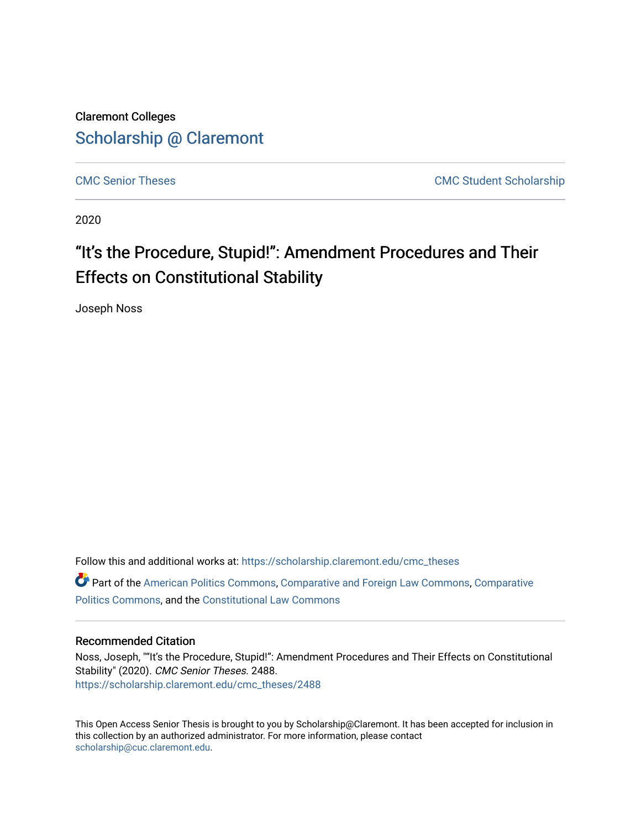Claremont Colleges [Scholarship @ Claremont](https://scholarship.claremont.edu/) 

[CMC Senior Theses](https://scholarship.claremont.edu/cmc_theses) CMC Student Scholarship

2020

## "It's the Procedure, Stupid!": Amendment Procedures and Their Effects on Constitutional Stability

Joseph Noss

Follow this and additional works at: [https://scholarship.claremont.edu/cmc\\_theses](https://scholarship.claremont.edu/cmc_theses?utm_source=scholarship.claremont.edu%2Fcmc_theses%2F2488&utm_medium=PDF&utm_campaign=PDFCoverPages)  Part of the [American Politics Commons,](http://network.bepress.com/hgg/discipline/387?utm_source=scholarship.claremont.edu%2Fcmc_theses%2F2488&utm_medium=PDF&utm_campaign=PDFCoverPages) [Comparative and Foreign Law Commons,](http://network.bepress.com/hgg/discipline/836?utm_source=scholarship.claremont.edu%2Fcmc_theses%2F2488&utm_medium=PDF&utm_campaign=PDFCoverPages) Comparative [Politics Commons](http://network.bepress.com/hgg/discipline/388?utm_source=scholarship.claremont.edu%2Fcmc_theses%2F2488&utm_medium=PDF&utm_campaign=PDFCoverPages), and the [Constitutional Law Commons](http://network.bepress.com/hgg/discipline/589?utm_source=scholarship.claremont.edu%2Fcmc_theses%2F2488&utm_medium=PDF&utm_campaign=PDFCoverPages)

### Recommended Citation

Noss, Joseph, ""It's the Procedure, Stupid!": Amendment Procedures and Their Effects on Constitutional Stability" (2020). CMC Senior Theses. 2488. [https://scholarship.claremont.edu/cmc\\_theses/2488](https://scholarship.claremont.edu/cmc_theses/2488?utm_source=scholarship.claremont.edu%2Fcmc_theses%2F2488&utm_medium=PDF&utm_campaign=PDFCoverPages) 

This Open Access Senior Thesis is brought to you by Scholarship@Claremont. It has been accepted for inclusion in this collection by an authorized administrator. For more information, please contact [scholarship@cuc.claremont.edu.](mailto:scholarship@cuc.claremont.edu)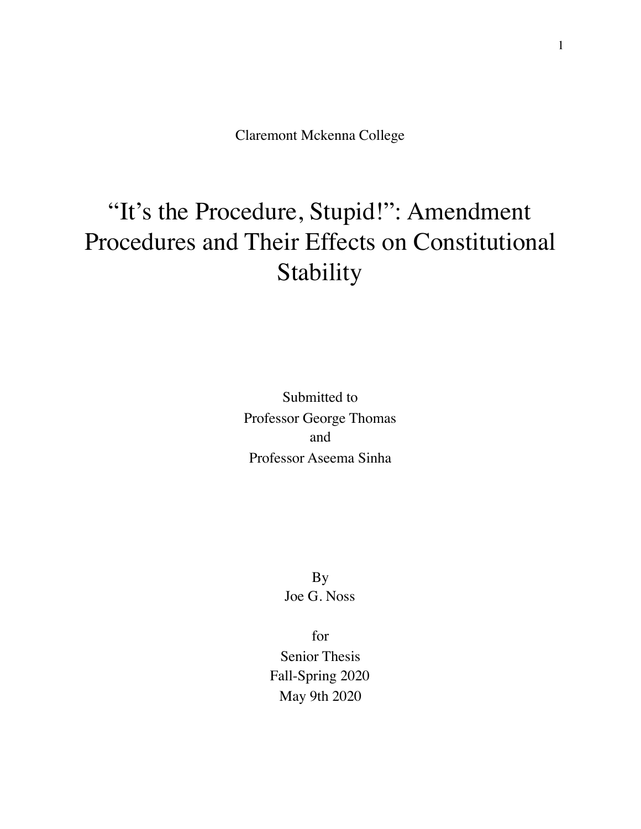Claremont Mckenna College

# "It's the Procedure, Stupid!": Amendment Procedures and Their Effects on Constitutional Stability

Submitted to Professor George Thomas and Professor Aseema Sinha

> By Joe G. Noss

for Senior Thesis Fall-Spring 2020 May 9th 2020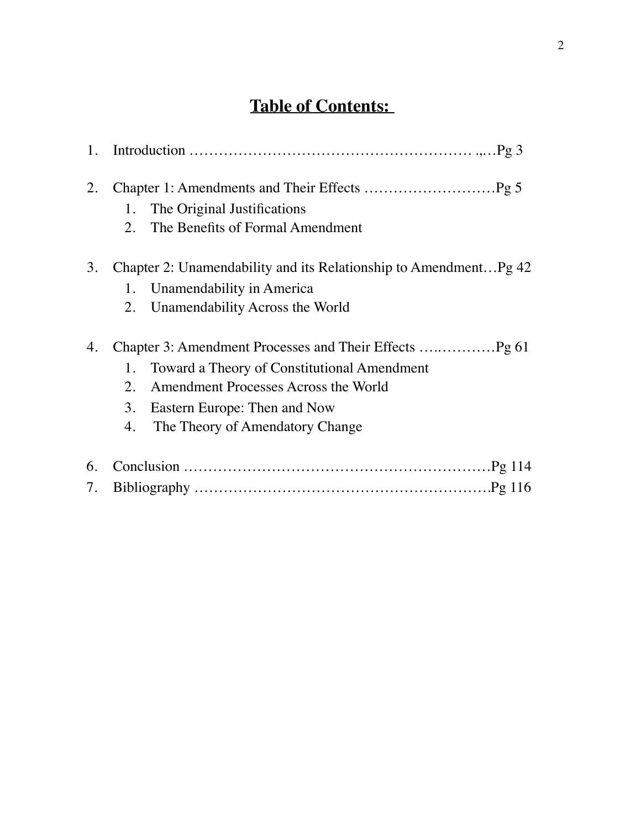## **Table of Contents:**

| 1.       |                                                                                                                                                                                |
|----------|--------------------------------------------------------------------------------------------------------------------------------------------------------------------------------|
| 2.       | The Original Justifications<br>1.<br>The Benefits of Formal Amendment<br>2.                                                                                                    |
| 3.       | Chapter 2: Unamendability and its Relationship to AmendmentPg 42<br>Unamendability in America<br>1.<br>Unamendability Across the World<br>2.                                   |
| 4.       | Toward a Theory of Constitutional Amendment<br>1.<br>Amendment Processes Across the World<br>2.<br>3.<br>Eastern Europe: Then and Now<br>The Theory of Amendatory Change<br>4. |
| 6.<br>7. |                                                                                                                                                                                |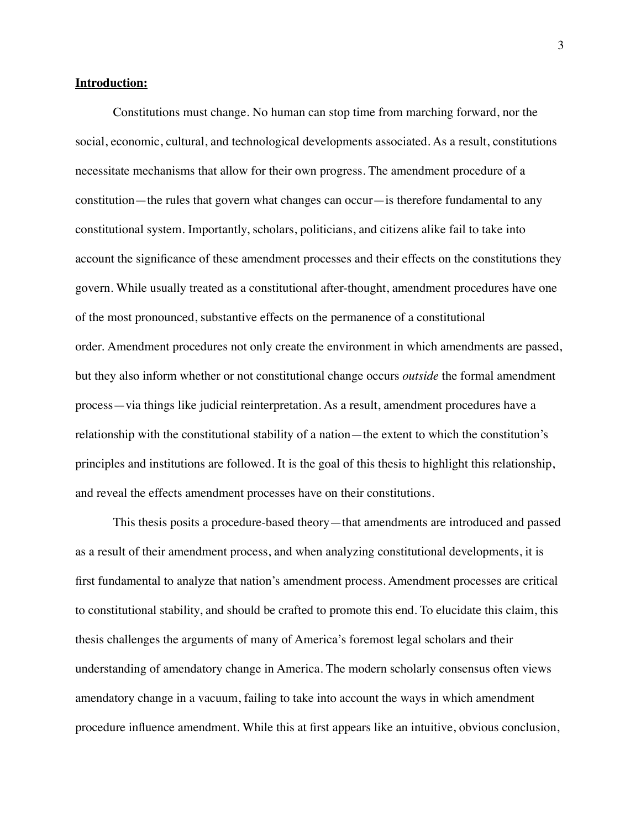#### **Introduction:**

Constitutions must change. No human can stop time from marching forward, nor the social, economic, cultural, and technological developments associated. As a result, constitutions necessitate mechanisms that allow for their own progress. The amendment procedure of a constitution—the rules that govern what changes can occur—is therefore fundamental to any constitutional system. Importantly, scholars, politicians, and citizens alike fail to take into account the significance of these amendment processes and their effects on the constitutions they govern. While usually treated as a constitutional after-thought, amendment procedures have one of the most pronounced, substantive effects on the permanence of a constitutional order. Amendment procedures not only create the environment in which amendments are passed, but they also inform whether or not constitutional change occurs *outside* the formal amendment process—via things like judicial reinterpretation. As a result, amendment procedures have a relationship with the constitutional stability of a nation—the extent to which the constitution's principles and institutions are followed. It is the goal of this thesis to highlight this relationship, and reveal the effects amendment processes have on their constitutions.

This thesis posits a procedure-based theory—that amendments are introduced and passed as a result of their amendment process, and when analyzing constitutional developments, it is first fundamental to analyze that nation's amendment process. Amendment processes are critical to constitutional stability, and should be crafted to promote this end. To elucidate this claim, this thesis challenges the arguments of many of America's foremost legal scholars and their understanding of amendatory change in America. The modern scholarly consensus often views amendatory change in a vacuum, failing to take into account the ways in which amendment procedure influence amendment. While this at first appears like an intuitive, obvious conclusion,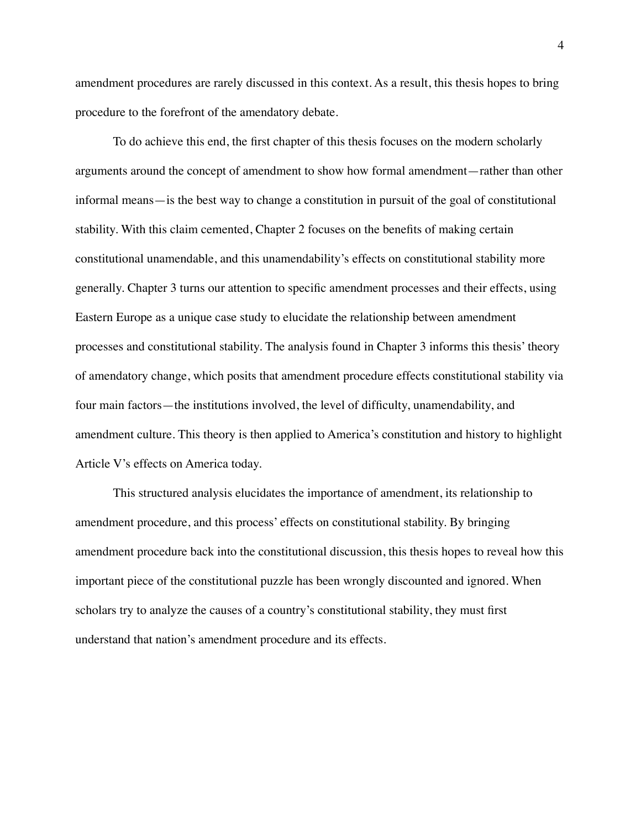amendment procedures are rarely discussed in this context. As a result, this thesis hopes to bring procedure to the forefront of the amendatory debate.

To do achieve this end, the first chapter of this thesis focuses on the modern scholarly arguments around the concept of amendment to show how formal amendment—rather than other informal means—is the best way to change a constitution in pursuit of the goal of constitutional stability. With this claim cemented, Chapter 2 focuses on the benefits of making certain constitutional unamendable, and this unamendability's effects on constitutional stability more generally. Chapter 3 turns our attention to specific amendment processes and their effects, using Eastern Europe as a unique case study to elucidate the relationship between amendment processes and constitutional stability. The analysis found in Chapter 3 informs this thesis' theory of amendatory change, which posits that amendment procedure effects constitutional stability via four main factors—the institutions involved, the level of difficulty, unamendability, and amendment culture. This theory is then applied to America's constitution and history to highlight Article V's effects on America today.

This structured analysis elucidates the importance of amendment, its relationship to amendment procedure, and this process' effects on constitutional stability. By bringing amendment procedure back into the constitutional discussion, this thesis hopes to reveal how this important piece of the constitutional puzzle has been wrongly discounted and ignored. When scholars try to analyze the causes of a country's constitutional stability, they must first understand that nation's amendment procedure and its effects.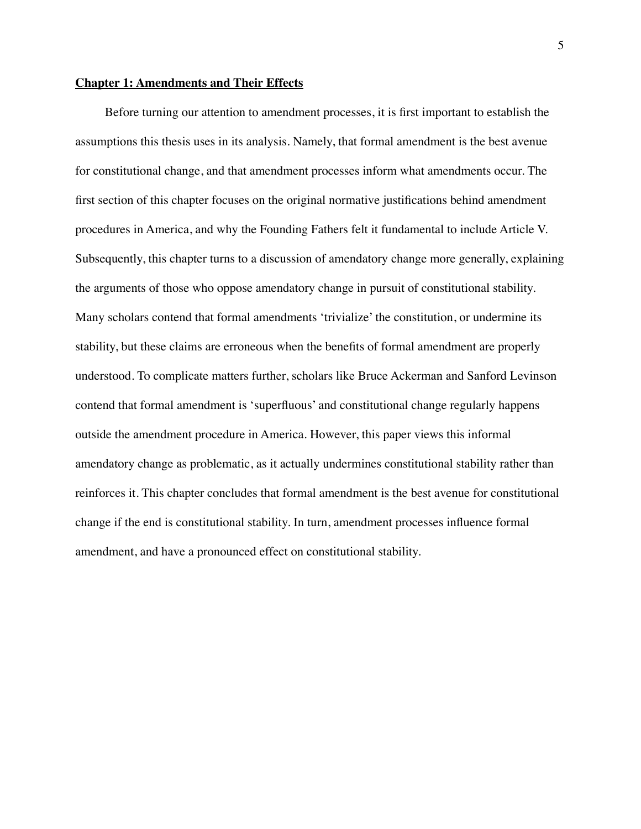#### **Chapter 1: Amendments and Their Effects**

Before turning our attention to amendment processes, it is first important to establish the assumptions this thesis uses in its analysis. Namely, that formal amendment is the best avenue for constitutional change, and that amendment processes inform what amendments occur. The first section of this chapter focuses on the original normative justifications behind amendment procedures in America, and why the Founding Fathers felt it fundamental to include Article V. Subsequently, this chapter turns to a discussion of amendatory change more generally, explaining the arguments of those who oppose amendatory change in pursuit of constitutional stability. Many scholars contend that formal amendments 'trivialize' the constitution, or undermine its stability, but these claims are erroneous when the benefits of formal amendment are properly understood. To complicate matters further, scholars like Bruce Ackerman and Sanford Levinson contend that formal amendment is 'superfluous' and constitutional change regularly happens outside the amendment procedure in America. However, this paper views this informal amendatory change as problematic, as it actually undermines constitutional stability rather than reinforces it. This chapter concludes that formal amendment is the best avenue for constitutional change if the end is constitutional stability. In turn, amendment processes influence formal amendment, and have a pronounced effect on constitutional stability.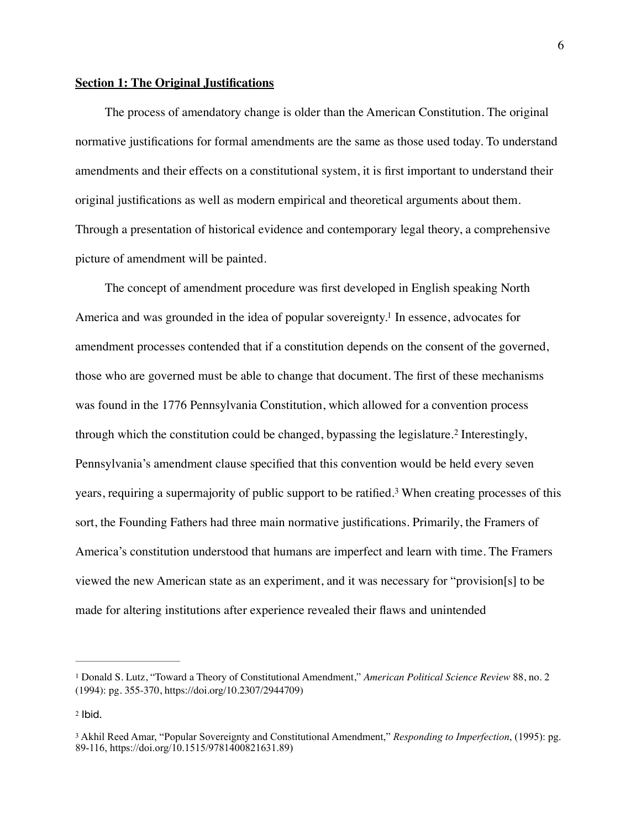#### **Section 1: The Original Justifications**

The process of amendatory change is older than the American Constitution. The original normative justifications for formal amendments are the same as those used today. To understand amendments and their effects on a constitutional system, it is first important to understand their original justifications as well as modern empirical and theoretical arguments about them. Through a presentation of historical evidence and contemporary legal theory, a comprehensive picture of amendment will be painted.

<span id="page-6-4"></span><span id="page-6-3"></span>The concept of amendment procedure was first developed in English speaking North America and was grounded in the idea of popular sovereignty[.](#page-6-0)<sup>[1](#page-6-0)</sup> In essence, advocates for amendment processes contended that if a constitution depends on the consent of the governed, those who are governed must be able to change that document. The first of these mechanisms was found in the 1776 Pennsylvania Constitution, which allowed for a convention process throughwhich the constitution could be changed, by passing the legislature.<sup>[2](#page-6-1)</sup> Interestingly, Pennsylvania's amendment clause specified that this convention would be held every seven years,requiring a supermajority of public support to be ratified.<sup>[3](#page-6-2)</sup> When creating processes of this sort, the Founding Fathers had three main normative justifications. Primarily, the Framers of America's constitution understood that humans are imperfect and learn with time. The Framers viewed the new American state as an experiment, and it was necessary for "provision[s] to be made for altering institutions after experience revealed their flaws and unintended

<span id="page-6-5"></span><span id="page-6-0"></span>Donald S. Lutz, "Toward a Theory of Constitutional Amendment," *American Political Science Review* 88, no. 2 [1](#page-6-3) (1994): pg. 355-370, https://doi.org/10.2307/2944709)

<span id="page-6-1"></span> $2$  Ibid.

<span id="page-6-2"></span>Akhil Reed Amar, "Popular Sovereignty and Constitutional Amendment," *Responding to Imperfection*, (1995): pg. [3](#page-6-5) 89-116, https://doi.org/10.1515/9781400821631.89)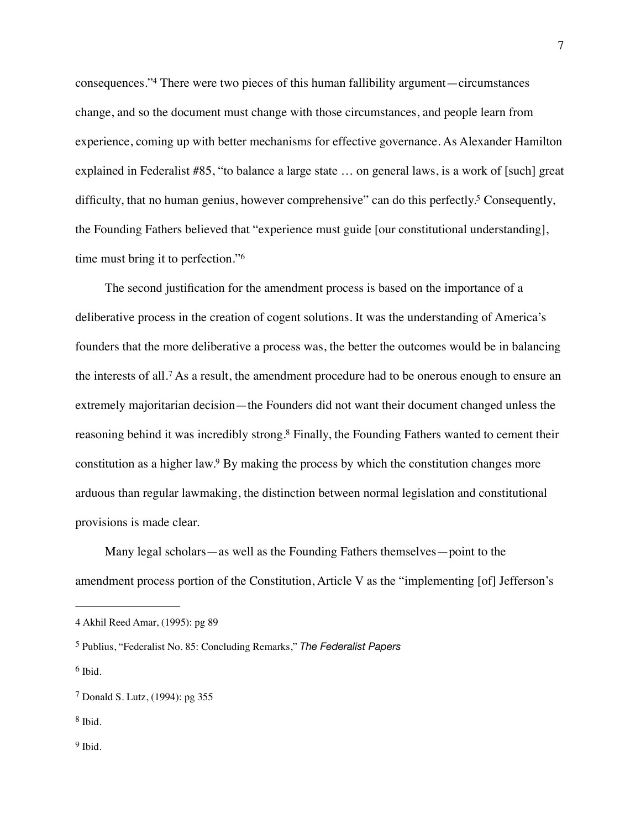<span id="page-7-6"></span>consequences.["](#page-7-0)<sup>[4](#page-7-0)</sup> There were two pieces of this human fallibility argument—circumstances change, and so the document must change with those circumstances, and people learn from experience, coming up with better mechanisms for effective governance. As Alexander Hamilton explained in Federalist #85, "to balance a large state … on general laws, is a work of [such] great difficulty, that no human genius, however comprehensive" can do this perfectly[.](#page-7-1)<sup>[5](#page-7-1)</sup> Consequently, the Founding Fathers believed that "experience must guide [our constitutional understanding], time must bring it to perfection."[6](#page-7-2)

<span id="page-7-9"></span><span id="page-7-8"></span><span id="page-7-7"></span>The second justification for the amendment process is based on the importance of a deliberative process in the creation of cogent solutions. It was the understanding of America's founders that the more deliberative a process was, the better the outcomes would be in balancing theinterests of all.<sup>[7](#page-7-3)</sup> As a result, the amendment procedure had to be onerous enough to ensure an extremely majoritarian decision—the Founders did not want their document changed unless the reasoning behind it was incredibly strong[.](#page-7-4)<sup>[8](#page-7-4)</sup> Finally, the Founding Fathers wanted to cement their constitution as a higher law[.](#page-7-5)<sup>[9](#page-7-5)</sup> By making the process by which the constitution changes more arduous than regular lawmaking, the distinction between normal legislation and constitutional provisions is made clear.

<span id="page-7-11"></span><span id="page-7-10"></span>Many legal scholars—as well as the Founding Fathers themselves—point to the amendment process portion of the Constitution, Article V as the "implementing [of] Jefferson's

<span id="page-7-2"></span> $6$  Ibid.

<span id="page-7-4"></span><sup>[8](#page-7-10)</sup> Ibid.

<span id="page-7-0"></span>[<sup>4</sup>](#page-7-6) Akhil Reed Amar, (1995): pg 89

<span id="page-7-1"></span><sup>&</sup>lt;sup>[5](#page-7-7)</sup> Publius, "Federalist No. 85: Concluding Remarks," *The Federalist Papers* 

<span id="page-7-3"></span><sup>&</sup>lt;sup>[7](#page-7-9)</sup> Donald S. Lutz, (1994): pg 355

<span id="page-7-5"></span> $9$  Ibid.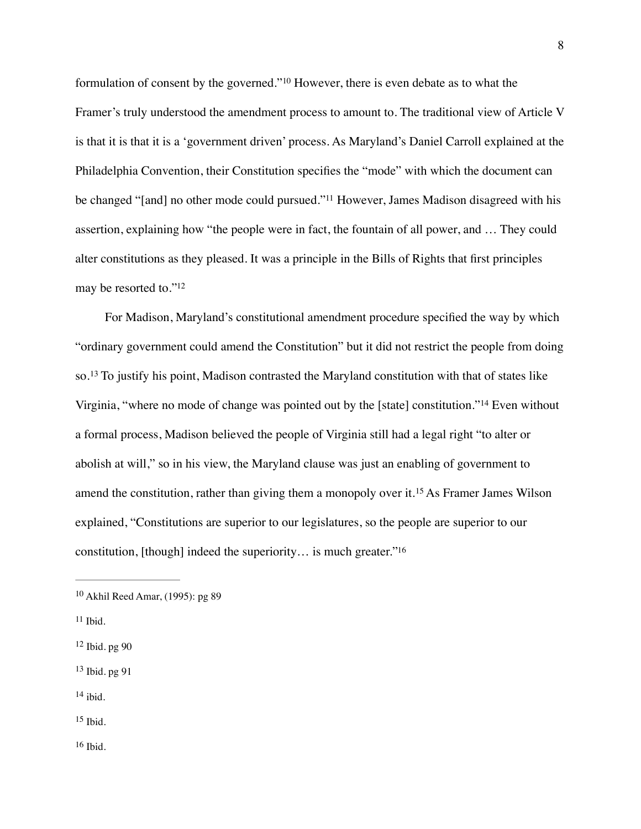<span id="page-8-8"></span><span id="page-8-7"></span>formulationof consent by the governed."<sup>[10](#page-8-0)</sup> However, there is even debate as to what the Framer's truly understood the amendment process to amount to. The traditional view of Article V is that it is that it is a 'government driven' process. As Maryland's Daniel Carroll explained at the Philadelphia Convention, their Constitution specifies the "mode" with which the document can be changed "[and] no other mode could pursued."<sup>[11](#page-8-1)</sup> However, James Madison disagreed with his assertion, explaining how "the people were in fact, the fountain of all power, and … They could alter constitutions as they pleased. It was a principle in the Bills of Rights that first principles may be resorted to.["12](#page-8-2)

<span id="page-8-11"></span><span id="page-8-10"></span><span id="page-8-9"></span>For Madison, Maryland's constitutional amendment procedure specified the way by which "ordinary government could amend the Constitution" but it did not restrict the people from doing so.<sup>13</sup>To justify his point, Madison contrasted the Maryland constitution with that of states like Virginia,"where no mode of change was pointed out by the [state] constitution."<sup>[14](#page-8-4)</sup> Even without a formal process, Madison believed the people of Virginia still had a legal right "to alter or abolish at will," so in his view, the Maryland clause was just an enabling of government to amendthe constitution, rather than giving them a monopoly over it.<sup>[15](#page-8-5)</sup> As Framer James Wilson explained, "Constitutions are superior to our legislatures, so the people are superior to our constitution, [though] indeed the superiority… is much greater.["16](#page-8-6)

<span id="page-8-4"></span> $14$  ibid.

<span id="page-8-5"></span> $15$  Ibid.

<span id="page-8-6"></span> $16$  Ibid.

<span id="page-8-13"></span><span id="page-8-12"></span><span id="page-8-0"></span> $10$  Akhil Reed Amar, (1995): pg 89

<span id="page-8-1"></span> $11$  Ibid.

<span id="page-8-2"></span> $12$  Ibid. pg  $90$ 

<span id="page-8-3"></span> $13$  Ibid. pg 91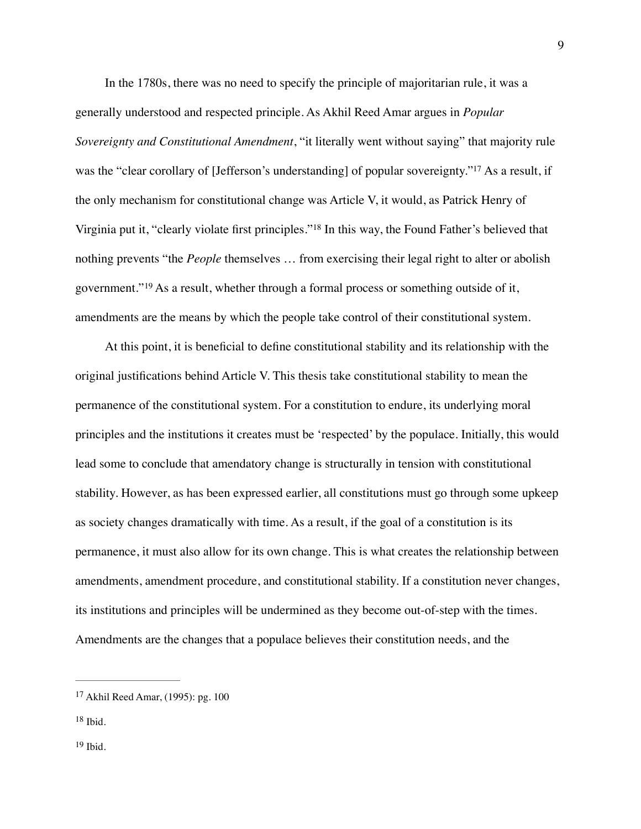<span id="page-9-3"></span>In the 1780s, there was no need to specify the principle of majoritarian rule, it was a generally understood and respected principle. As Akhil Reed Amar argues in *Popular Sovereignty and Constitutional Amendment*, "it literally went without saying" that majority rule was the ["](#page-9-0)clear corollary of [Jefferson's understanding] of popular sovereignty."<sup>[17](#page-9-0)</sup> As a result, if the only mechanism for constitutional change was Article V, it would, as Patrick Henry of Virginia put it, ["](#page-9-1)clearly violate first principles."<sup>[18](#page-9-1)</sup> In this way, the Found Father's believed that nothing prevents "the *People* themselves … from exercising their legal right to alter or abolish government."<sup>19</sup>As a result, whether through a formal process or something outside of it, amendments are the means by which the people take control of their constitutional system.

<span id="page-9-5"></span><span id="page-9-4"></span>At this point, it is beneficial to define constitutional stability and its relationship with the original justifications behind Article V. This thesis take constitutional stability to mean the permanence of the constitutional system. For a constitution to endure, its underlying moral principles and the institutions it creates must be 'respected' by the populace. Initially, this would lead some to conclude that amendatory change is structurally in tension with constitutional stability. However, as has been expressed earlier, all constitutions must go through some upkeep as society changes dramatically with time. As a result, if the goal of a constitution is its permanence, it must also allow for its own change. This is what creates the relationship between amendments, amendment procedure, and constitutional stability. If a constitution never changes, its institutions and principles will be undermined as they become out-of-step with the times. Amendments are the changes that a populace believes their constitution needs, and the

<span id="page-9-0"></span><sup>&</sup>lt;sup>[17](#page-9-3)</sup> Akhil Reed Amar, (1995): pg. 100

<span id="page-9-1"></span> $18$  Ibid.

<span id="page-9-2"></span> $19$  Ibid.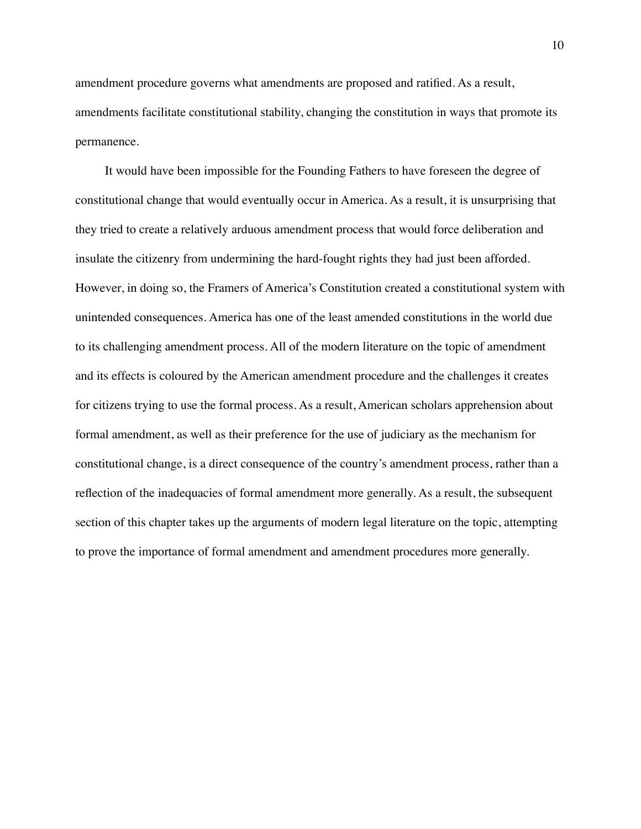amendment procedure governs what amendments are proposed and ratified. As a result, amendments facilitate constitutional stability, changing the constitution in ways that promote its permanence.

It would have been impossible for the Founding Fathers to have foreseen the degree of constitutional change that would eventually occur in America. As a result, it is unsurprising that they tried to create a relatively arduous amendment process that would force deliberation and insulate the citizenry from undermining the hard-fought rights they had just been afforded. However, in doing so, the Framers of America's Constitution created a constitutional system with unintended consequences. America has one of the least amended constitutions in the world due to its challenging amendment process. All of the modern literature on the topic of amendment and its effects is coloured by the American amendment procedure and the challenges it creates for citizens trying to use the formal process. As a result, American scholars apprehension about formal amendment, as well as their preference for the use of judiciary as the mechanism for constitutional change, is a direct consequence of the country's amendment process, rather than a reflection of the inadequacies of formal amendment more generally. As a result, the subsequent section of this chapter takes up the arguments of modern legal literature on the topic, attempting to prove the importance of formal amendment and amendment procedures more generally.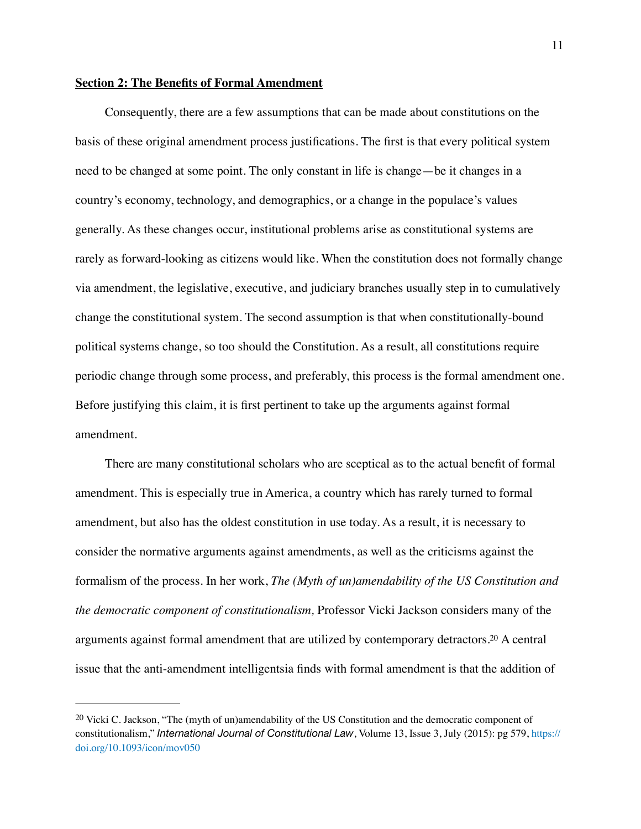#### **Section 2: The Benefits of Formal Amendment**

Consequently, there are a few assumptions that can be made about constitutions on the basis of these original amendment process justifications. The first is that every political system need to be changed at some point. The only constant in life is change—be it changes in a country's economy, technology, and demographics, or a change in the populace's values generally. As these changes occur, institutional problems arise as constitutional systems are rarely as forward-looking as citizens would like. When the constitution does not formally change via amendment, the legislative, executive, and judiciary branches usually step in to cumulatively change the constitutional system. The second assumption is that when constitutionally-bound political systems change, so too should the Constitution. As a result, all constitutions require periodic change through some process, and preferably, this process is the formal amendment one. Before justifying this claim, it is first pertinent to take up the arguments against formal amendment.

There are many constitutional scholars who are sceptical as to the actual benefit of formal amendment. This is especially true in America, a country which has rarely turned to formal amendment, but also has the oldest constitution in use today. As a result, it is necessary to consider the normative arguments against amendments, as well as the criticisms against the formalism of the process. In her work, *The (Myth of un)amendability of the US Constitution and the democratic component of constitutionalism,* Professor Vicki Jackson considers many of the arguments against formal amendment that are utilized by contemporary detractors[.](#page-11-0)<sup>[20](#page-11-0)</sup> A central issue that the anti-amendment intelligentsia finds with formal amendment is that the addition of

<span id="page-11-1"></span><span id="page-11-0"></span><sup>&</sup>lt;sup>[20](#page-11-1)</sup> Vicki C. Jackson, "The (myth of un)amendability of the US Constitution and the democratic component of constitutionalism," *International Journal of Constitutional Law*, Volume 13, Issue 3, July (2015): pg 579, [https://](https://doi.org/10.1093/icon/mov050) [doi.org/10.1093/icon/mov050](https://doi.org/10.1093/icon/mov050)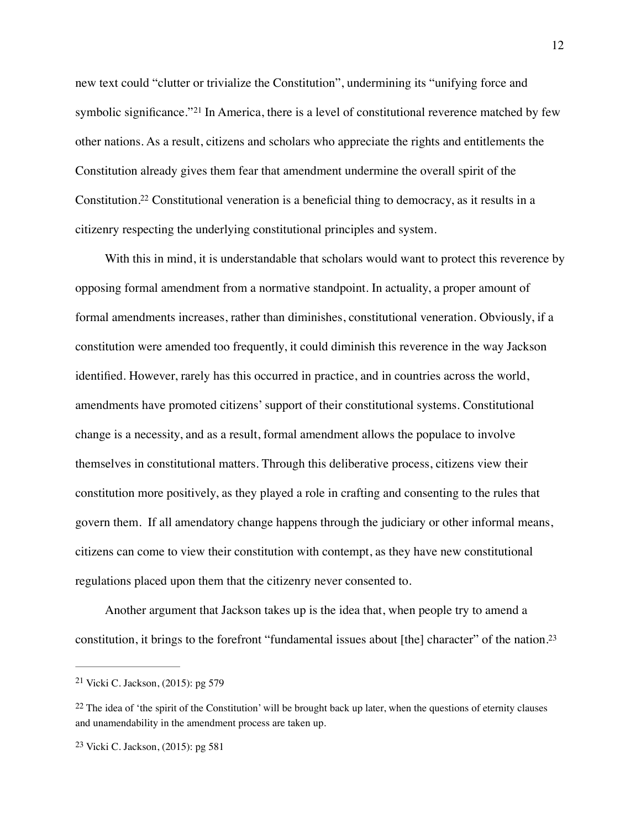<span id="page-12-3"></span>new text could "clutter or trivialize the Constitution", undermining its "unifying force and symbolicsignificance." <sup>[21](#page-12-0)</sup> In America, there is a level of constitutional reverence matched by few other nations. As a result, citizens and scholars who appreciate the rights and entitlements the Constitution already gives them fear that amendment undermine the overall spirit of the Constitution[.](#page-12-1)<sup>[22](#page-12-1)</sup> Constitutional veneration is a beneficial thing to democracy, as it results in a citizenry respecting the underlying constitutional principles and system.

<span id="page-12-4"></span>With this in mind, it is understandable that scholars would want to protect this reverence by opposing formal amendment from a normative standpoint. In actuality, a proper amount of formal amendments increases, rather than diminishes, constitutional veneration. Obviously, if a constitution were amended too frequently, it could diminish this reverence in the way Jackson identified. However, rarely has this occurred in practice, and in countries across the world, amendments have promoted citizens' support of their constitutional systems. Constitutional change is a necessity, and as a result, formal amendment allows the populace to involve themselves in constitutional matters. Through this deliberative process, citizens view their constitution more positively, as they played a role in crafting and consenting to the rules that govern them. If all amendatory change happens through the judiciary or other informal means, citizens can come to view their constitution with contempt, as they have new constitutional regulations placed upon them that the citizenry never consented to.

<span id="page-12-5"></span>Another argument that Jackson takes up is the idea that, when people try to amend a constitution, it brings to the forefront "fundamental issues about [the] character" of the nation[.23](#page-12-2)

<span id="page-12-0"></span><sup>&</sup>lt;sup>[21](#page-12-3)</sup> Vicki C. Jackson,  $(2015)$ : pg 579

<span id="page-12-1"></span> $22$  The idea of 'the spirit of the Constitution' will be brought back up later, when the questions of eternity clauses and unamendability in the amendment process are taken up.

<span id="page-12-2"></span><sup>&</sup>lt;sup>[23](#page-12-5)</sup> Vicki C. Jackson,  $(2015)$ : pg 581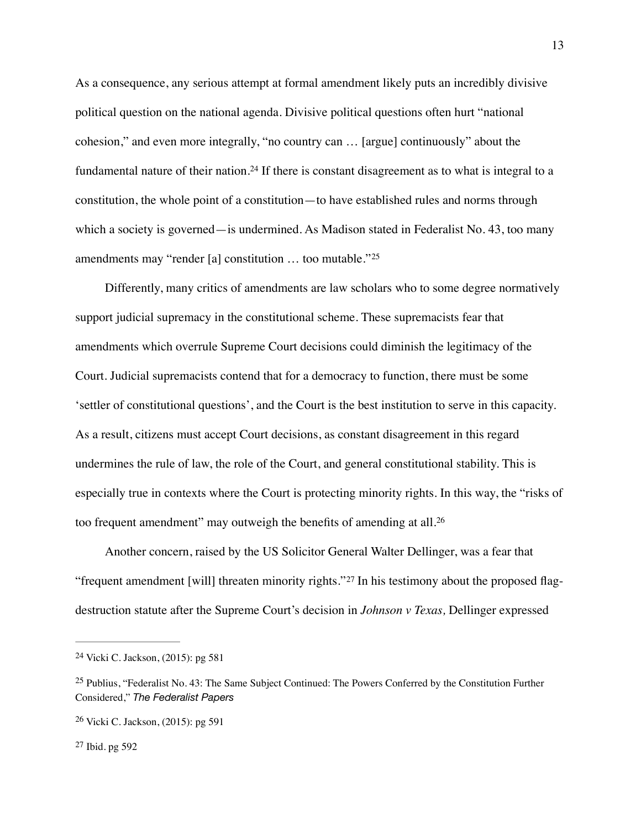<span id="page-13-4"></span>As a consequence, any serious attempt at formal amendment likely puts an incredibly divisive political question on the national agenda. Divisive political questions often hurt "national cohesion," and even more integrally, "no country can … [argue] continuously" about the fundamentalnature of their nation.<sup>[24](#page-13-0)</sup> If there is constant disagreement as to what is integral to a constitution, the whole point of a constitution—to have established rules and norms through which a society is governed—is undermined. As Madison stated in Federalist No. 43, too many amendments may "render [a] constitution … too mutable."[25](#page-13-1)

<span id="page-13-5"></span>Differently, many critics of amendments are law scholars who to some degree normatively support judicial supremacy in the constitutional scheme. These supremacists fear that amendments which overrule Supreme Court decisions could diminish the legitimacy of the Court. Judicial supremacists contend that for a democracy to function, there must be some 'settler of constitutional questions', and the Court is the best institution to serve in this capacity. As a result, citizens must accept Court decisions, as constant disagreement in this regard undermines the rule of law, the role of the Court, and general constitutional stability. This is especially true in contexts where the Court is protecting minority rights. In this way, the "risks of too frequent amendment" may outweigh the benefits of amending at all.[26](#page-13-2)

<span id="page-13-7"></span><span id="page-13-6"></span>Another concern, raised by the US Solicitor General Walter Dellinger, was a fear that "frequentamendment [will] threaten minority rights."<sup>27</sup> In his testimony about the proposed flagdestruction statute after the Supreme Court's decision in *Johnson v Texas,* Dellinger expressed

<span id="page-13-0"></span><sup>&</sup>lt;sup>[24](#page-13-4)</sup> Vicki C. Jackson,  $(2015)$ : pg 581

<span id="page-13-1"></span><sup>&</sup>lt;sup>[25](#page-13-5)</sup> Publius, "Federalist No. 43: The Same Subject Continued: The Powers Conferred by the Constitution Further Considered," *The Federalist Papers*

<span id="page-13-2"></span><sup>&</sup>lt;sup>[26](#page-13-6)</sup> Vicki C. Jackson,  $(2015)$ : pg 591

<span id="page-13-3"></span> $27$  Ibid. pg 592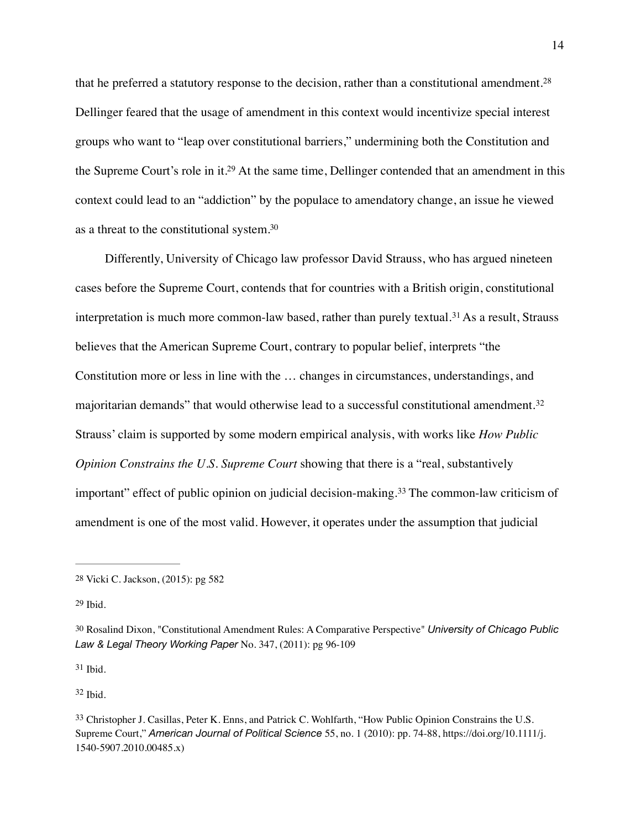<span id="page-14-7"></span><span id="page-14-6"></span>that he preferred a statutory response to the decision, rather than a constitutional amendment.[28](#page-14-0) Dellinger feared that the usage of amendment in this context would incentivize special interest groups who want to "leap over constitutional barriers," undermining both the Constitution and the Supreme Court's role in it[.](#page-14-1)<sup>[29](#page-14-1)</sup> At the same time, Dellinger contended that an amendment in this context could lead to an "addiction" by the populace to amendatory change, an issue he viewed as a threat to the constitutional system[.30](#page-14-2)

<span id="page-14-10"></span><span id="page-14-9"></span><span id="page-14-8"></span>Differently, University of Chicago law professor David Strauss, who has argued nineteen cases before the Supreme Court, contends that for countries with a British origin, constitutional interpretationis much more common-law based, rather than purely textual.<sup>[31](#page-14-3)</sup> As a result, Strauss believes that the American Supreme Court, contrary to popular belief, interprets "the Constitution more or less in line with the … changes in circumstances, understandings, and majoritarian demands" that would otherwise lead to a successful constitutional amendment.[32](#page-14-4) Strauss' claim is supported by some modern empirical analysis, with works like *How Public Opinion Constrains the U.S. Supreme Court showing that there is a "real, substantively* important"effect of public opinion on judicial decision-making.<sup>[33](#page-14-5)</sup> The common-law criticism of amendment is one of the most valid. However, it operates under the assumption that judicial

<span id="page-14-3"></span> $31$  Ibid.

<span id="page-14-4"></span> $32$  Ibid.

<span id="page-14-11"></span><span id="page-14-0"></span>[<sup>28</sup>](#page-14-6) Vicki C. Jackson, (2015): pg 582

<span id="page-14-1"></span>[<sup>29</sup>](#page-14-7) Ibid.

<span id="page-14-2"></span>[<sup>30</sup>](#page-14-8) Rosalind Dixon, "Constitutional Amendment Rules: A Comparative Perspective" *University of Chicago Public Law & Legal Theory Working Paper* No. 347, (2011): pg 96-109

<span id="page-14-5"></span><sup>&</sup>lt;sup>[33](#page-14-11)</sup> Christopher J. Casillas, Peter K. Enns, and Patrick C. Wohlfarth, "How Public Opinion Constrains the U.S. Supreme Court," *American Journal of Political Science* 55, no. 1 (2010): pp. 74-88, https://doi.org/10.1111/j. 1540-5907.2010.00485.x)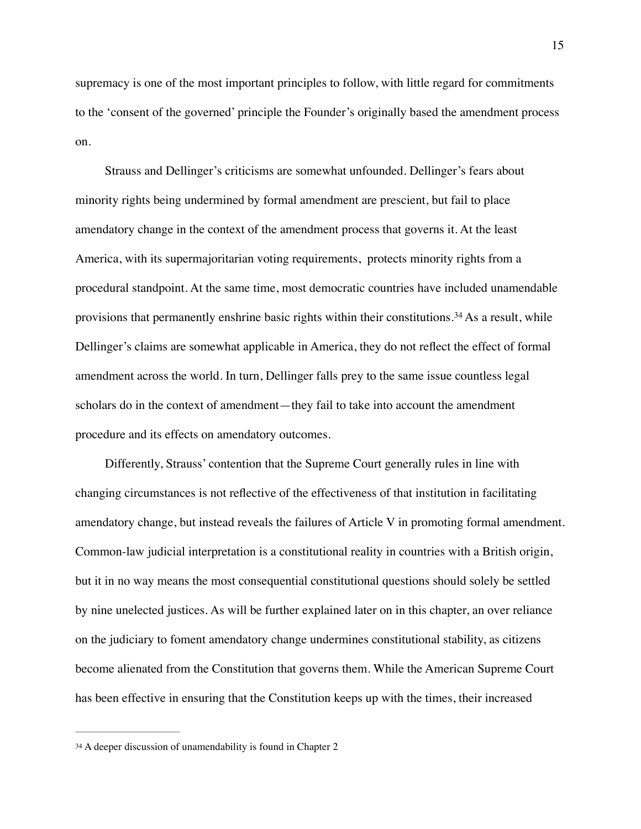supremacy is one of the most important principles to follow, with little regard for commitments to the 'consent of the governed' principle the Founder's originally based the amendment process on.

<span id="page-15-1"></span>Strauss and Dellinger's criticisms are somewhat unfounded. Dellinger's fears about minority rights being undermined by formal amendment are prescient, but fail to place amendatory change in the context of the amendment process that governs it. At the least America, with its supermajoritarian voting requirements, protects minority rights from a procedural standpoint. At the same time, most democratic countries have included unamendable provisionsthat permanently enshrine basic rights within their constitutions.<sup>[34](#page-15-0)</sup> As a result, while Dellinger's claims are somewhat applicable in America, they do not reflect the effect of formal amendment across the world. In turn, Dellinger falls prey to the same issue countless legal scholars do in the context of amendment—they fail to take into account the amendment procedure and its effects on amendatory outcomes.

Differently, Strauss' contention that the Supreme Court generally rules in line with changing circumstances is not reflective of the effectiveness of that institution in facilitating amendatory change, but instead reveals the failures of Article V in promoting formal amendment. Common-law judicial interpretation is a constitutional reality in countries with a British origin, but it in no way means the most consequential constitutional questions should solely be settled by nine unelected justices. As will be further explained later on in this chapter, an over reliance on the judiciary to foment amendatory change undermines constitutional stability, as citizens become alienated from the Constitution that governs them. While the American Supreme Court has been effective in ensuring that the Constitution keeps up with the times, their increased

<span id="page-15-0"></span>[<sup>34</sup>](#page-15-1) A deeper discussion of unamendability is found in Chapter 2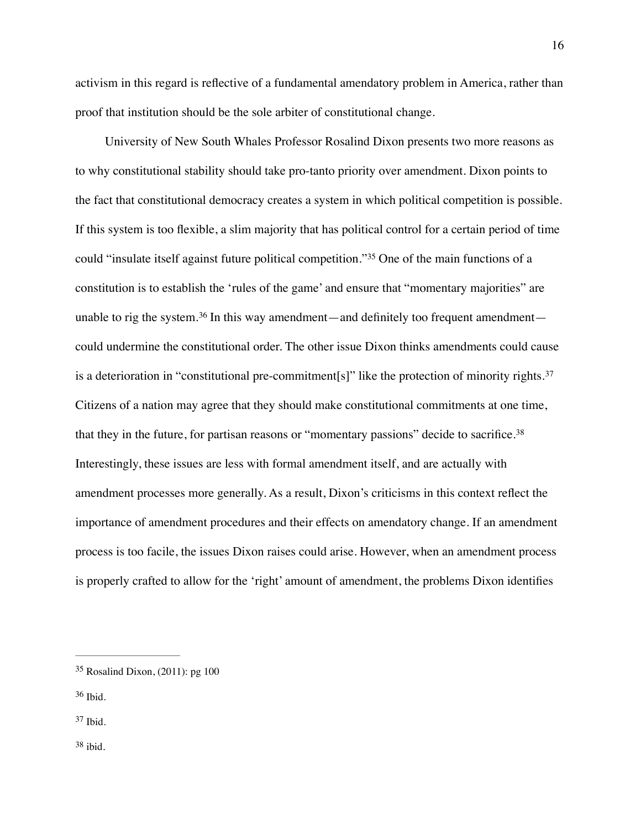activism in this regard is reflective of a fundamental amendatory problem in America, rather than proof that institution should be the sole arbiter of constitutional change.

<span id="page-16-6"></span><span id="page-16-5"></span><span id="page-16-4"></span>University of New South Whales Professor Rosalind Dixon presents two more reasons as to why constitutional stability should take pro-tanto priority over amendment. Dixon points to the fact that constitutional democracy creates a system in which political competition is possible. If this system is too flexible, a slim majority that has political control for a certain period of time could"insulate itself against future political competition."<sup>[35](#page-16-0)</sup> One of the main functions of a constitution is to establish the 'rules of the game' and ensure that "momentary majorities" are unable to rig the system.<sup>36</sup> In this way amendment—and definitely too frequent amendment could undermine the constitutional order. The other issue Dixon thinks amendments could cause is a deterioration in "constitutional pre-commitment[s]" like the protection of minority rights.<sup>[37](#page-16-2)</sup> Citizens of a nation may agree that they should make constitutional commitments at one time, that they in the future, for partisan reasons or "momentary passions" decide to sacrifice.[38](#page-16-3) Interestingly, these issues are less with formal amendment itself, and are actually with amendment processes more generally. As a result, Dixon's criticisms in this context reflect the importance of amendment procedures and their effects on amendatory change. If an amendment process is too facile, the issues Dixon raises could arise. However, when an amendment process is properly crafted to allow for the 'right' amount of amendment, the problems Dixon identifies

<span id="page-16-7"></span><span id="page-16-0"></span> $35$  Rosalind Dixon, (2011): pg 100

<span id="page-16-1"></span> $36$  Ibid.

<span id="page-16-3"></span><span id="page-16-2"></span> $37$  Ibid.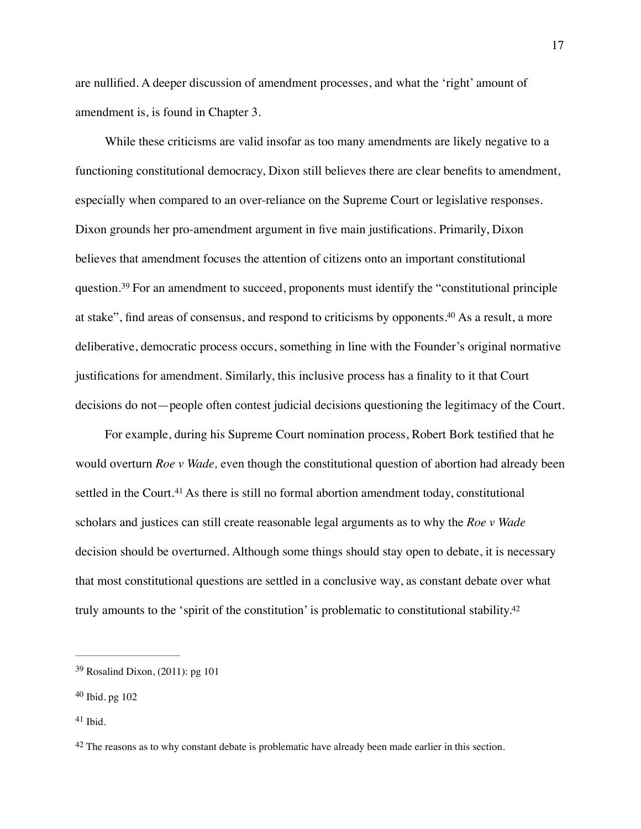are nullified. A deeper discussion of amendment processes, and what the 'right' amount of amendment is, is found in Chapter 3.

<span id="page-17-4"></span>While these criticisms are valid insofar as too many amendments are likely negative to a functioning constitutional democracy, Dixon still believes there are clear benefits to amendment, especially when compared to an over-reliance on the Supreme Court or legislative responses. Dixon grounds her pro-amendment argument in five main justifications. Primarily, Dixon believes that amendment focuses the attention of citizens onto an important constitutional question.<sup>39</sup>For an amendment to succeed, proponents must identify the "constitutional principle at stake", find areas of consensus, and respond to criticisms by opponents[.](#page-17-1)<sup>[40](#page-17-1)</sup> As a result, a more deliberative, democratic process occurs, something in line with the Founder's original normative justifications for amendment. Similarly, this inclusive process has a finality to it that Court decisions do not—people often contest judicial decisions questioning the legitimacy of the Court.

<span id="page-17-6"></span><span id="page-17-5"></span>For example, during his Supreme Court nomination process, Robert Bork testified that he would overturn *Roe v Wade,* even though the constitutional question of abortion had already been settledin the Court.<sup>[41](#page-17-2)</sup> As there is still no formal abortion amendment today, constitutional scholars and justices can still create reasonable legal arguments as to why the *Roe v Wade*  decision should be overturned. Although some things should stay open to debate, it is necessary that most constitutional questions are settled in a conclusive way, as constant debate over what truly amounts to the 'spirit of the constitution' is problematic to constitutional stability[.42](#page-17-3)

<span id="page-17-7"></span><span id="page-17-0"></span> $39$  Rosalind Dixon, (2011): pg 101

<span id="page-17-1"></span> $40$  Ibid. pg  $102$ 

<span id="page-17-2"></span> $41$  Ibid.

<span id="page-17-3"></span> $42$  The reasons as to why constant debate is problematic have already been made earlier in this section.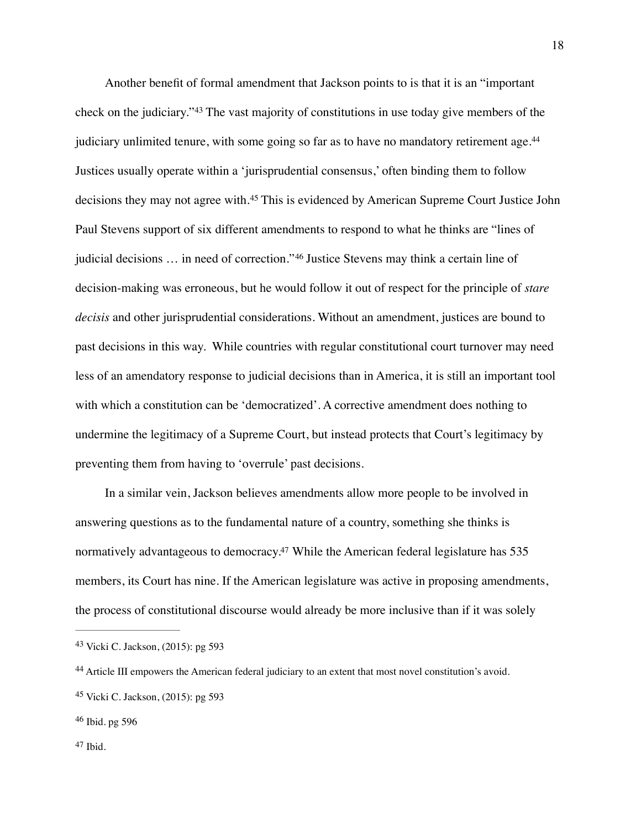<span id="page-18-8"></span><span id="page-18-7"></span><span id="page-18-6"></span><span id="page-18-5"></span>Another benefit of formal amendment that Jackson points to is that it is an "important checkon the judiciary."<sup>[43](#page-18-0)</sup> The vast majority of constitutions in use today give members of the judiciary unlimited tenure, with some going so far as to have no mandatory retirement age.<sup>[44](#page-18-1)</sup> Justices usually operate within a 'jurisprudential consensus,' often binding them to follow decisionsthey may not agree with.<sup>[45](#page-18-2)</sup> This is evidenced by American Supreme Court Justice John Paul Stevens support of six different amendments to respond to what he thinks are "lines of judicialdecisions ... in need of correction."<sup>[46](#page-18-3)</sup> Justice Stevens may think a certain line of decision-making was erroneous, but he would follow it out of respect for the principle of *stare decisis* and other jurisprudential considerations. Without an amendment, justices are bound to past decisions in this way. While countries with regular constitutional court turnover may need less of an amendatory response to judicial decisions than in America, it is still an important tool with which a constitution can be 'democratized'. A corrective amendment does nothing to undermine the legitimacy of a Supreme Court, but instead protects that Court's legitimacy by preventing them from having to 'overrule' past decisions.

<span id="page-18-9"></span>In a similar vein, Jackson believes amendments allow more people to be involved in answering questions as to the fundamental nature of a country, something she thinks is normatively advantageous to democracy[.](#page-18-4)<sup>[47](#page-18-4)</sup> While the American federal legislature has 535 members, its Court has nine. If the American legislature was active in proposing amendments, the process of constitutional discourse would already be more inclusive than if it was solely

<span id="page-18-0"></span><sup>&</sup>lt;sup>[43](#page-18-5)</sup> Vicki C. Jackson, (2015): pg 593

<span id="page-18-1"></span>Article III empowers the American federal judiciary to an extent that most novel constitution's avoid. [44](#page-18-6)

<span id="page-18-2"></span><sup>&</sup>lt;sup>[45](#page-18-7)</sup> Vicki C. Jackson, (2015): pg 593

<span id="page-18-4"></span><span id="page-18-3"></span><sup>&</sup>lt;sup>[46](#page-18-8)</sup> Ibid. pg 596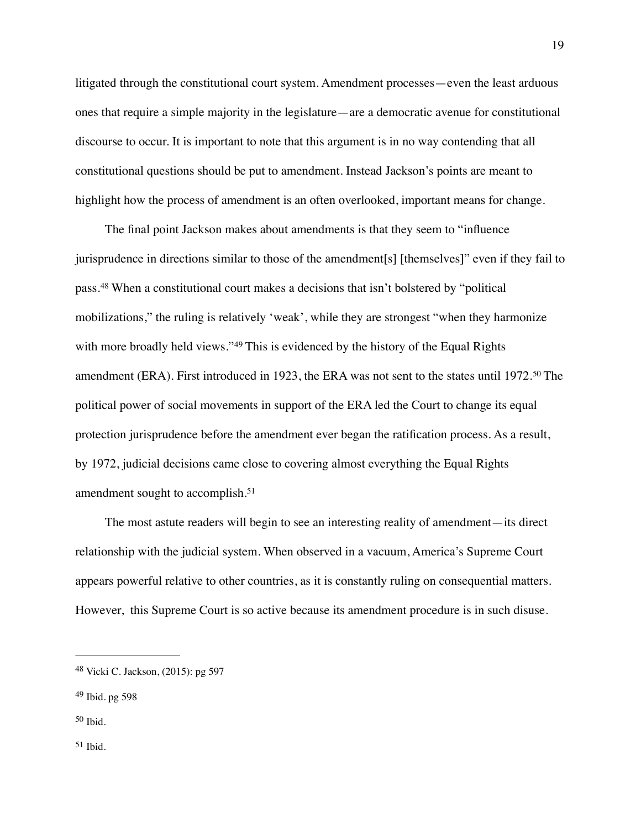litigated through the constitutional court system. Amendment processes—even the least arduous ones that require a simple majority in the legislature—are a democratic avenue for constitutional discourse to occur. It is important to note that this argument is in no way contending that all constitutional questions should be put to amendment. Instead Jackson's points are meant to highlight how the process of amendment is an often overlooked, important means for change.

<span id="page-19-6"></span><span id="page-19-5"></span><span id="page-19-4"></span>The final point Jackson makes about amendments is that they seem to "influence jurisprudence in directions similar to those of the amendment[s] [themselves]" even if they fail to pass.When a constitutional court makes a decisions that isn't bolstered by "political [48](#page-19-0) mobilizations," the ruling is relatively 'weak', while they are strongest "when they harmonize withmore broadly held views."<sup>[49](#page-19-1)</sup> This is evidenced by the history of the Equal Rights amendment(ERA). First introduced in 1923, the ERA was not sent to the states until 1972.<sup>[50](#page-19-2)</sup> The political power of social movements in support of the ERA led the Court to change its equal protection jurisprudence before the amendment ever began the ratification process. As a result, by 1972, judicial decisions came close to covering almost everything the Equal Rights amendment sought to accomplish.[51](#page-19-3)

<span id="page-19-7"></span>The most astute readers will begin to see an interesting reality of amendment—its direct relationship with the judicial system. When observed in a vacuum, America's Supreme Court appears powerful relative to other countries, as it is constantly ruling on consequential matters. However, this Supreme Court is so active because its amendment procedure is in such disuse.

<span id="page-19-0"></span><sup>&</sup>lt;sup>[48](#page-19-4)</sup> Vicki C. Jackson, (2015): pg 597

<span id="page-19-1"></span> $49$  Ibid. pg 598

<span id="page-19-3"></span><span id="page-19-2"></span> $50$  Ibid.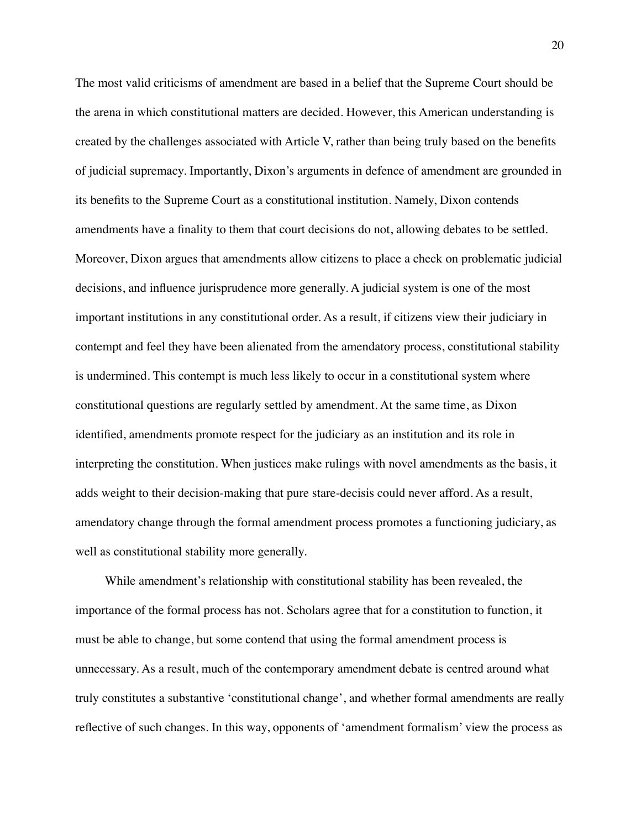The most valid criticisms of amendment are based in a belief that the Supreme Court should be the arena in which constitutional matters are decided. However, this American understanding is created by the challenges associated with Article V, rather than being truly based on the benefits of judicial supremacy. Importantly, Dixon's arguments in defence of amendment are grounded in its benefits to the Supreme Court as a constitutional institution. Namely, Dixon contends amendments have a finality to them that court decisions do not, allowing debates to be settled. Moreover, Dixon argues that amendments allow citizens to place a check on problematic judicial decisions, and influence jurisprudence more generally. A judicial system is one of the most important institutions in any constitutional order. As a result, if citizens view their judiciary in contempt and feel they have been alienated from the amendatory process, constitutional stability is undermined. This contempt is much less likely to occur in a constitutional system where constitutional questions are regularly settled by amendment. At the same time, as Dixon identified, amendments promote respect for the judiciary as an institution and its role in interpreting the constitution. When justices make rulings with novel amendments as the basis, it adds weight to their decision-making that pure stare-decisis could never afford. As a result, amendatory change through the formal amendment process promotes a functioning judiciary, as well as constitutional stability more generally.

While amendment's relationship with constitutional stability has been revealed, the importance of the formal process has not. Scholars agree that for a constitution to function, it must be able to change, but some contend that using the formal amendment process is unnecessary. As a result, much of the contemporary amendment debate is centred around what truly constitutes a substantive 'constitutional change', and whether formal amendments are really reflective of such changes. In this way, opponents of 'amendment formalism' view the process as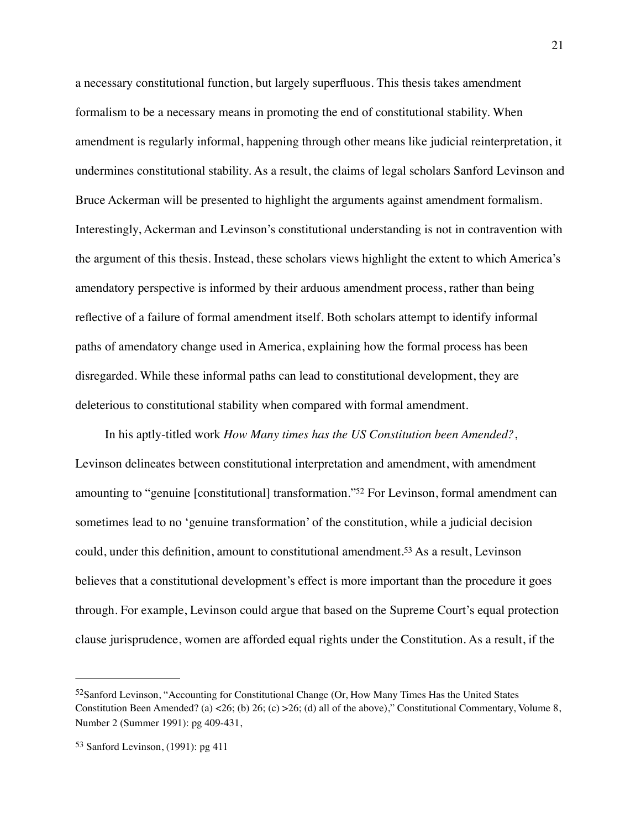a necessary constitutional function, but largely superfluous. This thesis takes amendment formalism to be a necessary means in promoting the end of constitutional stability. When amendment is regularly informal, happening through other means like judicial reinterpretation, it undermines constitutional stability. As a result, the claims of legal scholars Sanford Levinson and Bruce Ackerman will be presented to highlight the arguments against amendment formalism. Interestingly, Ackerman and Levinson's constitutional understanding is not in contravention with the argument of this thesis. Instead, these scholars views highlight the extent to which America's amendatory perspective is informed by their arduous amendment process, rather than being reflective of a failure of formal amendment itself. Both scholars attempt to identify informal paths of amendatory change used in America, explaining how the formal process has been disregarded. While these informal paths can lead to constitutional development, they are deleterious to constitutional stability when compared with formal amendment.

<span id="page-21-3"></span><span id="page-21-2"></span>In his aptly-titled work *How Many times has the US Constitution been Amended?*, Levinson delineates between constitutional interpretation and amendment, with amendment amounting to ["](#page-21-0)genuine [constitutional] transformation."<sup>[52](#page-21-0)</sup> For Levinson, formal amendment can sometimes lead to no 'genuine transformation' of the constitution, while a judicial decision could,under this definition, amount to constitutional amendment.<sup>[53](#page-21-1)</sup> As a result, Levinson believes that a constitutional development's effect is more important than the procedure it goes through. For example, Levinson could argue that based on the Supreme Court's equal protection clause jurisprudence, women are afforded equal rights under the Constitution. As a result, if the

<span id="page-21-0"></span> $52$ Sanford Levinson, "Accounting for Constitutional Change (Or, How Many Times Has the United States Constitution Been Amended? (a) <26; (b) 26; (c) >26; (d) all of the above)," Constitutional Commentary, Volume 8, Number 2 (Summer 1991): pg 409-431,

<span id="page-21-1"></span> $53$  Sanford Levinson, (1991): pg 411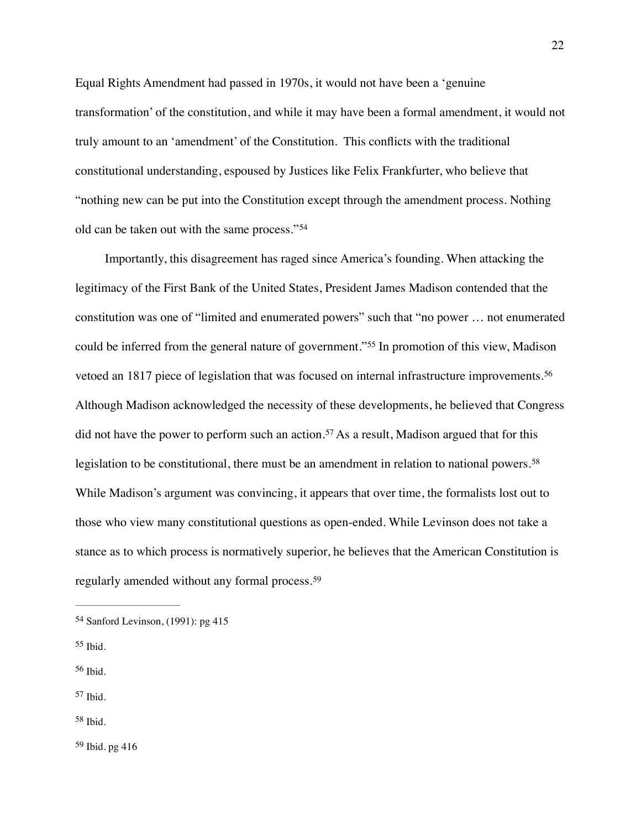Equal Rights Amendment had passed in 1970s, it would not have been a 'genuine transformation' of the constitution, and while it may have been a formal amendment, it would not truly amount to an 'amendment' of the Constitution. This conflicts with the traditional constitutional understanding, espoused by Justices like Felix Frankfurter, who believe that "nothing new can be put into the Constitution except through the amendment process. Nothing old can be taken out with the same process."[54](#page-22-0)

<span id="page-22-9"></span><span id="page-22-8"></span><span id="page-22-7"></span><span id="page-22-6"></span>Importantly, this disagreement has raged since America's founding. When attacking the legitimacy of the First Bank of the United States, President James Madison contended that the constitution was one of "limited and enumerated powers" such that "no power … not enumerated couldbe inferred from the general nature of government."<sup>[55](#page-22-1)</sup> In promotion of this view, Madison vetoed an 1817 piece of legislation that was focused on internal infrastructure improvements.[56](#page-22-2) Although Madison acknowledged the necessity of these developments, he believed that Congress didnot have the power to perform such an action.<sup>[57](#page-22-3)</sup> As a result, Madison argued that for this legislation to be constitutional, there must be an amendment in relation to national powers.<sup>[58](#page-22-4)</sup> While Madison's argument was convincing, it appears that over time, the formalists lost out to those who view many constitutional questions as open-ended. While Levinson does not take a stance as to which process is normatively superior, he believes that the American Constitution is regularly amended without any formal process.[59](#page-22-5)

- <span id="page-22-1"></span>[55](#page-22-7) Ibid.
- <span id="page-22-2"></span> $56$  Ibid.
- <span id="page-22-3"></span> $57$  Ibid.
- <span id="page-22-4"></span>[58](#page-22-10) Ibid.

<span id="page-22-5"></span> $59$  Ibid. pg 416

<span id="page-22-11"></span><span id="page-22-10"></span><span id="page-22-0"></span> $54$  Sanford Levinson, (1991): pg 415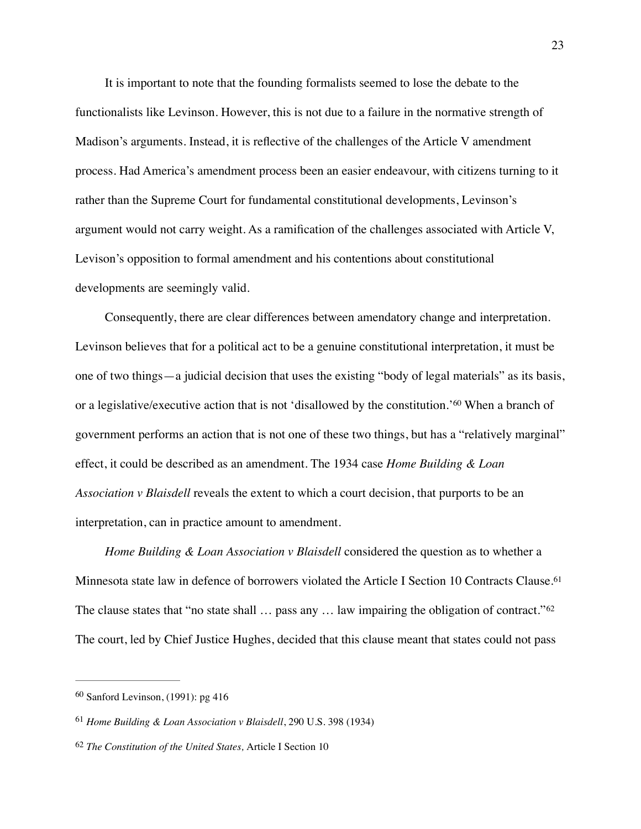It is important to note that the founding formalists seemed to lose the debate to the functionalists like Levinson. However, this is not due to a failure in the normative strength of Madison's arguments. Instead, it is reflective of the challenges of the Article V amendment process. Had America's amendment process been an easier endeavour, with citizens turning to it rather than the Supreme Court for fundamental constitutional developments, Levinson's argument would not carry weight. As a ramification of the challenges associated with Article V, Levison's opposition to formal amendment and his contentions about constitutional developments are seemingly valid.

<span id="page-23-3"></span>Consequently, there are clear differences between amendatory change and interpretation. Levinson believes that for a political act to be a genuine constitutional interpretation, it must be one of two things—a judicial decision that uses the existing "body of legal materials" as its basis, ora legislative/executive action that is not 'disallowed by the constitution.'<sup>[60](#page-23-0)</sup> When a branch of government performs an action that is not one of these two things, but has a "relatively marginal" effect, it could be described as an amendment. The 1934 case *Home Building & Loan Association v Blaisdell* reveals the extent to which a court decision, that purports to be an interpretation, can in practice amount to amendment.

<span id="page-23-5"></span><span id="page-23-4"></span>*Home Building & Loan Association v Blaisdell* considered the question as to whether a Minnesota state law in defence of borrowers violated the Article I Section 10 Contracts Clause.<sup>[61](#page-23-1)</sup> The clause states that "no state shall ... pass any ... law impairing the obligation of contract."<sup>[62](#page-23-2)</sup> The court, led by Chief Justice Hughes, decided that this clause meant that states could not pass

<span id="page-23-0"></span> $60$  Sanford Levinson, (1991): pg 416

<span id="page-23-1"></span><sup>&</sup>lt;sup>[61](#page-23-4)</sup> Home Building & Loan Association v Blaisdell, 290 U.S. 398 (1934)

<span id="page-23-2"></span><sup>&</sup>lt;sup>[62](#page-23-5)</sup> The Constitution of the United States, Article I Section 10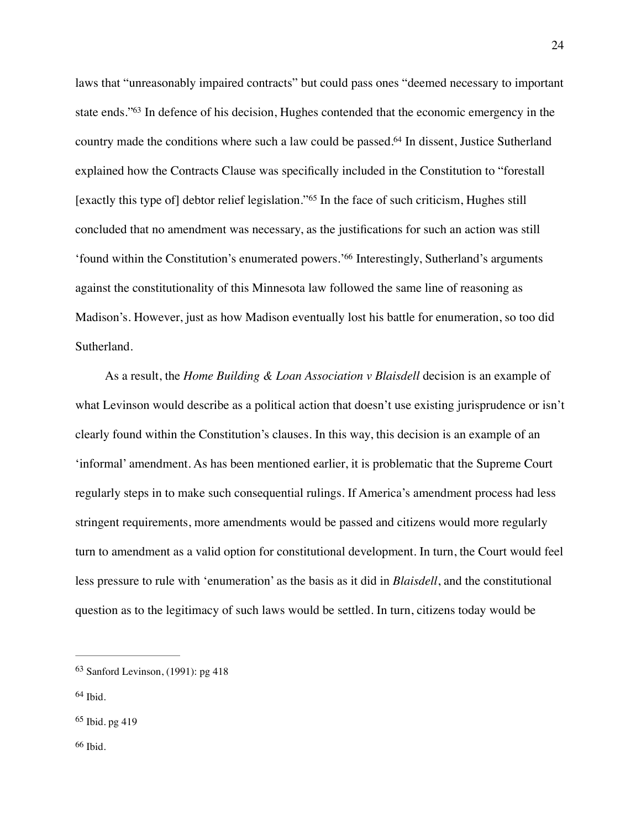<span id="page-24-6"></span><span id="page-24-5"></span><span id="page-24-4"></span>laws that "unreasonably impaired contracts" but could pass ones "deemed necessary to important state ends.["](#page-24-0)<sup>[63](#page-24-0)</sup> In defence of his decision, Hughes contended that the economic emergency in the country made the conditions where such a law could be passed[.](#page-24-1)<sup>[64](#page-24-1)</sup> In dissent, Justice Sutherland explained how the Contracts Clause was specifically included in the Constitution to "forestall [exactlythis type of] debtor relief legislation."<sup>[65](#page-24-2)</sup> In the face of such criticism, Hughes still concluded that no amendment was necessary, as the justifications for such an action was still ['](#page-24-3)found within the Constitution's enumerated powers.'<sup>[66](#page-24-3)</sup> Interestingly, Sutherland's arguments against the constitutionality of this Minnesota law followed the same line of reasoning as Madison's. However, just as how Madison eventually lost his battle for enumeration, so too did Sutherland.

<span id="page-24-7"></span>As a result, the *Home Building & Loan Association v Blaisdell* decision is an example of what Levinson would describe as a political action that doesn't use existing jurisprudence or isn't clearly found within the Constitution's clauses. In this way, this decision is an example of an 'informal' amendment. As has been mentioned earlier, it is problematic that the Supreme Court regularly steps in to make such consequential rulings. If America's amendment process had less stringent requirements, more amendments would be passed and citizens would more regularly turn to amendment as a valid option for constitutional development. In turn, the Court would feel less pressure to rule with 'enumeration' as the basis as it did in *Blaisdell*, and the constitutional question as to the legitimacy of such laws would be settled. In turn, citizens today would be

<span id="page-24-0"></span> $63$  Sanford Levinson, (1991): pg 418

<span id="page-24-1"></span> $64$  Ibid.

<span id="page-24-3"></span><span id="page-24-2"></span> $65$  Ibid. pg 419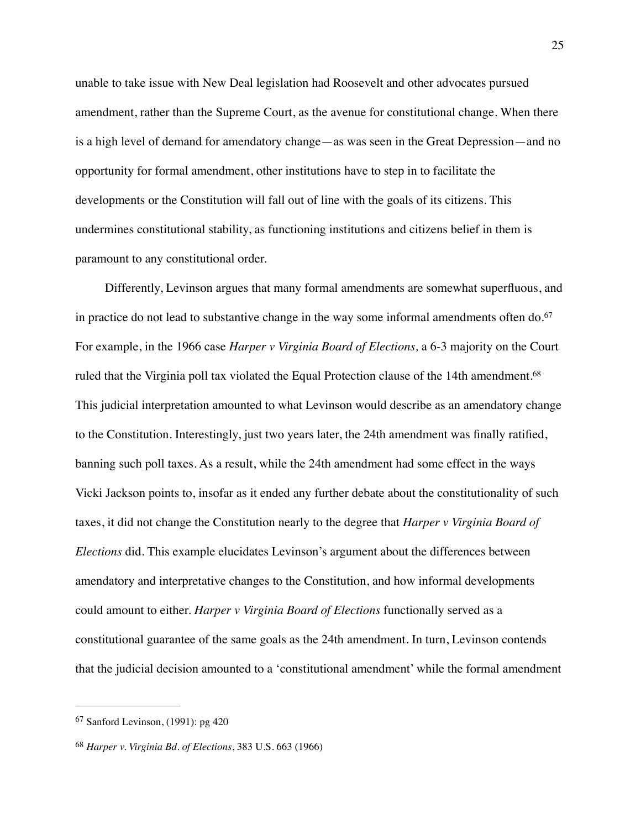unable to take issue with New Deal legislation had Roosevelt and other advocates pursued amendment, rather than the Supreme Court, as the avenue for constitutional change. When there is a high level of demand for amendatory change—as was seen in the Great Depression—and no opportunity for formal amendment, other institutions have to step in to facilitate the developments or the Constitution will fall out of line with the goals of its citizens. This undermines constitutional stability, as functioning institutions and citizens belief in them is paramount to any constitutional order.

<span id="page-25-3"></span><span id="page-25-2"></span>Differently, Levinson argues that many formal amendments are somewhat superfluous, and in practice do not lead to substantive change in the way some informal amendments often do.<sup>[67](#page-25-0)</sup> For example, in the 1966 case *Harper v Virginia Board of Elections,* a 6-3 majority on the Court ruled that the Virginia poll tax violated the Equal Protection clause of the 14th amendment.<sup>68</sup> This judicial interpretation amounted to what Levinson would describe as an amendatory change to the Constitution. Interestingly, just two years later, the 24th amendment was finally ratified, banning such poll taxes. As a result, while the 24th amendment had some effect in the ways Vicki Jackson points to, insofar as it ended any further debate about the constitutionality of such taxes, it did not change the Constitution nearly to the degree that *Harper v Virginia Board of Elections* did. This example elucidates Levinson's argument about the differences between amendatory and interpretative changes to the Constitution, and how informal developments could amount to either. *Harper v Virginia Board of Elections* functionally served as a constitutional guarantee of the same goals as the 24th amendment. In turn, Levinson contends that the judicial decision amounted to a 'constitutional amendment' while the formal amendment

<span id="page-25-0"></span> $67$  Sanford Levinson, (1991): pg 420

<span id="page-25-1"></span>*Harper v. Virginia Bd. of Elections*, 383 U.S. 663 (1966) [68](#page-25-3)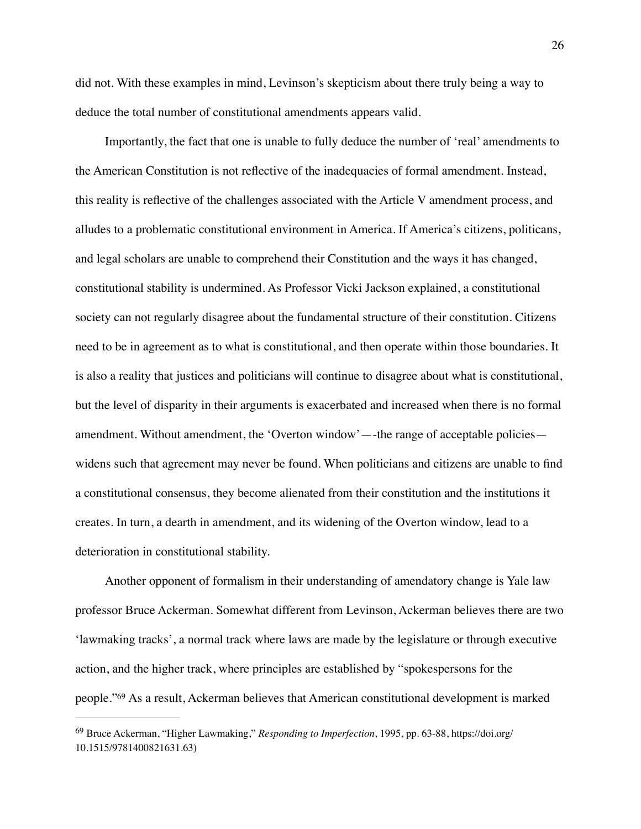did not. With these examples in mind, Levinson's skepticism about there truly being a way to deduce the total number of constitutional amendments appears valid.

Importantly, the fact that one is unable to fully deduce the number of 'real' amendments to the American Constitution is not reflective of the inadequacies of formal amendment. Instead, this reality is reflective of the challenges associated with the Article V amendment process, and alludes to a problematic constitutional environment in America. If America's citizens, politicans, and legal scholars are unable to comprehend their Constitution and the ways it has changed, constitutional stability is undermined. As Professor Vicki Jackson explained, a constitutional society can not regularly disagree about the fundamental structure of their constitution. Citizens need to be in agreement as to what is constitutional, and then operate within those boundaries. It is also a reality that justices and politicians will continue to disagree about what is constitutional, but the level of disparity in their arguments is exacerbated and increased when there is no formal amendment. Without amendment, the 'Overton window'—-the range of acceptable policies widens such that agreement may never be found. When politicians and citizens are unable to find a constitutional consensus, they become alienated from their constitution and the institutions it creates. In turn, a dearth in amendment, and its widening of the Overton window, lead to a deterioration in constitutional stability.

Another opponent of formalism in their understanding of amendatory change is Yale law professor Bruce Ackerman. Somewhat different from Levinson, Ackerman believes there are two 'lawmaking tracks', a normal track where laws are made by the legislature or through executive action, and the higher track, where principles are established by "spokespersons for the people.["](#page-26-0)<sup>[69](#page-26-0)</sup> As a result, Ackerman believes that American constitutional development is marked

<span id="page-26-1"></span><span id="page-26-0"></span><sup>&</sup>lt;sup>[69](#page-26-1)</sup> Bruce Ackerman, "Higher Lawmaking," *Responding to Imperfection*, 1995, pp. 63-88, https://doi.org/ 10.1515/9781400821631.63)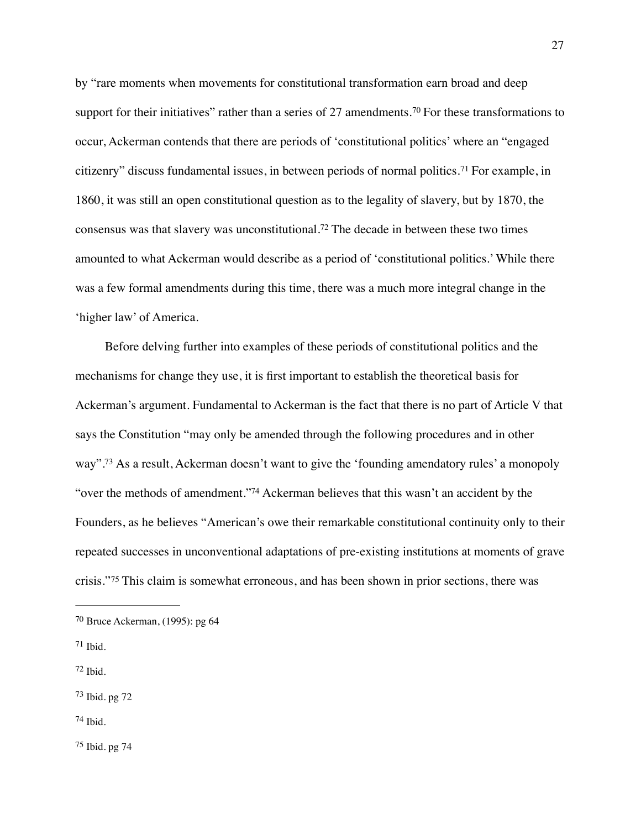<span id="page-27-7"></span><span id="page-27-6"></span>by "rare moments when movements for constitutional transformation earn broad and deep supportfor their initiatives" rather than a series of 27 amendments.<sup>[70](#page-27-0)</sup> For these transformations to occur, Ackerman contends that there are periods of 'constitutional politics' where an "engaged citizenry"discuss fundamental issues, in between periods of normal politics.<sup>[71](#page-27-1)</sup> For example, in 1860, it was still an open constitutional question as to the legality of slavery, but by 1870, the consensuswas that slavery was unconstitutional.<sup>[72](#page-27-2)</sup> The decade in between these two times amounted to what Ackerman would describe as a period of 'constitutional politics.' While there was a few formal amendments during this time, there was a much more integral change in the 'higher law' of America.

<span id="page-27-9"></span><span id="page-27-8"></span>Before delving further into examples of these periods of constitutional politics and the mechanisms for change they use, it is first important to establish the theoretical basis for Ackerman's argument. Fundamental to Ackerman is the fact that there is no part of Article V that says the Constitution "may only be amended through the following procedures and in other way"[.](#page-27-3)<sup>[73](#page-27-3)</sup> As a result, Ackerman doesn't want to give the 'founding amendatory rules' a monopoly ["](#page-27-4)over the methods of amendment."<sup>[74](#page-27-4)</sup> Ackerman believes that this wasn't an accident by the Founders, as he believes "American's owe their remarkable constitutional continuity only to their repeated successes in unconventional adaptations of pre-existing institutions at moments of grave crisis."<sup>[75](#page-27-5)</sup> This claim is somewhat erroneous, and has been shown in prior sections, there was

- <span id="page-27-2"></span> $72$  Ibid.
- <span id="page-27-3"></span> $73$  Ibid. pg  $72$
- <span id="page-27-4"></span> $74$  Ibid.

<span id="page-27-11"></span><span id="page-27-10"></span><span id="page-27-0"></span> $70$  Bruce Ackerman, (1995): pg 64

<span id="page-27-1"></span> $71$  Ibid.

<span id="page-27-5"></span> $75$  Ibid. pg  $74$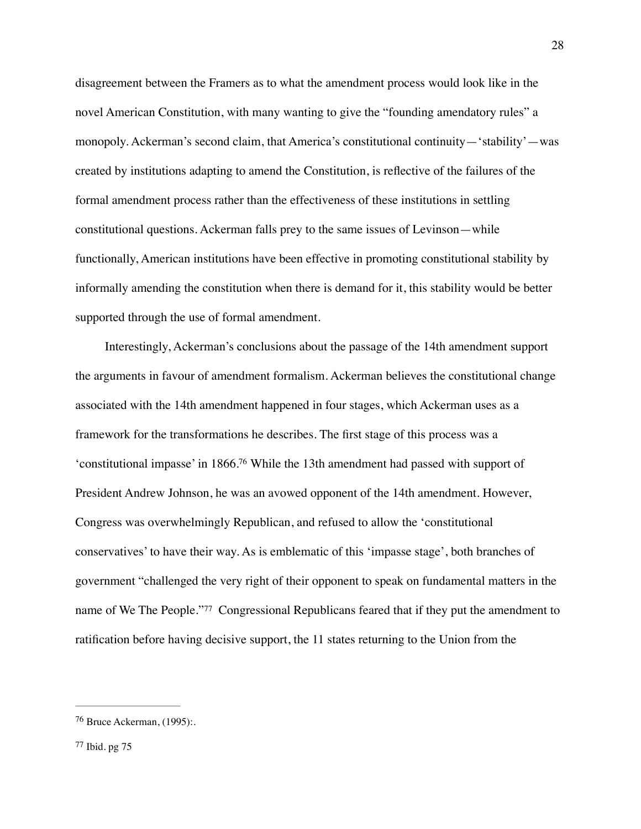disagreement between the Framers as to what the amendment process would look like in the novel American Constitution, with many wanting to give the "founding amendatory rules" a monopoly. Ackerman's second claim, that America's constitutional continuity—'stability'—was created by institutions adapting to amend the Constitution, is reflective of the failures of the formal amendment process rather than the effectiveness of these institutions in settling constitutional questions. Ackerman falls prey to the same issues of Levinson—while functionally, American institutions have been effective in promoting constitutional stability by informally amending the constitution when there is demand for it, this stability would be better supported through the use of formal amendment.

<span id="page-28-2"></span>Interestingly, Ackerman's conclusions about the passage of the 14th amendment support the arguments in favour of amendment formalism. Ackerman believes the constitutional change associated with the 14th amendment happened in four stages, which Ackerman uses as a framework for the transformations he describes. The first stage of this process was a 'constitutional impasse' in 1866[.](#page-28-0)<sup>[76](#page-28-0)</sup> While the 13th amendment had passed with support of President Andrew Johnson, he was an avowed opponent of the 14th amendment. However, Congress was overwhelmingly Republican, and refused to allow the 'constitutional conservatives' to have their way. As is emblematic of this 'impasse stage', both branches of government "challenged the very right of their opponent to speak on fundamental matters in the nameof We The People."<sup>[77](#page-28-1)</sup> Congressional Republicans feared that if they put the amendment to ratification before having decisive support, the 11 states returning to the Union from the

<span id="page-28-3"></span><span id="page-28-1"></span><span id="page-28-0"></span>[<sup>76</sup>](#page-28-2) Bruce Ackerman, (1995):.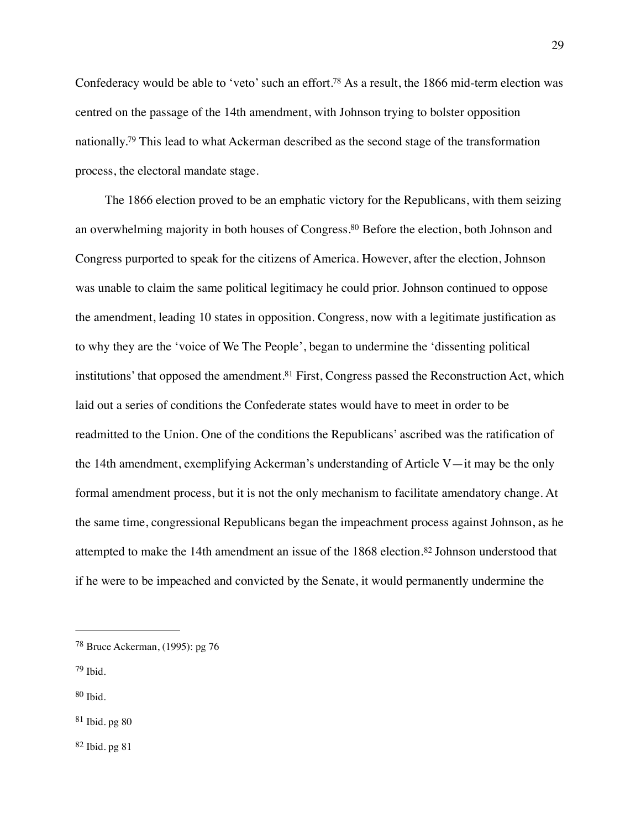<span id="page-29-6"></span><span id="page-29-5"></span>Confederacy would be able to 'veto' such an effort[.](#page-29-0)<sup>[78](#page-29-0)</sup> As a result, the 1866 mid-term election was centred on the passage of the 14th amendment, with Johnson trying to bolster opposition nationally[.](#page-29-1)<sup>[79](#page-29-1)</sup> This lead to what Ackerman described as the second stage of the transformation process, the electoral mandate stage.

<span id="page-29-8"></span><span id="page-29-7"></span>The 1866 election proved to be an emphatic victory for the Republicans, with them seizing an overwhelming majority in both houses of Congress[.](#page-29-2)<sup>[80](#page-29-2)</sup> Before the election, both Johnson and Congress purported to speak for the citizens of America. However, after the election, Johnson was unable to claim the same political legitimacy he could prior. Johnson continued to oppose the amendment, leading 10 states in opposition. Congress, now with a legitimate justification as to why they are the 'voice of We The People', began to undermine the 'dissenting political institutions' that opposed the amendment[.](#page-29-3)<sup>[81](#page-29-3)</sup> First, Congress passed the Reconstruction Act, which laid out a series of conditions the Confederate states would have to meet in order to be readmitted to the Union. One of the conditions the Republicans' ascribed was the ratification of the 14th amendment, exemplifying Ackerman's understanding of Article V—it may be the only formal amendment process, but it is not the only mechanism to facilitate amendatory change. At the same time, congressional Republicans began the impeachment process against Johnson, as he attemptedto make the 14th amendment an issue of the  $1868$  election.<sup>[82](#page-29-4)</sup> Johnson understood that if he were to be impeached and convicted by the Senate, it would permanently undermine the

- <span id="page-29-1"></span> $79$  Ibid.
- <span id="page-29-2"></span> $80$  Ibid.
- <span id="page-29-3"></span> $81$  Ibid. pg  $80$

<span id="page-29-4"></span> $82$  Ibid. pg  $81$ 

<span id="page-29-9"></span><span id="page-29-0"></span><sup>&</sup>lt;sup>[78](#page-29-5)</sup> Bruce Ackerman, (1995): pg 76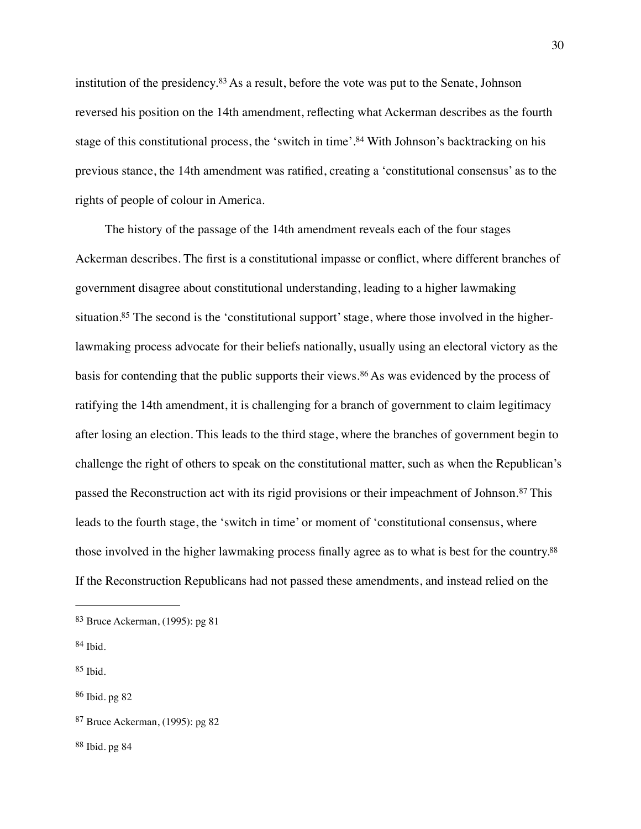<span id="page-30-7"></span><span id="page-30-6"></span>institutionof the presidency. $83$  As a result, before the vote was put to the Senate, Johnson reversed his position on the 14th amendment, reflecting what Ackerman describes as the fourth stageof this constitutional process, the 'switch in time'.<sup>[84](#page-30-1)</sup> With Johnson's backtracking on his previous stance, the 14th amendment was ratified, creating a 'constitutional consensus' as to the rights of people of colour in America.

<span id="page-30-9"></span><span id="page-30-8"></span>The history of the passage of the 14th amendment reveals each of the four stages Ackerman describes. The first is a constitutional impasse or conflict, where different branches of government disagree about constitutional understanding, leading to a higher lawmaking situation[.](#page-30-2)<sup>85</sup> The second is the 'constitutional support' stage, where those involved in the higherlawmaking process advocate for their beliefs nationally, usually using an electoral victory as the basisfor contending that the public supports their views.<sup>[86](#page-30-3)</sup> As was evidenced by the process of ratifying the 14th amendment, it is challenging for a branch of government to claim legitimacy after losing an election. This leads to the third stage, where the branches of government begin to challenge the right of others to speak on the constitutional matter, such as when the Republican's passedthe Reconstruction act with its rigid provisions or their impeachment of Johnson.<sup>[87](#page-30-4)</sup> This leads to the fourth stage, the 'switch in time' or moment of 'constitutional consensus, where those involved in the higher lawmaking process finally agree as to what is best for the country[.](#page-30-5)<sup>[88](#page-30-5)</sup> If the Reconstruction Republicans had not passed these amendments, and instead relied on the

<span id="page-30-2"></span> $85$  Ibid.

<span id="page-30-5"></span> $88$  Ibid. pg  $84$ 

<span id="page-30-11"></span><span id="page-30-10"></span><span id="page-30-0"></span> $83$  Bruce Ackerman, (1995): pg 81

<span id="page-30-1"></span> $84$  Ibid.

<span id="page-30-3"></span> $86$  Ibid. pg  $82$ 

<span id="page-30-4"></span> $87$  Bruce Ackerman, (1995): pg  $82$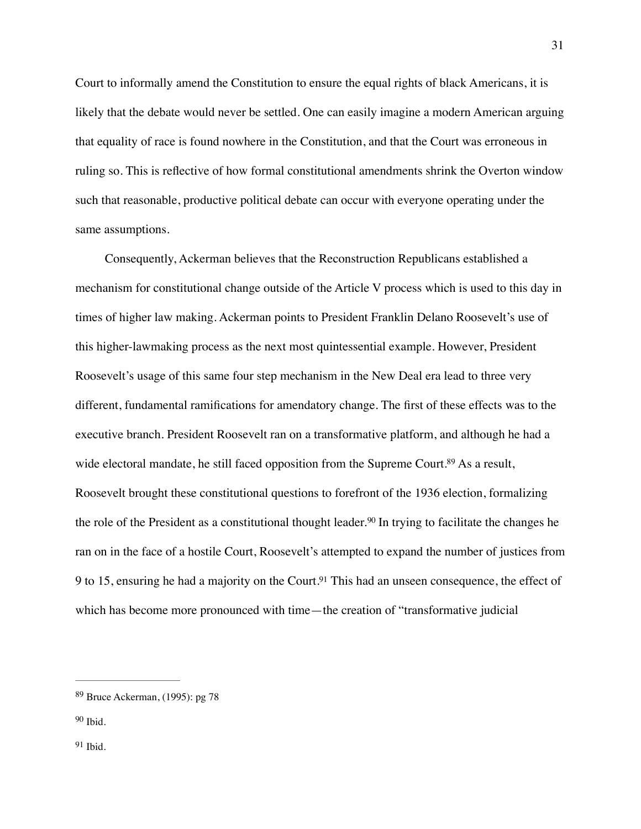Court to informally amend the Constitution to ensure the equal rights of black Americans, it is likely that the debate would never be settled. One can easily imagine a modern American arguing that equality of race is found nowhere in the Constitution, and that the Court was erroneous in ruling so. This is reflective of how formal constitutional amendments shrink the Overton window such that reasonable, productive political debate can occur with everyone operating under the same assumptions.

<span id="page-31-3"></span>Consequently, Ackerman believes that the Reconstruction Republicans established a mechanism for constitutional change outside of the Article V process which is used to this day in times of higher law making. Ackerman points to President Franklin Delano Roosevelt's use of this higher-lawmaking process as the next most quintessential example. However, President Roosevelt's usage of this same four step mechanism in the New Deal era lead to three very different, fundamental ramifications for amendatory change. The first of these effects was to the executive branch. President Roosevelt ran on a transformative platform, and although he had a wide electoral mandate, he still faced opposition from the Supreme Court[.](#page-31-0)<sup>[89](#page-31-0)</sup> As a result, Roosevelt brought these constitutional questions to forefront of the 1936 election, formalizing therole of the President as a constitutional thought leader.<sup>[90](#page-31-1)</sup> In trying to facilitate the changes he ran on in the face of a hostile Court, Roosevelt's attempted to expand the number of justices from 9 to 15, ensuring he had a majority on the Court[.](#page-31-2)<sup>[91](#page-31-2)</sup> This had an unseen consequence, the effect of which has become more pronounced with time—the creation of "transformative judicial

<span id="page-31-1"></span> $90$  Ibid.

<span id="page-31-2"></span> $91$  Ibid.

<span id="page-31-5"></span><span id="page-31-4"></span><span id="page-31-0"></span><sup>&</sup>lt;sup>[89](#page-31-3)</sup> Bruce Ackerman, (1995): pg 78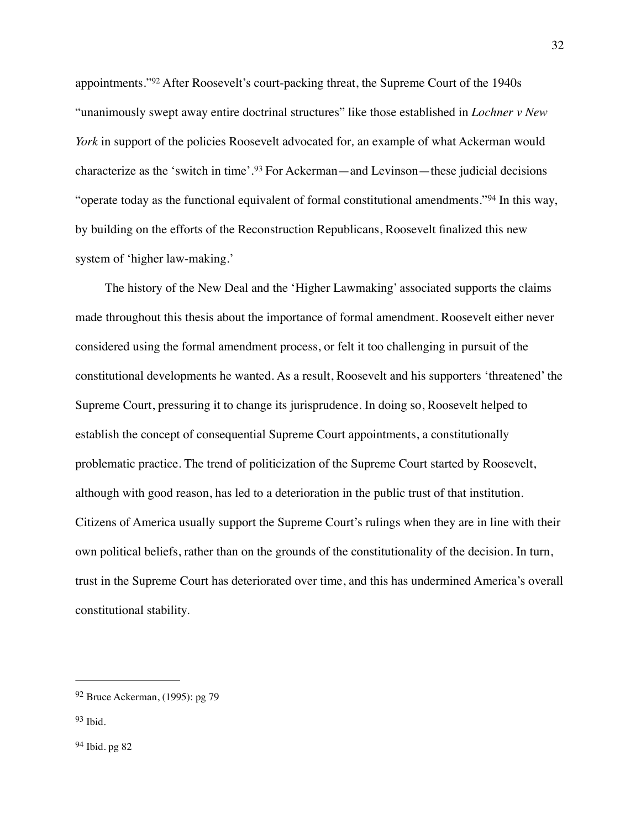<span id="page-32-4"></span><span id="page-32-3"></span>appointments."<sup>92</sup>After Roosevelt's court-packing threat, the Supreme Court of the 1940s "unanimously swept away entire doctrinal structures" like those established in *Lochner v New York* in support of the policies Roosevelt advocated for*,* an example of what Ackerman would characterizeas the 'switch in time'.<sup>[93](#page-32-1)</sup> For Ackerman—and Levinson—these judicial decisions "operatetoday as the functional equivalent of formal constitutional amendments."<sup>[94](#page-32-2)</sup> In this way, by building on the efforts of the Reconstruction Republicans, Roosevelt finalized this new system of 'higher law-making.'

<span id="page-32-5"></span>The history of the New Deal and the 'Higher Lawmaking' associated supports the claims made throughout this thesis about the importance of formal amendment. Roosevelt either never considered using the formal amendment process, or felt it too challenging in pursuit of the constitutional developments he wanted. As a result, Roosevelt and his supporters 'threatened' the Supreme Court, pressuring it to change its jurisprudence. In doing so, Roosevelt helped to establish the concept of consequential Supreme Court appointments, a constitutionally problematic practice. The trend of politicization of the Supreme Court started by Roosevelt, although with good reason, has led to a deterioration in the public trust of that institution. Citizens of America usually support the Supreme Court's rulings when they are in line with their own political beliefs, rather than on the grounds of the constitutionality of the decision. In turn, trust in the Supreme Court has deteriorated over time, and this has undermined America's overall constitutional stability.

<span id="page-32-2"></span> $94$  Ibid. pg 82

<span id="page-32-0"></span> $92$  Bruce Ackerman, (1995): pg 79

<span id="page-32-1"></span> $93$  Ibid.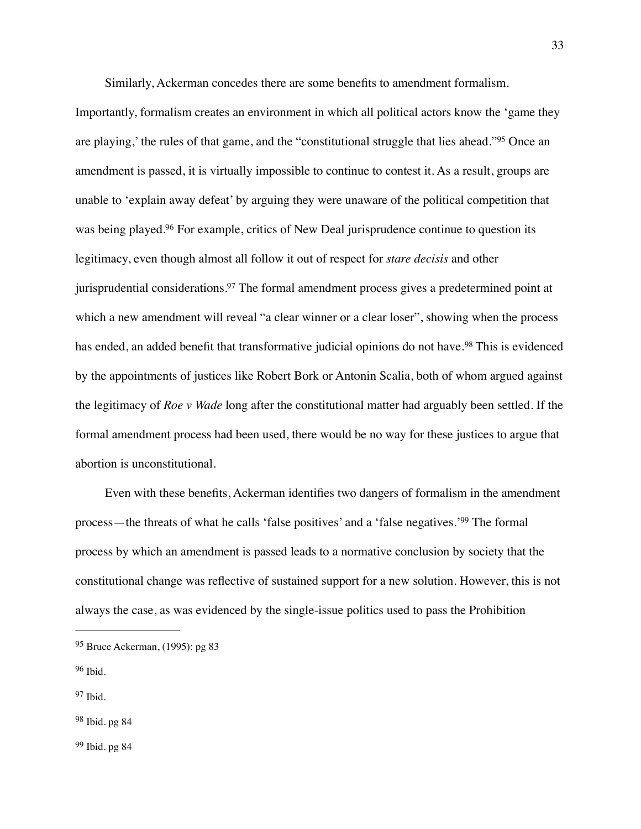<span id="page-33-5"></span>Similarly, Ackerman concedes there are some benefits to amendment formalism.

<span id="page-33-7"></span><span id="page-33-6"></span>Importantly, formalism creates an environment in which all political actors know the 'game they areplaying,' the rules of that game, and the "constitutional struggle that lies ahead."<sup>[95](#page-33-0)</sup> Once an amendment is passed, it is virtually impossible to continue to contest it. As a result, groups are unable to 'explain away defeat' by arguing they were unaware of the political competition that was being played[.](#page-33-1)<sup>[96](#page-33-1)</sup> For example, critics of New Deal jurisprudence continue to question its legitimacy, even though almost all follow it out of respect for *stare decisis* and other jurisprudential considerations[.](#page-33-2)<sup>[97](#page-33-2)</sup> The formal amendment process gives a predetermined point at which a new amendment will reveal "a clear winner or a clear loser", showing when the process hasended, an added benefit that transformative judicial opinions do not have.<sup>[98](#page-33-3)</sup> This is evidenced by the appointments of justices like Robert Bork or Antonin Scalia, both of whom argued against the legitimacy of *Roe v Wade* long after the constitutional matter had arguably been settled. If the formal amendment process had been used, there would be no way for these justices to argue that abortion is unconstitutional.

<span id="page-33-9"></span><span id="page-33-8"></span>Even with these benefits, Ackerman identifies two dangers of formalism in the amendment process—the threats of what he calls ['](#page-33-4)false positives' and a 'false negatives.' $99$  The formal process by which an amendment is passed leads to a normative conclusion by society that the constitutional change was reflective of sustained support for a new solution. However, this is not always the case, as was evidenced by the single-issue politics used to pass the Prohibition

<span id="page-33-0"></span>[<sup>95</sup>](#page-33-5) Bruce Ackerman, (1995): pg 83

<span id="page-33-1"></span>[<sup>96</sup>](#page-33-6) Ibid.

<span id="page-33-2"></span> $97$  Ibid.

<span id="page-33-4"></span><span id="page-33-3"></span><sup>&</sup>lt;sup>[98](#page-33-8)</sup> Ibid. pg 84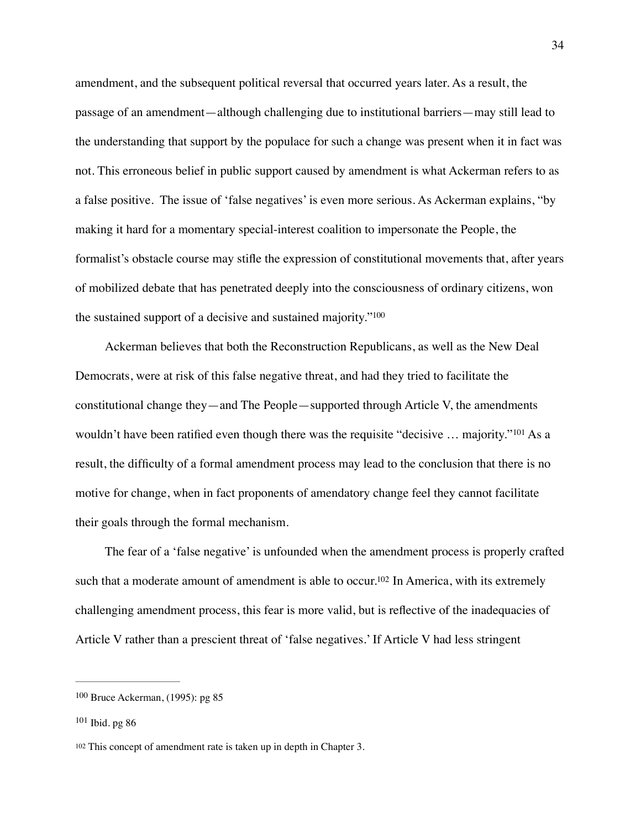amendment, and the subsequent political reversal that occurred years later. As a result, the passage of an amendment—although challenging due to institutional barriers—may still lead to the understanding that support by the populace for such a change was present when it in fact was not. This erroneous belief in public support caused by amendment is what Ackerman refers to as a false positive. The issue of 'false negatives' is even more serious. As Ackerman explains, "by making it hard for a momentary special-interest coalition to impersonate the People, the formalist's obstacle course may stifle the expression of constitutional movements that, after years of mobilized debate that has penetrated deeply into the consciousness of ordinary citizens, won the sustained support of a decisive and sustained majority.["100](#page-34-0)

<span id="page-34-4"></span><span id="page-34-3"></span>Ackerman believes that both the Reconstruction Republicans, as well as the New Deal Democrats, were at risk of this false negative threat, and had they tried to facilitate the constitutional change they—and The People—supported through Article V, the amendments wouldn'thave been ratified even though there was the requisite "decisive  $\ldots$  majority."<sup>[101](#page-34-1)</sup> As a result, the difficulty of a formal amendment process may lead to the conclusion that there is no motive for change, when in fact proponents of amendatory change feel they cannot facilitate their goals through the formal mechanism.

<span id="page-34-5"></span>The fear of a 'false negative' is unfounded when the amendment process is properly crafted such that a moderate amount of amendment is able to occur[.](#page-34-2)<sup>[102](#page-34-2)</sup> In America, with its extremely challenging amendment process, this fear is more valid, but is reflective of the inadequacies of Article V rather than a prescient threat of 'false negatives.' If Article V had less stringent

<span id="page-34-0"></span> $100$  Bruce Ackerman, (1995): pg 85

<span id="page-34-1"></span> $101$  Ibid. pg 86

<span id="page-34-2"></span><sup>&</sup>lt;sup>[102](#page-34-5)</sup> This concept of amendment rate is taken up in depth in Chapter 3.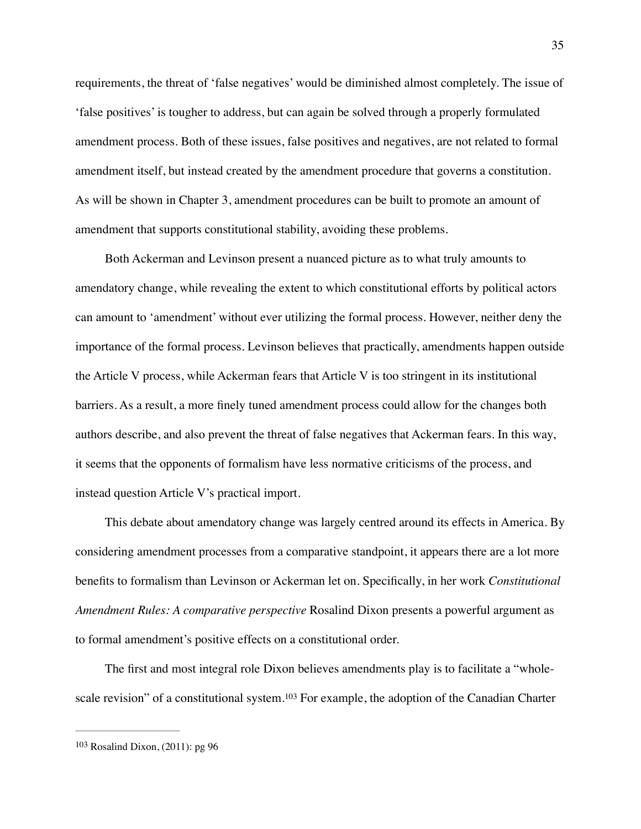requirements, the threat of 'false negatives' would be diminished almost completely. The issue of 'false positives' is tougher to address, but can again be solved through a properly formulated amendment process. Both of these issues, false positives and negatives, are not related to formal amendment itself, but instead created by the amendment procedure that governs a constitution. As will be shown in Chapter 3, amendment procedures can be built to promote an amount of amendment that supports constitutional stability, avoiding these problems.

Both Ackerman and Levinson present a nuanced picture as to what truly amounts to amendatory change, while revealing the extent to which constitutional efforts by political actors can amount to 'amendment' without ever utilizing the formal process. However, neither deny the importance of the formal process. Levinson believes that practically, amendments happen outside the Article V process, while Ackerman fears that Article V is too stringent in its institutional barriers. As a result, a more finely tuned amendment process could allow for the changes both authors describe, and also prevent the threat of false negatives that Ackerman fears. In this way, it seems that the opponents of formalism have less normative criticisms of the process, and instead question Article V's practical import.

This debate about amendatory change was largely centred around its effects in America. By considering amendment processes from a comparative standpoint, it appears there are a lot more benefits to formalism than Levinson or Ackerman let on. Specifically, in her work *Constitutional Amendment Rules: A comparative perspective* Rosalind Dixon presents a powerful argument as to formal amendment's positive effects on a constitutional order.

<span id="page-35-1"></span>The first and most integral role Dixon believes amendments play is to facilitate a "whole-scalerevision" of a constitutional system.<sup>[103](#page-35-0)</sup> For example, the adoption of the Canadian Charter

<span id="page-35-0"></span> $103$  Rosalind Dixon, (2011): pg 96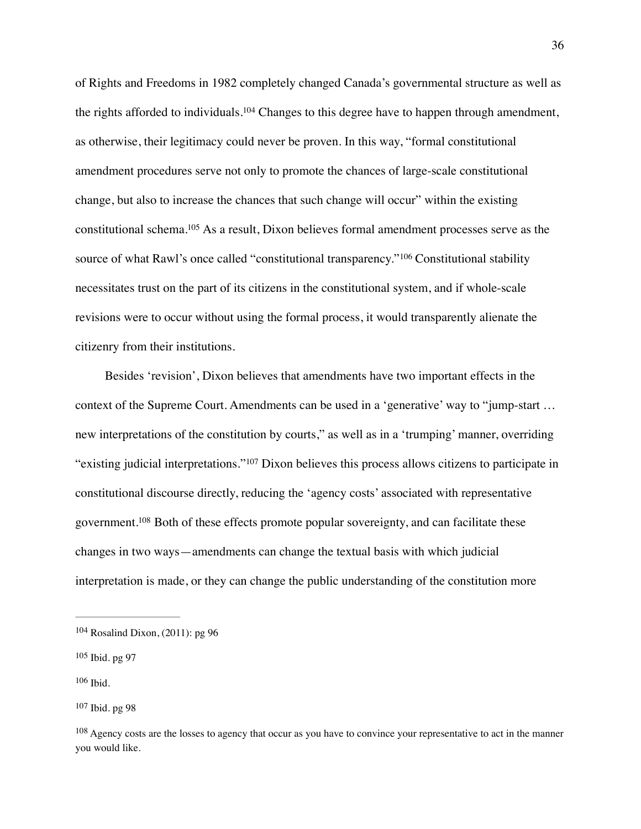<span id="page-36-6"></span><span id="page-36-5"></span>of Rights and Freedoms in 1982 completely changed Canada's governmental structure as well as the rights afforded to individuals[.](#page-36-0)<sup>[104](#page-36-0)</sup> Changes to this degree have to happen through amendment, as otherwise, their legitimacy could never be proven. In this way, "formal constitutional amendment procedures serve not only to promote the chances of large-scale constitutional change, but also to increase the chances that such change will occur" within the existing constitutional schema[.](#page-36-1)<sup>[105](#page-36-1)</sup> As a result, Dixon believes formal amendment processes serve as the sourceof what Rawl's once called "constitutional transparency."<sup>[106](#page-36-2)</sup> Constitutional stability necessitates trust on the part of its citizens in the constitutional system, and if whole-scale revisions were to occur without using the formal process, it would transparently alienate the citizenry from their institutions.

<span id="page-36-8"></span><span id="page-36-7"></span>Besides 'revision', Dixon believes that amendments have two important effects in the context of the Supreme Court. Amendments can be used in a 'generative' way to "jump-start … new interpretations of the constitution by courts," as well as in a 'trumping' manner, overriding "existingjudicial interpretations."<sup>[107](#page-36-3)</sup> Dixon believes this process allows citizens to participate in constitutional discourse directly, reducing the 'agency costs' associated with representative government[.](#page-36-4)<sup>[108](#page-36-4)</sup> Both of these effects promote popular sovereignty, and can facilitate these changes in two ways—amendments can change the textual basis with which judicial interpretation is made, or they can change the public understanding of the constitution more

<span id="page-36-9"></span><span id="page-36-0"></span> $104$  Rosalind Dixon, (2011): pg 96

<span id="page-36-2"></span><span id="page-36-1"></span> $105$  Ibid. pg 97

<span id="page-36-3"></span><sup>&</sup>lt;sup>[107](#page-36-8)</sup> Ibid. pg 98

<span id="page-36-4"></span><sup>&</sup>lt;sup>[108](#page-36-9)</sup> Agency costs are the losses to agency that occur as you have to convince your representative to act in the manner you would like.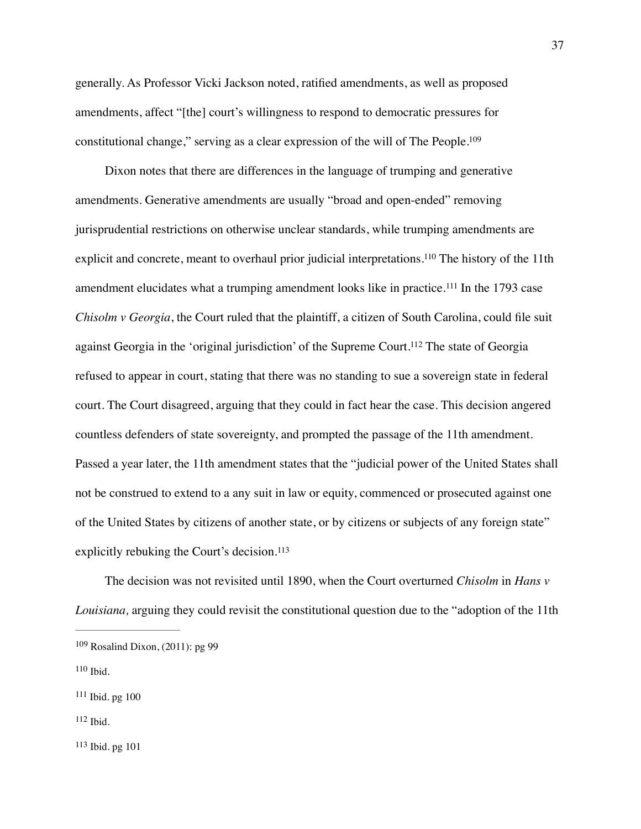generally. As Professor Vicki Jackson noted, ratified amendments, as well as proposed amendments, affect "[the] court's willingness to respond to democratic pressures for constitutional change," serving as a clear expression of the will of The People[.109](#page-37-0)

<span id="page-37-8"></span><span id="page-37-7"></span><span id="page-37-6"></span><span id="page-37-5"></span>Dixon notes that there are differences in the language of trumping and generative amendments. Generative amendments are usually "broad and open-ended" removing jurisprudential restrictions on otherwise unclear standards, while trumping amendments are explicit and concrete, meant to overhaul prior judicial interpretations.<sup>[110](#page-37-1)</sup> The history of the 11th amendment elucidates what a trumping amendment looks like in practice.<sup>[111](#page-37-2)</sup> In the 1793 case *Chisolm v Georgia*, the Court ruled that the plaintiff, a citizen of South Carolina, could file suit against Georgia in the 'original jurisdiction' of the Supreme Court.<sup>[112](#page-37-3)</sup> The state of Georgia refused to appear in court, stating that there was no standing to sue a sovereign state in federal court. The Court disagreed, arguing that they could in fact hear the case. This decision angered countless defenders of state sovereignty, and prompted the passage of the 11th amendment. Passed a year later, the 11th amendment states that the "judicial power of the United States shall not be construed to extend to a any suit in law or equity, commenced or prosecuted against one of the United States by citizens of another state, or by citizens or subjects of any foreign state" explicitly rebuking the Court's decision.<sup>[113](#page-37-4)</sup>

<span id="page-37-9"></span>The decision was not revisited until 1890, when the Court overturned *Chisolm* in *Hans v Louisiana,* arguing they could revisit the constitutional question due to the "adoption of the 11th

<span id="page-37-4"></span> $113$  Ibid. pg  $101$ 

<span id="page-37-0"></span> $109$  Rosalind Dixon, (2011): pg 99

<span id="page-37-1"></span> $110$  Ibid.

<span id="page-37-2"></span> $111$  Ibid. pg  $100$ 

<span id="page-37-3"></span> $112$  Ibid.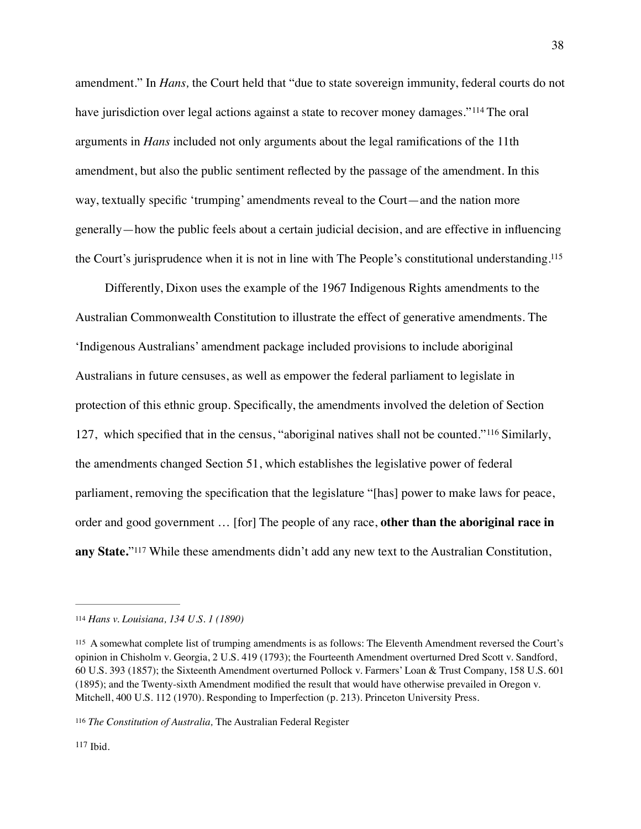<span id="page-38-4"></span>amendment." In *Hans,* the Court held that "due to state sovereign immunity, federal courts do not have jurisdiction over legal actions against a state to recover money damages." $114$  The oral arguments in *Hans* included not only arguments about the legal ramifications of the 11th amendment, but also the public sentiment reflected by the passage of the amendment. In this way, textually specific 'trumping' amendments reveal to the Court—and the nation more generally—how the public feels about a certain judicial decision, and are effective in influencing the Court's jurisprudence when it is not in line with The People's constitutional understanding[.115](#page-38-1)

<span id="page-38-6"></span><span id="page-38-5"></span>Differently, Dixon uses the example of the 1967 Indigenous Rights amendments to the Australian Commonwealth Constitution to illustrate the effect of generative amendments. The 'Indigenous Australians' amendment package included provisions to include aboriginal Australians in future censuses, as well as empower the federal parliament to legislate in protection of this ethnic group. Specifically, the amendments involved the deletion of Section 127, which specified that in the census, "aboriginal natives shall not be counted."<sup>[116](#page-38-2)</sup> Similarly, the amendments changed Section 51, which establishes the legislative power of federal parliament, removing the specification that the legislature "[has] power to make laws for peace, order and good government … [for] The people of any race, **other than the aboriginal race in**  anyState."<sup>[117](#page-38-3)</sup> While these amendments didn't add any new text to the Australian Constitution,

<span id="page-38-7"></span><span id="page-38-0"></span>*Hans v. Louisiana, 134 U.S. 1 (1890)* [114](#page-38-4)

<span id="page-38-1"></span>A somewhat complete list of trumping amendments is as follows: The Eleventh Amendment reversed the Court's [115](#page-38-5) opinion in Chisholm v. Georgia, 2 U.S. 419 (1793); the Fourteenth Amendment overturned Dred Scott v. Sandford, 60 U.S. 393 (1857); the Sixteenth Amendment overturned Pollock v. Farmers' Loan & Trust Company, 158 U.S. 601 (1895); and the Twenty-sixth Amendment modified the result that would have otherwise prevailed in Oregon v. Mitchell, 400 U.S. 112 (1970). Responding to Imperfection (p. 213). Princeton University Press.

<span id="page-38-3"></span><span id="page-38-2"></span><sup>&</sup>lt;sup>[116](#page-38-6)</sup> The Constitution of Australia, The Australian Federal Register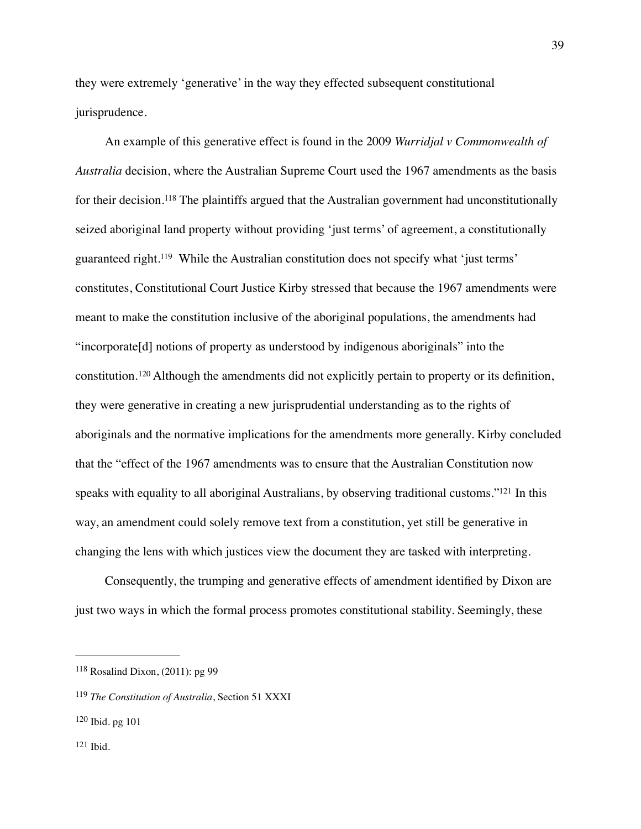they were extremely 'generative' in the way they effected subsequent constitutional jurisprudence.

<span id="page-39-5"></span><span id="page-39-4"></span>An example of this generative effect is found in the 2009 *Wurridjal v Commonwealth of Australia* decision, where the Australian Supreme Court used the 1967 amendments as the basis fortheir decision.<sup>[118](#page-39-0)</sup> The plaintiffs argued that the Australian government had unconstitutionally seized aboriginal land property without providing 'just terms' of agreement, a constitutionally guaranteed right[.](#page-39-1)<sup>[119](#page-39-1)</sup> While the Australian constitution does not specify what 'just terms' constitutes, Constitutional Court Justice Kirby stressed that because the 1967 amendments were meant to make the constitution inclusive of the aboriginal populations, the amendments had "incorporate[d] notions of property as understood by indigenous aboriginals" into the constitution.<sup>120</sup>Although the amendments did not explicitly pertain to property or its definition, they were generative in creating a new jurisprudential understanding as to the rights of aboriginals and the normative implications for the amendments more generally. Kirby concluded that the "effect of the 1967 amendments was to ensure that the Australian Constitution now speaks with equality to all aboriginal Australians, by observing traditional customs.["](#page-39-3)<sup>[121](#page-39-3)</sup> In this way, an amendment could solely remove text from a constitution, yet still be generative in changing the lens with which justices view the document they are tasked with interpreting.

<span id="page-39-7"></span><span id="page-39-6"></span>Consequently, the trumping and generative effects of amendment identified by Dixon are just two ways in which the formal process promotes constitutional stability. Seemingly, these

<span id="page-39-0"></span> $118$  Rosalind Dixon, (2011): pg 99

<span id="page-39-1"></span><sup>&</sup>lt;sup>[119](#page-39-5)</sup> The Constitution of Australia, Section 51 XXXI

<span id="page-39-3"></span><span id="page-39-2"></span> $120$  Ibid. pg 101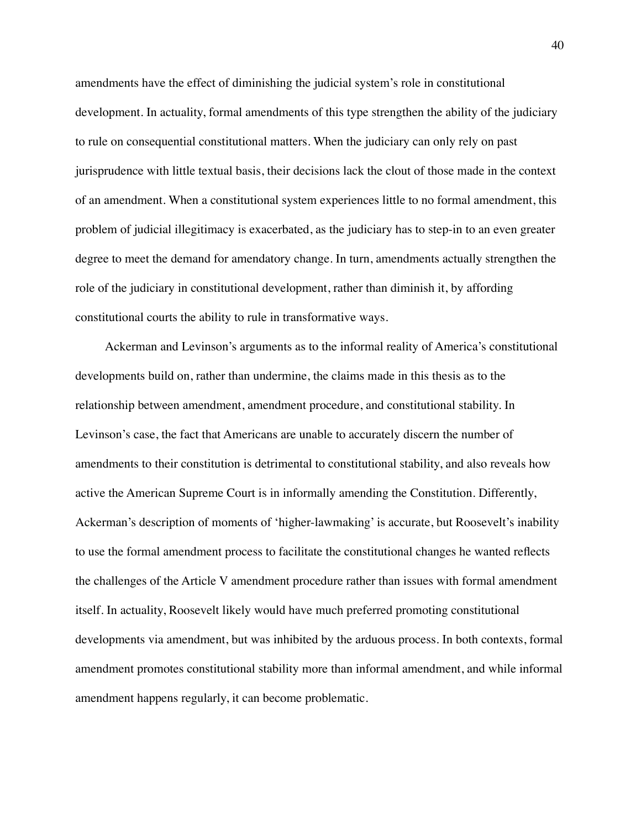amendments have the effect of diminishing the judicial system's role in constitutional development. In actuality, formal amendments of this type strengthen the ability of the judiciary to rule on consequential constitutional matters. When the judiciary can only rely on past jurisprudence with little textual basis, their decisions lack the clout of those made in the context of an amendment. When a constitutional system experiences little to no formal amendment, this problem of judicial illegitimacy is exacerbated, as the judiciary has to step-in to an even greater degree to meet the demand for amendatory change. In turn, amendments actually strengthen the role of the judiciary in constitutional development, rather than diminish it, by affording constitutional courts the ability to rule in transformative ways.

Ackerman and Levinson's arguments as to the informal reality of America's constitutional developments build on, rather than undermine, the claims made in this thesis as to the relationship between amendment, amendment procedure, and constitutional stability. In Levinson's case, the fact that Americans are unable to accurately discern the number of amendments to their constitution is detrimental to constitutional stability, and also reveals how active the American Supreme Court is in informally amending the Constitution. Differently, Ackerman's description of moments of 'higher-lawmaking' is accurate, but Roosevelt's inability to use the formal amendment process to facilitate the constitutional changes he wanted reflects the challenges of the Article V amendment procedure rather than issues with formal amendment itself. In actuality, Roosevelt likely would have much preferred promoting constitutional developments via amendment, but was inhibited by the arduous process. In both contexts, formal amendment promotes constitutional stability more than informal amendment, and while informal amendment happens regularly, it can become problematic.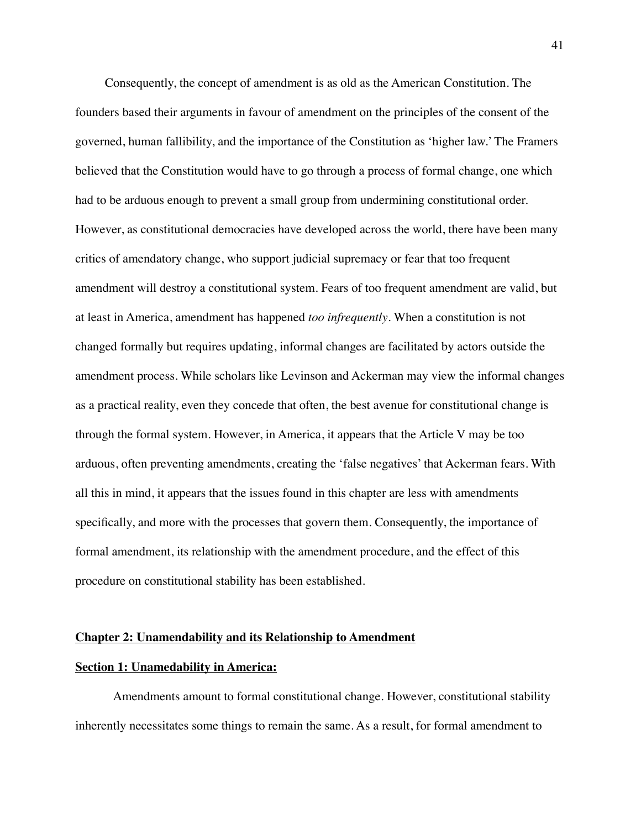Consequently, the concept of amendment is as old as the American Constitution. The founders based their arguments in favour of amendment on the principles of the consent of the governed, human fallibility, and the importance of the Constitution as 'higher law.' The Framers believed that the Constitution would have to go through a process of formal change, one which had to be arduous enough to prevent a small group from undermining constitutional order. However, as constitutional democracies have developed across the world, there have been many critics of amendatory change, who support judicial supremacy or fear that too frequent amendment will destroy a constitutional system. Fears of too frequent amendment are valid, but at least in America, amendment has happened *too infrequently*. When a constitution is not changed formally but requires updating, informal changes are facilitated by actors outside the amendment process. While scholars like Levinson and Ackerman may view the informal changes as a practical reality, even they concede that often, the best avenue for constitutional change is through the formal system. However, in America, it appears that the Article V may be too arduous, often preventing amendments, creating the 'false negatives' that Ackerman fears. With all this in mind, it appears that the issues found in this chapter are less with amendments specifically, and more with the processes that govern them. Consequently, the importance of formal amendment, its relationship with the amendment procedure, and the effect of this procedure on constitutional stability has been established.

#### **Chapter 2: Unamendability and its Relationship to Amendment**

# **Section 1: Unamedability in America:**

Amendments amount to formal constitutional change. However, constitutional stability inherently necessitates some things to remain the same. As a result, for formal amendment to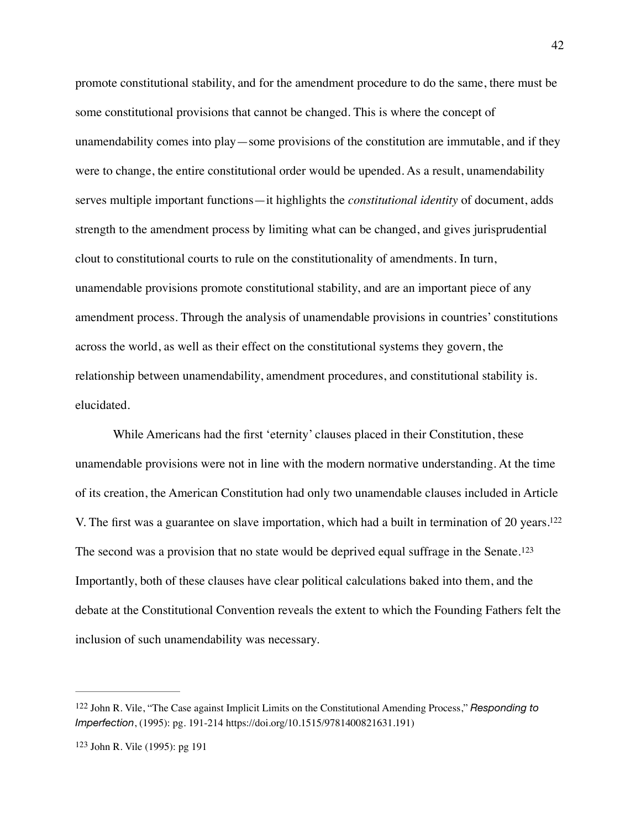promote constitutional stability, and for the amendment procedure to do the same, there must be some constitutional provisions that cannot be changed. This is where the concept of unamendability comes into play—some provisions of the constitution are immutable, and if they were to change, the entire constitutional order would be upended. As a result, unamendability serves multiple important functions—it highlights the *constitutional identity* of document, adds strength to the amendment process by limiting what can be changed, and gives jurisprudential clout to constitutional courts to rule on the constitutionality of amendments. In turn, unamendable provisions promote constitutional stability, and are an important piece of any amendment process. Through the analysis of unamendable provisions in countries' constitutions across the world, as well as their effect on the constitutional systems they govern, the relationship between unamendability, amendment procedures, and constitutional stability is. elucidated.

<span id="page-42-3"></span><span id="page-42-2"></span>While Americans had the first 'eternity' clauses placed in their Constitution, these unamendable provisions were not in line with the modern normative understanding. At the time of its creation, the American Constitution had only two unamendable clauses included in Article V. The first was a guarantee on slave importation, which had a built in termination of 20 years[.122](#page-42-0) The second was a provision that no state would be deprived equal suffrage in the Senate.<sup>[123](#page-42-1)</sup> Importantly, both of these clauses have clear political calculations baked into them, and the debate at the Constitutional Convention reveals the extent to which the Founding Fathers felt the inclusion of such unamendability was necessary.

<span id="page-42-0"></span><sup>&</sup>lt;sup>[122](#page-42-2)</sup> John R. Vile, "The Case against Implicit Limits on the Constitutional Amending Process," Responding to *Imperfection*, (1995): pg. 191-214 https://doi.org/10.1515/9781400821631.191)

<span id="page-42-1"></span><sup>&</sup>lt;sup>[123](#page-42-3)</sup> John R. Vile (1995): pg 191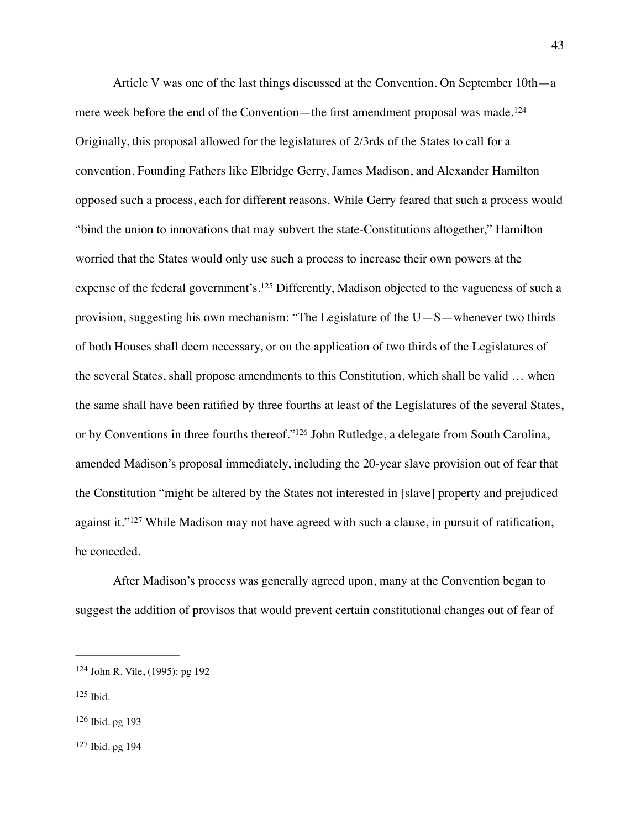<span id="page-43-5"></span><span id="page-43-4"></span>Article V was one of the last things discussed at the Convention. On September 10th—a mere week before the end of the Convention—the first amendment proposal was made.<sup>[124](#page-43-0)</sup> Originally, this proposal allowed for the legislatures of 2/3rds of the States to call for a convention. Founding Fathers like Elbridge Gerry, James Madison, and Alexander Hamilton opposed such a process, each for different reasons. While Gerry feared that such a process would "bind the union to innovations that may subvert the state-Constitutions altogether," Hamilton worried that the States would only use such a process to increase their own powers at the expenseof the federal government's.<sup>[125](#page-43-1)</sup> Differently, Madison objected to the vagueness of such a provision, suggesting his own mechanism: "The Legislature of the  $U-S$ —whenever two thirds of both Houses shall deem necessary, or on the application of two thirds of the Legislatures of the several States, shall propose amendments to this Constitution, which shall be valid … when the same shall have been ratified by three fourths at least of the Legislatures of the several States, or by Conventions in three fourths thereof.["](#page-43-2)<sup>[126](#page-43-2)</sup> John Rutledge, a delegate from South Carolina, amended Madison's proposal immediately, including the 20-year slave provision out of fear that the Constitution "might be altered by the States not interested in [slave] property and prejudiced againstit."<sup>[127](#page-43-3)</sup> While Madison may not have agreed with such a clause, in pursuit of ratification, he conceded.

<span id="page-43-7"></span><span id="page-43-6"></span>After Madison's process was generally agreed upon, many at the Convention began to suggest the addition of provisos that would prevent certain constitutional changes out of fear of

- <span id="page-43-1"></span> $125$  Ibid.
- <span id="page-43-2"></span> $126$  Ibid. pg 193
- <span id="page-43-3"></span> $127$  Ibid. pg 194

<span id="page-43-0"></span><sup>&</sup>lt;sup>[124](#page-43-4)</sup> John R. Vile, (1995): pg 192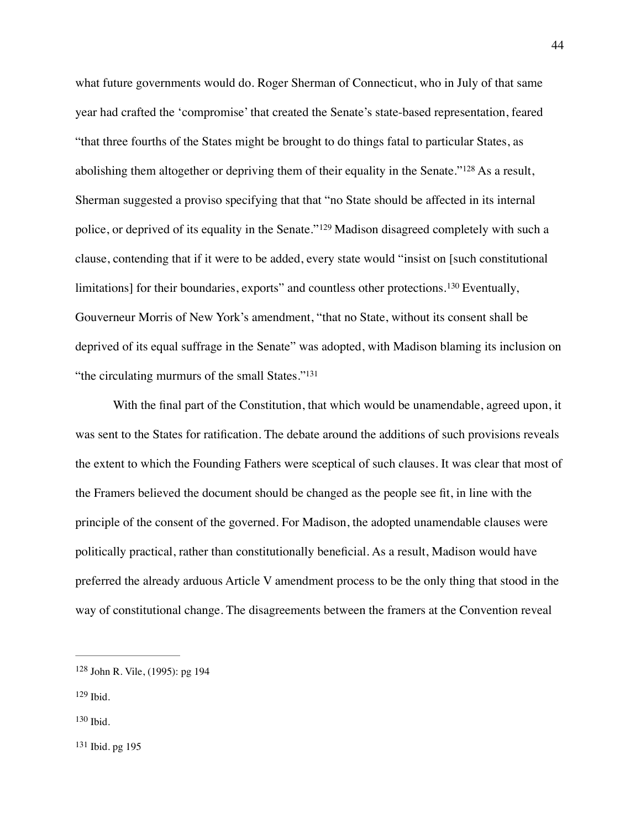<span id="page-44-5"></span><span id="page-44-4"></span>what future governments would do. Roger Sherman of Connecticut, who in July of that same year had crafted the 'compromise' that created the Senate's state-based representation, feared "that three fourths of the States might be brought to do things fatal to particular States, as abolishingthem altogether or depriving them of their equality in the Senate." $128$  As a result, Sherman suggested a proviso specifying that that "no State should be affected in its internal police,or deprived of its equality in the Senate."<sup>[129](#page-44-1)</sup> Madison disagreed completely with such a clause, contending that if it were to be added, every state would "insist on [such constitutional limitations]for their boundaries, exports" and countless other protections.<sup>[130](#page-44-2)</sup> Eventually, Gouverneur Morris of New York's amendment, "that no State, without its consent shall be deprived of its equal suffrage in the Senate" was adopted, with Madison blaming its inclusion on "the circulating murmurs of the small States.["131](#page-44-3)

<span id="page-44-7"></span><span id="page-44-6"></span>With the final part of the Constitution, that which would be unamendable, agreed upon, it was sent to the States for ratification. The debate around the additions of such provisions reveals the extent to which the Founding Fathers were sceptical of such clauses. It was clear that most of the Framers believed the document should be changed as the people see fit, in line with the principle of the consent of the governed. For Madison, the adopted unamendable clauses were politically practical, rather than constitutionally beneficial. As a result, Madison would have preferred the already arduous Article V amendment process to be the only thing that stood in the way of constitutional change. The disagreements between the framers at the Convention reveal

- <span id="page-44-1"></span> $129$  Ibid.
- <span id="page-44-2"></span>[130](#page-44-6) Ibid.

<span id="page-44-0"></span><sup>&</sup>lt;sup>[128](#page-44-4)</sup> John R. Vile, (1995): pg 194

<span id="page-44-3"></span><sup>&</sup>lt;sup>[131](#page-44-7)</sup> Ibid. pg 195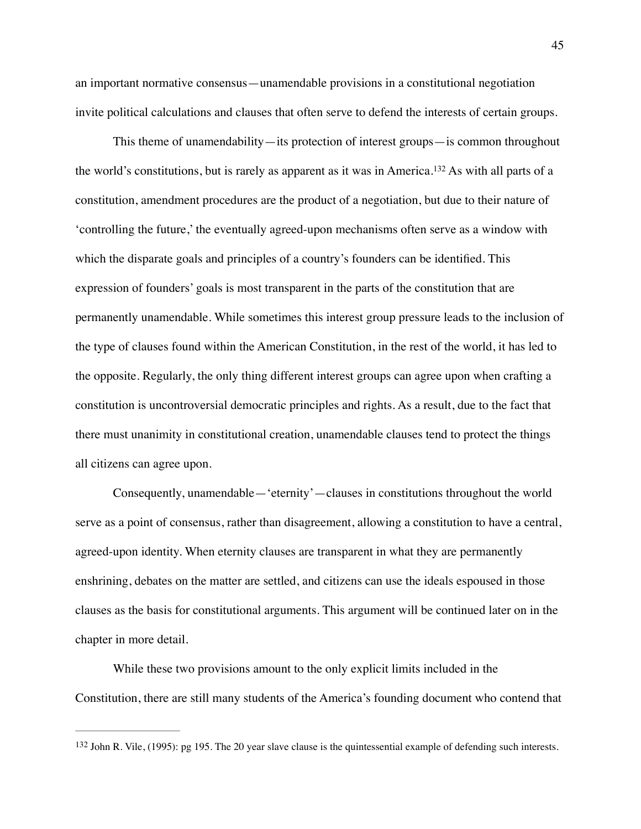an important normative consensus—unamendable provisions in a constitutional negotiation invite political calculations and clauses that often serve to defend the interests of certain groups.

<span id="page-45-1"></span>This theme of unamendability—its protection of interest groups—is common throughout theworld's constitutions, but is rarely as apparent as it was in America.<sup>[132](#page-45-0)</sup> As with all parts of a constitution, amendment procedures are the product of a negotiation, but due to their nature of 'controlling the future,' the eventually agreed-upon mechanisms often serve as a window with which the disparate goals and principles of a country's founders can be identified. This expression of founders' goals is most transparent in the parts of the constitution that are permanently unamendable. While sometimes this interest group pressure leads to the inclusion of the type of clauses found within the American Constitution, in the rest of the world, it has led to the opposite. Regularly, the only thing different interest groups can agree upon when crafting a constitution is uncontroversial democratic principles and rights. As a result, due to the fact that there must unanimity in constitutional creation, unamendable clauses tend to protect the things all citizens can agree upon.

Consequently, unamendable—'eternity'—clauses in constitutions throughout the world serve as a point of consensus, rather than disagreement, allowing a constitution to have a central, agreed-upon identity. When eternity clauses are transparent in what they are permanently enshrining, debates on the matter are settled, and citizens can use the ideals espoused in those clauses as the basis for constitutional arguments. This argument will be continued later on in the chapter in more detail.

While these two provisions amount to the only explicit limits included in the Constitution, there are still many students of the America's founding document who contend that

<span id="page-45-0"></span> $132$  John R. Vile,  $(1995)$ : pg 195. The 20 year slave clause is the quintessential example of defending such interests.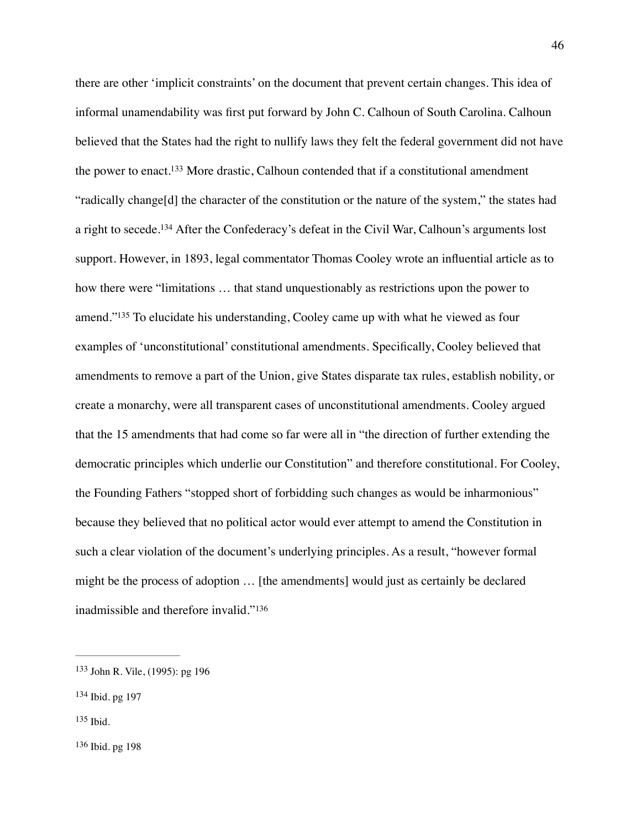<span id="page-46-6"></span><span id="page-46-5"></span><span id="page-46-4"></span>there are other 'implicit constraints' on the document that prevent certain changes. This idea of informal unamendability was first put forward by John C. Calhoun of South Carolina. Calhoun believed that the States had the right to nullify laws they felt the federal government did not have the power to enact[.](#page-46-0)<sup>[133](#page-46-0)</sup> More drastic, Calhoun contended that if a constitutional amendment "radically change[d] the character of the constitution or the nature of the system," the states had a right to secede[.](#page-46-1)<sup>[134](#page-46-1)</sup> After the Confederacy's defeat in the Civil War, Calhoun's arguments lost support. However, in 1893, legal commentator Thomas Cooley wrote an influential article as to how there were "limitations … that stand unquestionably as restrictions upon the power to amend.["](#page-46-2) $135$  To elucidate his understanding, Cooley came up with what he viewed as four examples of 'unconstitutional' constitutional amendments. Specifically, Cooley believed that amendments to remove a part of the Union, give States disparate tax rules, establish nobility, or create a monarchy, were all transparent cases of unconstitutional amendments. Cooley argued that the 15 amendments that had come so far were all in "the direction of further extending the democratic principles which underlie our Constitution" and therefore constitutional. For Cooley, the Founding Fathers "stopped short of forbidding such changes as would be inharmonious" because they believed that no political actor would ever attempt to amend the Constitution in such a clear violation of the document's underlying principles. As a result, "however formal might be the process of adoption … [the amendments] would just as certainly be declared inadmissible and therefore invalid."[136](#page-46-3)

<span id="page-46-7"></span><span id="page-46-0"></span><sup>&</sup>lt;sup>[133](#page-46-4)</sup> John R. Vile, (1995): pg 196

<span id="page-46-1"></span>[<sup>134</sup>](#page-46-5) Ibid. pg 197

<span id="page-46-3"></span><span id="page-46-2"></span> $135$  Ibid.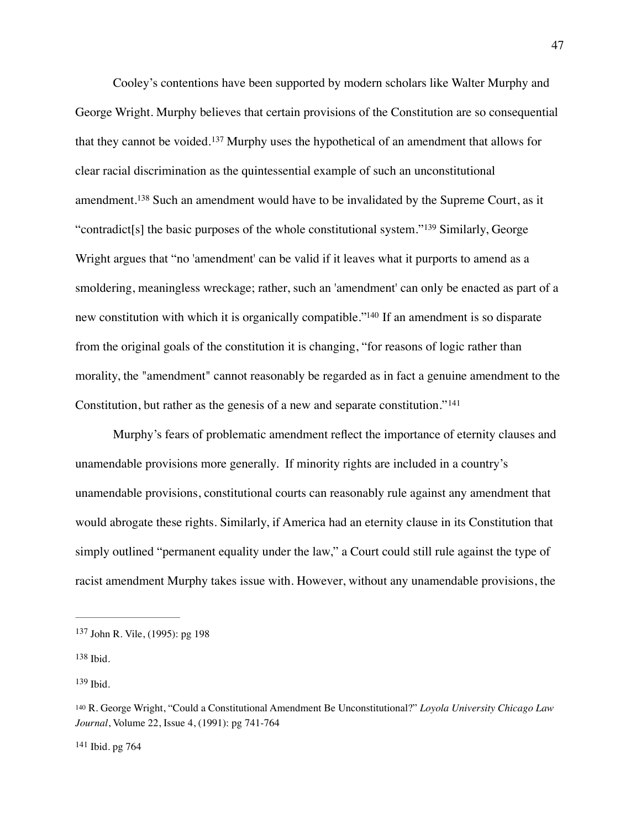<span id="page-47-7"></span><span id="page-47-6"></span><span id="page-47-5"></span>Cooley's contentions have been supported by modern scholars like Walter Murphy and George Wright. Murphy believes that certain provisions of the Constitution are so consequential thatthey cannot be voided.<sup>[137](#page-47-0)</sup> Murphy uses the hypothetical of an amendment that allows for clear racial discrimination as the quintessential example of such an unconstitutional amendment.<sup>138</sup>Such an amendment would have to be invalidated by the Supreme Court, as it "contradict[s] the basic purposes of the whole constitutional system."<sup>[139](#page-47-2)</sup> Similarly, George Wright argues that "no 'amendment' can be valid if it leaves what it purports to amend as a smoldering, meaningless wreckage; rather, such an 'amendment' can only be enacted as part of a new constitution with which it is organically compatible.["](#page-47-3)<sup>[140](#page-47-3)</sup> If an amendment is so disparate from the original goals of the constitution it is changing, "for reasons of logic rather than morality, the "amendment" cannot reasonably be regarded as in fact a genuine amendment to the Constitution, but rather as the genesis of a new and separate constitution."[141](#page-47-4)

<span id="page-47-9"></span><span id="page-47-8"></span>Murphy's fears of problematic amendment reflect the importance of eternity clauses and unamendable provisions more generally. If minority rights are included in a country's unamendable provisions, constitutional courts can reasonably rule against any amendment that would abrogate these rights. Similarly, if America had an eternity clause in its Constitution that simply outlined "permanent equality under the law," a Court could still rule against the type of racist amendment Murphy takes issue with. However, without any unamendable provisions, the

<span id="page-47-2"></span> $139$  Ibid.

<span id="page-47-4"></span> $141$  Ibid. pg 764

<span id="page-47-0"></span><sup>&</sup>lt;sup>[137](#page-47-5)</sup> John R. Vile, (1995): pg 198

<span id="page-47-1"></span> $138$  Ibid.

<span id="page-47-3"></span>R. George Wright, "Could a Constitutional Amendment Be Unconstitutional?" *Loyola University Chicago Law* [140](#page-47-8) *Journal*, Volume 22, Issue 4, (1991): pg 741-764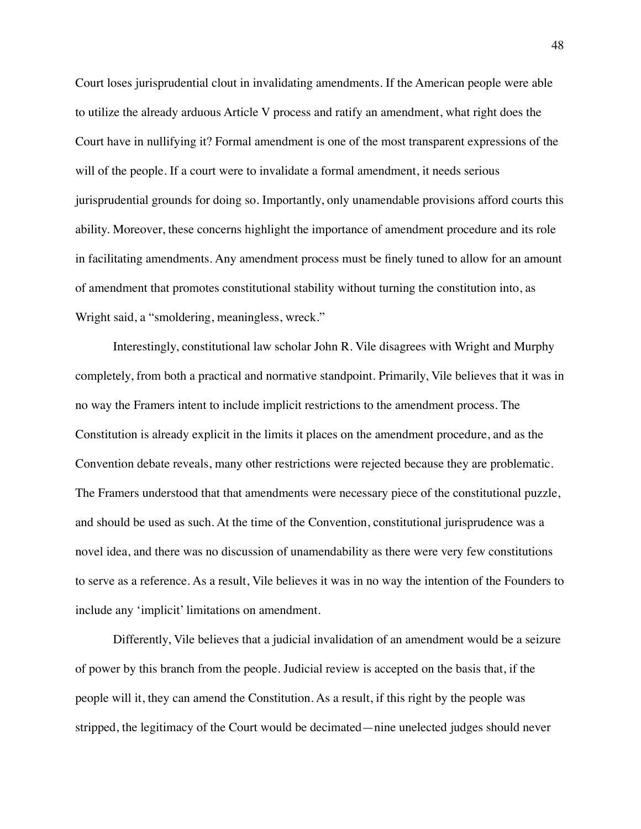Court loses jurisprudential clout in invalidating amendments. If the American people were able to utilize the already arduous Article V process and ratify an amendment, what right does the Court have in nullifying it? Formal amendment is one of the most transparent expressions of the will of the people. If a court were to invalidate a formal amendment, it needs serious jurisprudential grounds for doing so. Importantly, only unamendable provisions afford courts this ability. Moreover, these concerns highlight the importance of amendment procedure and its role in facilitating amendments. Any amendment process must be finely tuned to allow for an amount of amendment that promotes constitutional stability without turning the constitution into, as Wright said, a "smoldering, meaningless, wreck."

Interestingly, constitutional law scholar John R. Vile disagrees with Wright and Murphy completely, from both a practical and normative standpoint. Primarily, Vile believes that it was in no way the Framers intent to include implicit restrictions to the amendment process. The Constitution is already explicit in the limits it places on the amendment procedure, and as the Convention debate reveals, many other restrictions were rejected because they are problematic. The Framers understood that that amendments were necessary piece of the constitutional puzzle, and should be used as such. At the time of the Convention, constitutional jurisprudence was a novel idea, and there was no discussion of unamendability as there were very few constitutions to serve as a reference. As a result, Vile believes it was in no way the intention of the Founders to include any 'implicit' limitations on amendment.

Differently, Vile believes that a judicial invalidation of an amendment would be a seizure of power by this branch from the people. Judicial review is accepted on the basis that, if the people will it, they can amend the Constitution. As a result, if this right by the people was stripped, the legitimacy of the Court would be decimated—nine unelected judges should never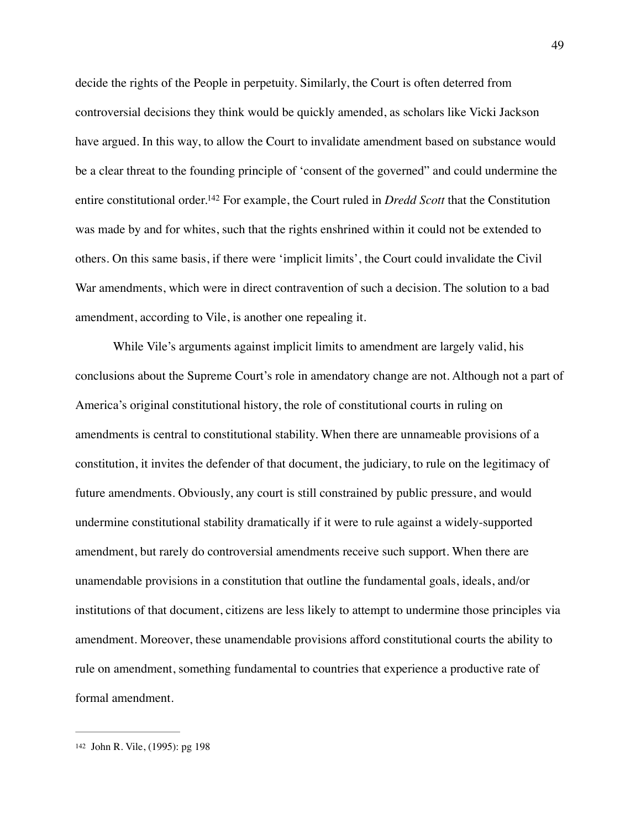<span id="page-49-1"></span>decide the rights of the People in perpetuity. Similarly, the Court is often deterred from controversial decisions they think would be quickly amended, as scholars like Vicki Jackson have argued. In this way, to allow the Court to invalidate amendment based on substance would be a clear threat to the founding principle of 'consent of the governed" and could undermine the entire constitutional order[.](#page-49-0)<sup>142</sup> For example, the Court ruled in *Dredd Scott* that the Constitution was made by and for whites, such that the rights enshrined within it could not be extended to others. On this same basis, if there were 'implicit limits', the Court could invalidate the Civil War amendments, which were in direct contravention of such a decision. The solution to a bad amendment, according to Vile, is another one repealing it.

While Vile's arguments against implicit limits to amendment are largely valid, his conclusions about the Supreme Court's role in amendatory change are not. Although not a part of America's original constitutional history, the role of constitutional courts in ruling on amendments is central to constitutional stability. When there are unnameable provisions of a constitution, it invites the defender of that document, the judiciary, to rule on the legitimacy of future amendments. Obviously, any court is still constrained by public pressure, and would undermine constitutional stability dramatically if it were to rule against a widely-supported amendment, but rarely do controversial amendments receive such support. When there are unamendable provisions in a constitution that outline the fundamental goals, ideals, and/or institutions of that document, citizens are less likely to attempt to undermine those principles via amendment. Moreover, these unamendable provisions afford constitutional courts the ability to rule on amendment, something fundamental to countries that experience a productive rate of formal amendment.

<span id="page-49-0"></span>[<sup>142</sup>](#page-49-1) John R. Vile, (1995): pg 198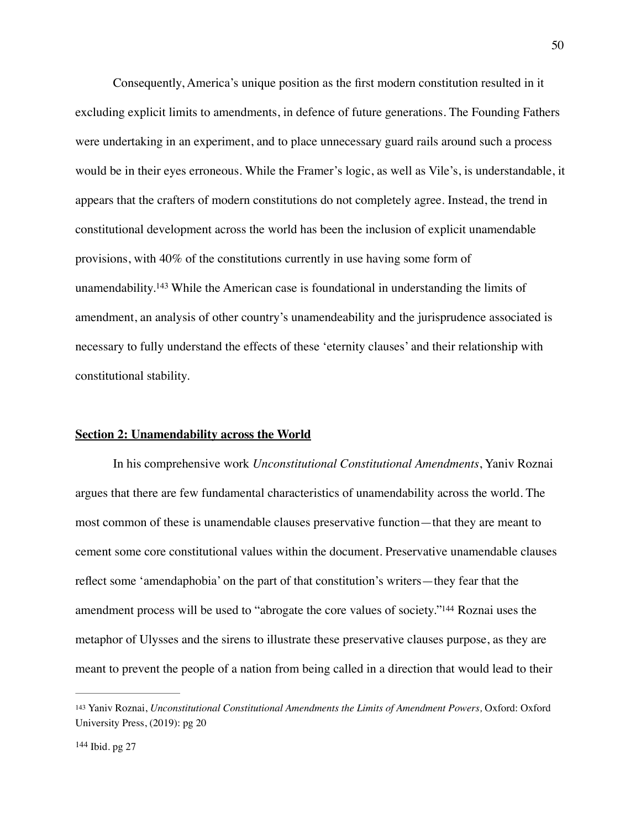Consequently, America's unique position as the first modern constitution resulted in it excluding explicit limits to amendments, in defence of future generations. The Founding Fathers were undertaking in an experiment, and to place unnecessary guard rails around such a process would be in their eyes erroneous. While the Framer's logic, as well as Vile's, is understandable, it appears that the crafters of modern constitutions do not completely agree. Instead, the trend in constitutional development across the world has been the inclusion of explicit unamendable provisions, with 40% of the constitutions currently in use having some form of unamendability.<sup>143</sup>While the American case is foundational in understanding the limits of amendment, an analysis of other country's unamendeability and the jurisprudence associated is necessary to fully understand the effects of these 'eternity clauses' and their relationship with constitutional stability.

# <span id="page-50-2"></span>**Section 2: Unamendability across the World**

In his comprehensive work *Unconstitutional Constitutional Amendments*, Yaniv Roznai argues that there are few fundamental characteristics of unamendability across the world. The most common of these is unamendable clauses preservative function—that they are meant to cement some core constitutional values within the document. Preservative unamendable clauses reflect some 'amendaphobia' on the part of that constitution's writers—they fear that the amendment process will be used to ["](#page-50-1)abrogate the core values of society."<sup>[144](#page-50-1)</sup> Roznai uses the metaphor of Ulysses and the sirens to illustrate these preservative clauses purpose, as they are meant to prevent the people of a nation from being called in a direction that would lead to their

<span id="page-50-3"></span><span id="page-50-0"></span><sup>&</sup>lt;sup>[143](#page-50-2)</sup> Yaniv Roznai, *Unconstitutional Constitutional Amendments the Limits of Amendment Powers*, Oxford: Oxford University Press, (2019): pg 20

<span id="page-50-1"></span> $144$  Ibid. pg 27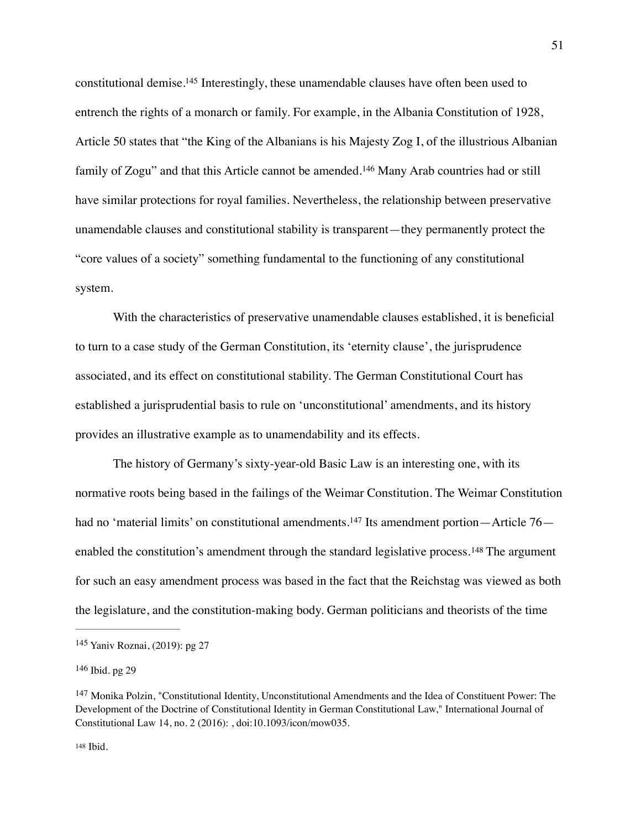<span id="page-51-5"></span><span id="page-51-4"></span>constitutional demise[.](#page-51-0)<sup>[145](#page-51-0)</sup> Interestingly, these unamendable clauses have often been used to entrench the rights of a monarch or family. For example, in the Albania Constitution of 1928, Article 50 states that "the King of the Albanians is his Majesty Zog I, of the illustrious Albanian familyof Zogu" and that this Article cannot be amended.<sup>[146](#page-51-1)</sup> Many Arab countries had or still have similar protections for royal families. Nevertheless, the relationship between preservative unamendable clauses and constitutional stability is transparent—they permanently protect the "core values of a society" something fundamental to the functioning of any constitutional system.

With the characteristics of preservative unamendable clauses established, it is beneficial to turn to a case study of the German Constitution, its 'eternity clause', the jurisprudence associated, and its effect on constitutional stability. The German Constitutional Court has established a jurisprudential basis to rule on 'unconstitutional' amendments, and its history provides an illustrative example as to unamendability and its effects.

<span id="page-51-7"></span><span id="page-51-6"></span>The history of Germany's sixty-year-old Basic Law is an interesting one, with its normative roots being based in the failings of the Weimar Constitution. The Weimar Constitution had no 'material limits' on constitutional amendments.<sup>147</sup> Its amendment portion—Article 76— enabledthe constitution's amendment through the standard legislative process.<sup>[148](#page-51-3)</sup> The argument for such an easy amendment process was based in the fact that the Reichstag was viewed as both the legislature, and the constitution-making body. German politicians and theorists of the time

<span id="page-51-0"></span>[<sup>145</sup>](#page-51-4) Yaniv Roznai, (2019): pg 27

<span id="page-51-1"></span> $146$  Ibid. pg 29

<span id="page-51-3"></span><span id="page-51-2"></span><sup>&</sup>lt;sup>[147](#page-51-6)</sup> Monika Polzin, "Constitutional Identity, Unconstitutional Amendments and the Idea of Constituent Power: The Development of the Doctrine of Constitutional Identity in German Constitutional Law," International Journal of Constitutional Law 14, no. 2 (2016): , doi:10.1093/icon/mow035.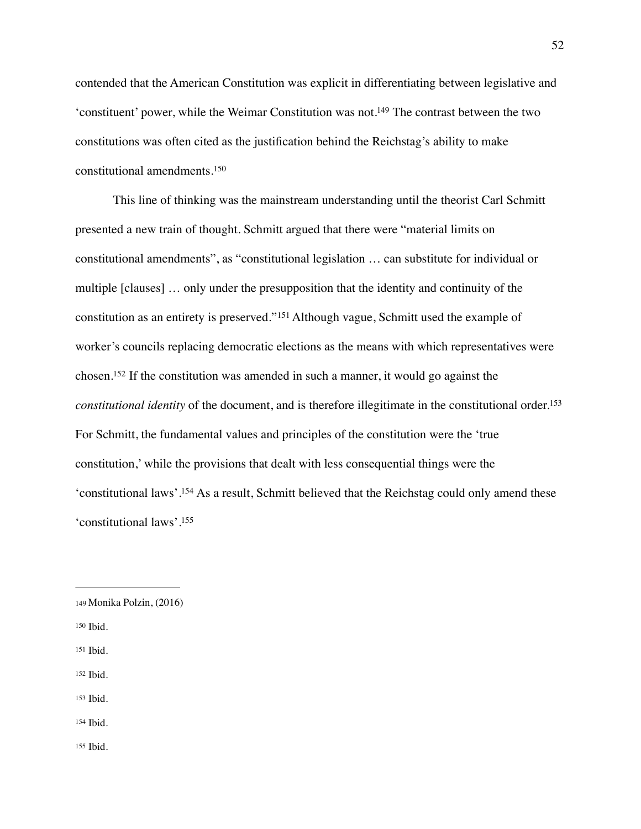<span id="page-52-7"></span>contended that the American Constitution was explicit in differentiating between legislative and 'constituent' power, while the Weimar Constitution was not[.](#page-52-0)<sup>[149](#page-52-0)</sup> The contrast between the two constitutions was often cited as the justification behind the Reichstag's ability to make constitutional amendments.[150](#page-52-1)

<span id="page-52-10"></span><span id="page-52-9"></span><span id="page-52-8"></span>This line of thinking was the mainstream understanding until the theorist Carl Schmitt presented a new train of thought. Schmitt argued that there were "material limits on constitutional amendments", as "constitutional legislation … can substitute for individual or multiple [clauses] … only under the presupposition that the identity and continuity of the constitutionas an entirety is preserved."<sup>[151](#page-52-2)</sup> Although vague, Schmitt used the example of worker's councils replacing democratic elections as the means with which representatives were chosen[.](#page-52-3)<sup>[152](#page-52-3)</sup> If the constitution was amended in such a manner, it would go against the *constitutional identity* of the document, and is therefore illegitimate in the constitutional order[.153](#page-52-4) For Schmitt, the fundamental values and principles of the constitution were the 'true constitution,' while the provisions that dealt with less consequential things were the 'constitutional laws'[.](#page-52-5)<sup>[154](#page-52-5)</sup> As a result, Schmitt believed that the Reichstag could only amend these 'constitutional laws'[.155](#page-52-6)

- <span id="page-52-1"></span>[150](#page-52-8) Ibid.
- <span id="page-52-2"></span>[151](#page-52-9) Ibid.
- <span id="page-52-3"></span>[152](#page-52-10) Ibid.
- <span id="page-52-4"></span>[153](#page-52-11) Ibid.
- <span id="page-52-5"></span>[154](#page-52-12) Ibid.
- <span id="page-52-6"></span>[155](#page-52-13) Ibid.

<span id="page-52-13"></span><span id="page-52-12"></span><span id="page-52-11"></span><span id="page-52-0"></span>[<sup>149</sup>](#page-52-7) Monika Polzin, (2016)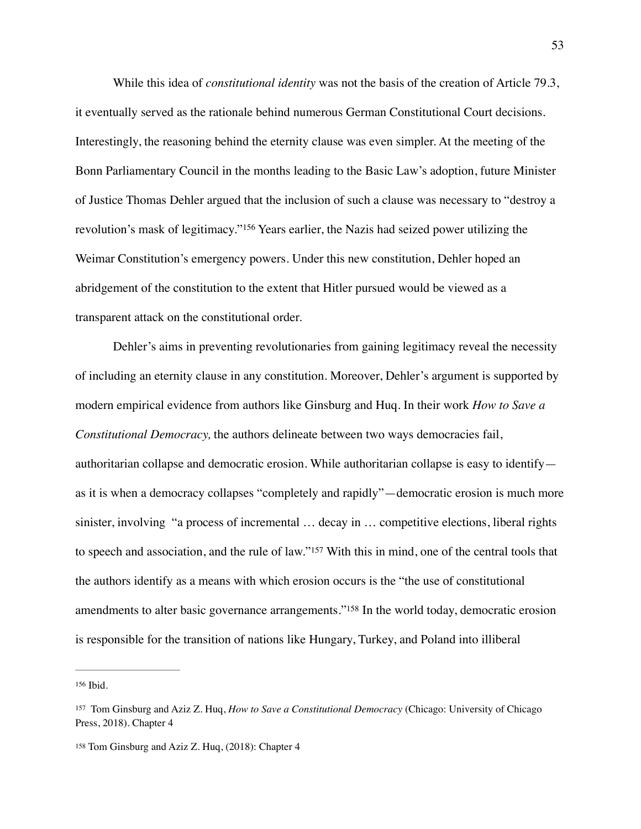While this idea of *constitutional identity* was not the basis of the creation of Article 79.3, it eventually served as the rationale behind numerous German Constitutional Court decisions. Interestingly, the reasoning behind the eternity clause was even simpler. At the meeting of the Bonn Parliamentary Council in the months leading to the Basic Law's adoption, future Minister of Justice Thomas Dehler argued that the inclusion of such a clause was necessary to "destroy a revolution'smask of legitimacy."<sup>[156](#page-53-0)</sup> Years earlier, the Nazis had seized power utilizing the Weimar Constitution's emergency powers. Under this new constitution, Dehler hoped an abridgement of the constitution to the extent that Hitler pursued would be viewed as a transparent attack on the constitutional order.

<span id="page-53-3"></span>Dehler's aims in preventing revolutionaries from gaining legitimacy reveal the necessity of including an eternity clause in any constitution. Moreover, Dehler's argument is supported by modern empirical evidence from authors like Ginsburg and Huq. In their work *How to Save a Constitutional Democracy,* the authors delineate between two ways democracies fail, authoritarian collapse and democratic erosion. While authoritarian collapse is easy to identify as it is when a democracy collapses "completely and rapidly"—democratic erosion is much more sinister, involving "a process of incremental … decay in … competitive elections, liberal rights to speech and association, and the rule of law.["](#page-53-1)<sup>[157](#page-53-1)</sup> With this in mind, one of the central tools that the authors identify as a means with which erosion occurs is the "the use of constitutional amendments to alter basic governance arrangements.["](#page-53-2)<sup>[158](#page-53-2)</sup> In the world today, democratic erosion is responsible for the transition of nations like Hungary, Turkey, and Poland into illiberal

<span id="page-53-5"></span><span id="page-53-4"></span><span id="page-53-0"></span>[<sup>156</sup>](#page-53-3) Ibid.

<span id="page-53-1"></span>Tom Ginsburg and Aziz Z. Huq, *How to Save a Constitutional Democracy* (Chicago: University of Chicago [157](#page-53-4) Press, 2018). Chapter 4

<span id="page-53-2"></span>[<sup>158</sup>](#page-53-5) Tom Ginsburg and Aziz Z. Huq, (2018): Chapter 4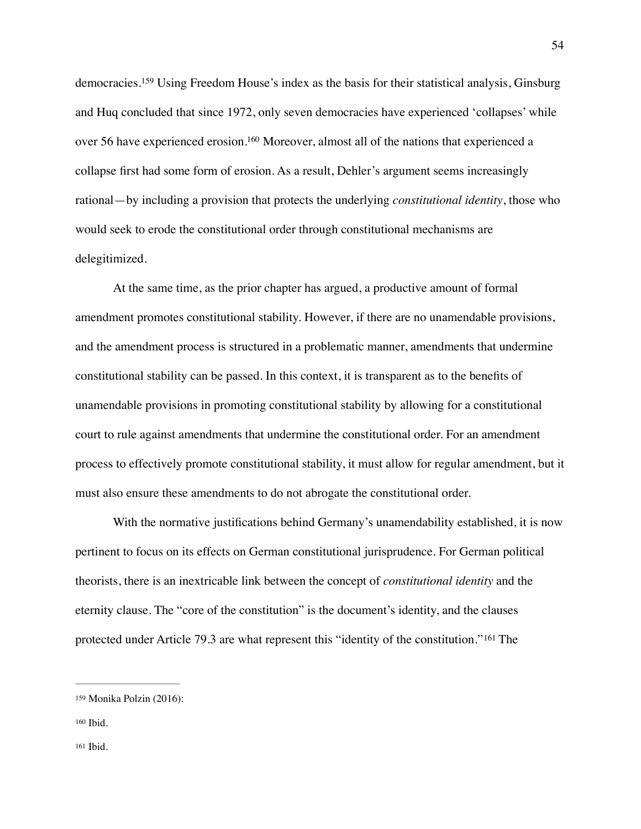<span id="page-54-4"></span><span id="page-54-3"></span>democracies.<sup>159</sup>Using Freedom House's index as the basis for their statistical analysis, Ginsburg and Huq concluded that since 1972, only seven democracies have experienced 'collapses' while over 56 have experienced erosion[.](#page-54-1)<sup>[160](#page-54-1)</sup> Moreover, almost all of the nations that experienced a collapse first had some form of erosion. As a result, Dehler's argument seems increasingly rational—by including a provision that protects the underlying *constitutional identity*, those who would seek to erode the constitutional order through constitutional mechanisms are delegitimized.

At the same time, as the prior chapter has argued, a productive amount of formal amendment promotes constitutional stability. However, if there are no unamendable provisions, and the amendment process is structured in a problematic manner, amendments that undermine constitutional stability can be passed. In this context, it is transparent as to the benefits of unamendable provisions in promoting constitutional stability by allowing for a constitutional court to rule against amendments that undermine the constitutional order. For an amendment process to effectively promote constitutional stability, it must allow for regular amendment, but it must also ensure these amendments to do not abrogate the constitutional order.

With the normative justifications behind Germany's unamendability established, it is now pertinent to focus on its effects on German constitutional jurisprudence. For German political theorists, there is an inextricable link between the concept of *constitutional identity* and the eternity clause. The "core of the constitution" is the document's identity, and the clauses protectedunder Article 79.3 are what represent this "identity of the constitution."<sup>[161](#page-54-2)</sup> The

<span id="page-54-5"></span><span id="page-54-0"></span>Monika Polzin (2016): [159](#page-54-3)

<span id="page-54-2"></span><span id="page-54-1"></span> $160$  Ibid.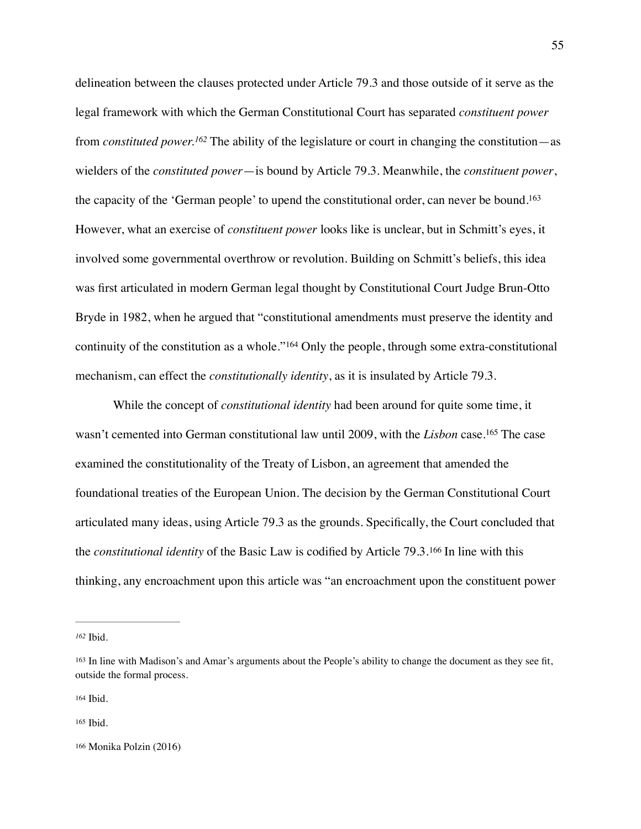<span id="page-55-6"></span><span id="page-55-5"></span>delineation between the clauses protected under Article 79.3 and those outside of it serve as the legal framework with which the German Constitutional Court has separated *constituent power* from *constituted power*.<sup>[162](#page-55-0)</sup> The ability of the legislature or court in changing the constitution—as wielders of the *constituted power*—is bound by Article 79.3. Meanwhile, the *constituent power*, the capacity of the 'German people' to upend the constitutional order, can never be bound[.163](#page-55-1) However, what an exercise of *constituent power* looks like is unclear, but in Schmitt's eyes, it involved some governmental overthrow or revolution. Building on Schmitt's beliefs, this idea was first articulated in modern German legal thought by Constitutional Court Judge Brun-Otto Bryde in 1982, when he argued that "constitutional amendments must preserve the identity and continuityof the constitution as a whole."<sup>[164](#page-55-2)</sup> Only the people, through some extra-constitutional mechanism, can effect the *constitutionally identity*, as it is insulated by Article 79.3.

<span id="page-55-8"></span><span id="page-55-7"></span>While the concept of *constitutional identity* had been around for quite some time, it wasn't cemented into German constitutional law until 2009, with the *Lisbon* case[.](#page-55-3)<sup>[165](#page-55-3)</sup> The case examined the constitutionality of the Treaty of Lisbon, an agreement that amended the foundational treaties of the European Union. The decision by the German Constitutional Court articulated many ideas, using Article 79.3 as the grounds. Specifically, the Court concluded that the*constitutional identity* of the Basic Law is codified by Article 79.3.<sup>[166](#page-55-4)</sup> In line with this thinking, any encroachment upon this article was "an encroachment upon the constituent power

<span id="page-55-9"></span><span id="page-55-0"></span>Ibid. *[162](#page-55-5)*

<span id="page-55-1"></span>[<sup>163</sup>](#page-55-6) In line with Madison's and Amar's arguments about the People's ability to change the document as they see fit, outside the formal process.

<span id="page-55-2"></span>[<sup>164</sup>](#page-55-7) Ibid.

<span id="page-55-3"></span> $165$  Ibid.

<span id="page-55-4"></span>[<sup>166</sup>](#page-55-9) Monika Polzin (2016)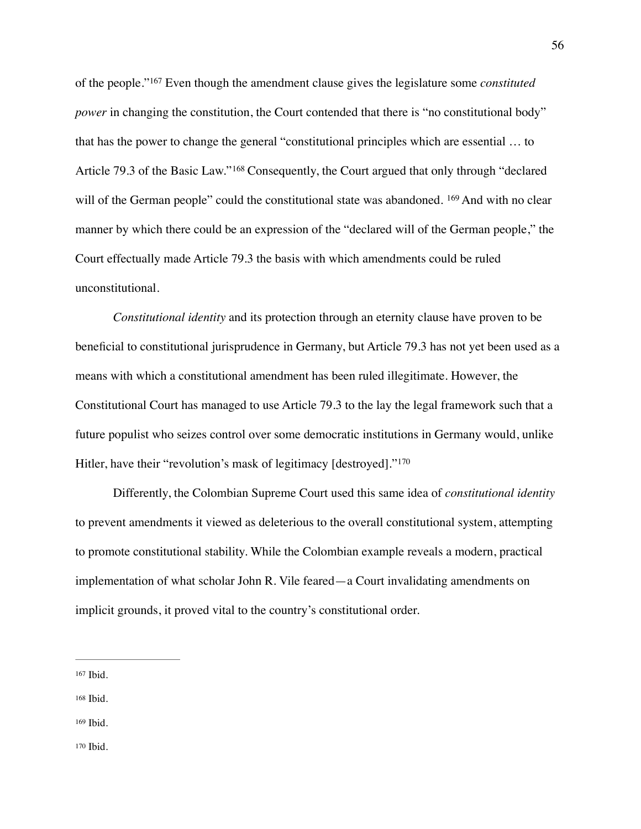<span id="page-56-6"></span><span id="page-56-5"></span><span id="page-56-4"></span>of the people."Even though the amendment clause gives the legislature some *constituted* <sup>167</sup> *power* in changing the constitution, the Court contended that there is "no constitutional body" that has the power to change the general "constitutional principles which are essential … to Article79.3 of the Basic Law."<sup>[168](#page-56-1)</sup> Consequently, the Court argued that only through "declared will of the German people" could the constitutional state was abandoned. <sup>[169](#page-56-2)</sup> And with no clear manner by which there could be an expression of the "declared will of the German people," the Court effectually made Article 79.3 the basis with which amendments could be ruled unconstitutional.

*Constitutional identity* and its protection through an eternity clause have proven to be beneficial to constitutional jurisprudence in Germany, but Article 79.3 has not yet been used as a means with which a constitutional amendment has been ruled illegitimate. However, the Constitutional Court has managed to use Article 79.3 to the lay the legal framework such that a future populist who seizes control over some democratic institutions in Germany would, unlike Hitler, have their "revolution's mask of legitimacy [destroyed]."<sup>[170](#page-56-3)</sup>

<span id="page-56-7"></span>Differently, the Colombian Supreme Court used this same idea of *constitutional identity* to prevent amendments it viewed as deleterious to the overall constitutional system, attempting to promote constitutional stability. While the Colombian example reveals a modern, practical implementation of what scholar John R. Vile feared—a Court invalidating amendments on implicit grounds, it proved vital to the country's constitutional order.

<span id="page-56-0"></span>[<sup>167</sup>](#page-56-4) Ibid.

<span id="page-56-1"></span>[<sup>168</sup>](#page-56-5) Ibid.

<span id="page-56-3"></span><span id="page-56-2"></span>[<sup>169</sup>](#page-56-6) Ibid.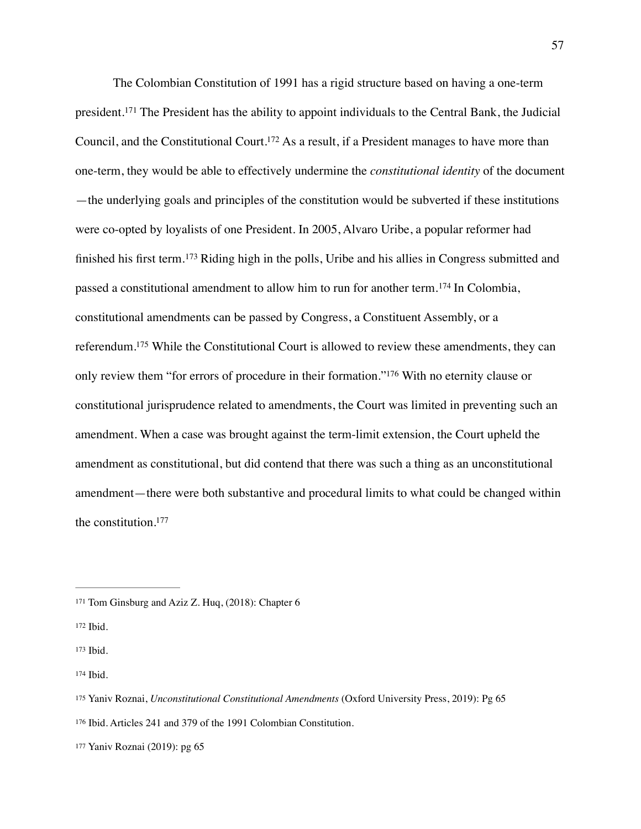<span id="page-57-10"></span><span id="page-57-9"></span><span id="page-57-8"></span><span id="page-57-7"></span>The Colombian Constitution of 1991 has a rigid structure based on having a one-term president.<sup>171</sup>The President has the ability to appoint individuals to the Central Bank, the Judicial Council, and the Constitutional Court[.](#page-57-1)<sup>[172](#page-57-1)</sup> As a result, if a President manages to have more than one-term, they would be able to effectively undermine the *constitutional identity* of the document —the underlying goals and principles of the constitution would be subverted if these institutions were co-opted by loyalists of one President. In 2005, Alvaro Uribe, a popular reformer had finishedhis first term.<sup>[173](#page-57-2)</sup> Riding high in the polls, Uribe and his allies in Congress submitted and passeda constitutional amendment to allow him to run for another term.<sup>[174](#page-57-3)</sup> In Colombia, constitutional amendments can be passed by Congress, a Constituent Assembly, or a referendum[.](#page-57-4)<sup>[175](#page-57-4)</sup> While the Constitutional Court is allowed to review these amendments, they can only review them ["](#page-57-5)for errors of procedure in their formation."<sup>[176](#page-57-5)</sup> With no eternity clause or constitutional jurisprudence related to amendments, the Court was limited in preventing such an amendment. When a case was brought against the term-limit extension, the Court upheld the amendment as constitutional, but did contend that there was such a thing as an unconstitutional amendment—there were both substantive and procedural limits to what could be changed within the constitution[.177](#page-57-6)

<span id="page-57-13"></span><span id="page-57-12"></span><span id="page-57-11"></span><span id="page-57-0"></span>[<sup>171</sup>](#page-57-7) Tom Ginsburg and Aziz Z. Huq, (2018): Chapter 6

<span id="page-57-1"></span>[<sup>172</sup>](#page-57-8) Ibid.

<span id="page-57-2"></span>[<sup>173</sup>](#page-57-9) Ibid.

<span id="page-57-3"></span>[<sup>174</sup>](#page-57-10) Ibid.

<span id="page-57-4"></span>[<sup>175</sup>](#page-57-11) Yaniv Roznai, *Unconstitutional Constitutional Amendments* (Oxford University Press, 2019): Pg 65

<span id="page-57-5"></span>[<sup>176</sup>](#page-57-12) Ibid. Articles 241 and 379 of the 1991 Colombian Constitution.

<span id="page-57-6"></span>[<sup>177</sup>](#page-57-13) Yaniv Roznai (2019): pg 65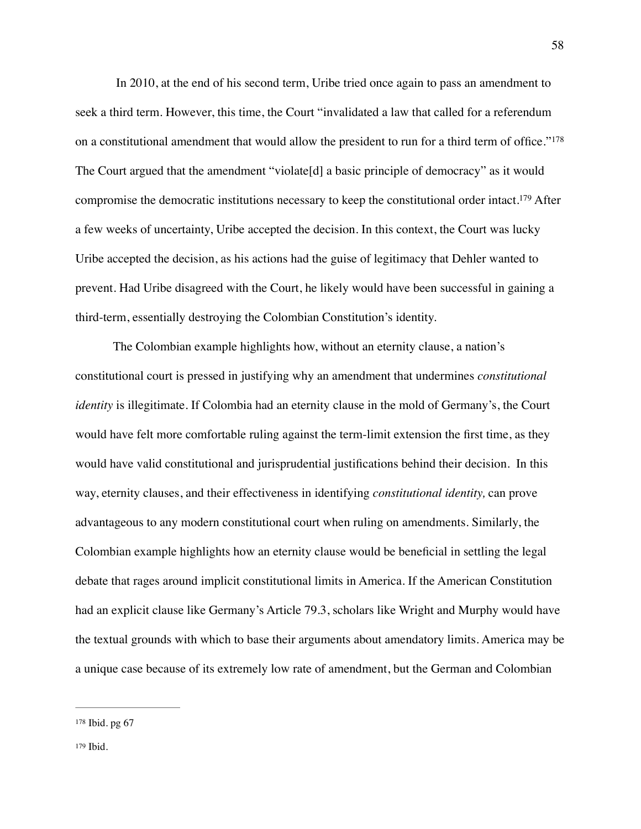<span id="page-58-3"></span><span id="page-58-2"></span> In 2010, at the end of his second term, Uribe tried once again to pass an amendment to seek a third term. However, this time, the Court "invalidated a law that called for a referendum on a constitutional amendment that would allow the president to run for a third term of office."[178](#page-58-0) The Court argued that the amendment "violate[d] a basic principle of democracy" as it would compromise the democratic institutions necessary to keep the constitutional order intact[.](#page-58-1)<sup>[179](#page-58-1)</sup> After a few weeks of uncertainty, Uribe accepted the decision. In this context, the Court was lucky Uribe accepted the decision, as his actions had the guise of legitimacy that Dehler wanted to prevent. Had Uribe disagreed with the Court, he likely would have been successful in gaining a third-term, essentially destroying the Colombian Constitution's identity.

The Colombian example highlights how, without an eternity clause, a nation's constitutional court is pressed in justifying why an amendment that undermines *constitutional identity* is illegitimate. If Colombia had an eternity clause in the mold of Germany's, the Court would have felt more comfortable ruling against the term-limit extension the first time, as they would have valid constitutional and jurisprudential justifications behind their decision. In this way, eternity clauses, and their effectiveness in identifying *constitutional identity,* can prove advantageous to any modern constitutional court when ruling on amendments. Similarly, the Colombian example highlights how an eternity clause would be beneficial in settling the legal debate that rages around implicit constitutional limits in America. If the American Constitution had an explicit clause like Germany's Article 79.3, scholars like Wright and Murphy would have the textual grounds with which to base their arguments about amendatory limits. America may be a unique case because of its extremely low rate of amendment, but the German and Colombian

<span id="page-58-1"></span><span id="page-58-0"></span>[<sup>178</sup>](#page-58-2) Ibid. pg 67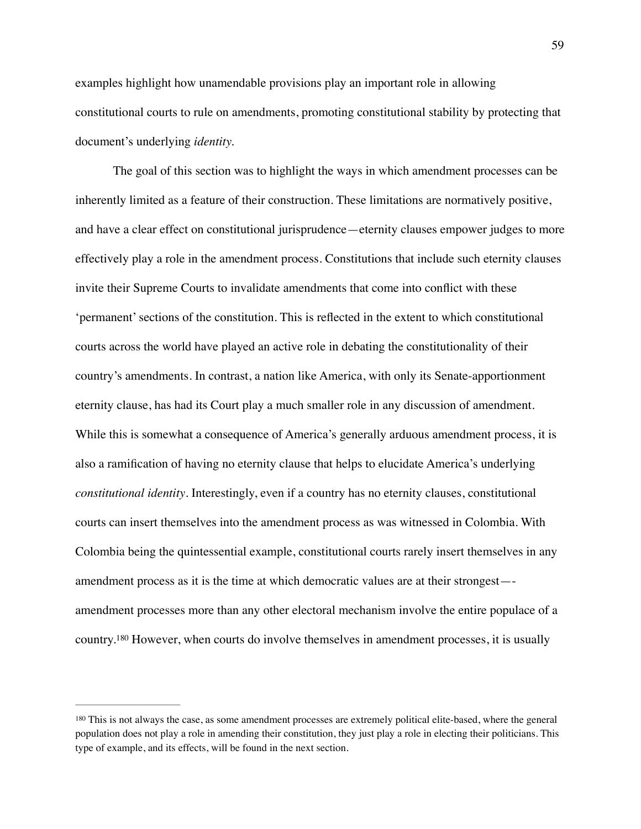examples highlight how unamendable provisions play an important role in allowing constitutional courts to rule on amendments, promoting constitutional stability by protecting that document's underlying *identity.*

The goal of this section was to highlight the ways in which amendment processes can be inherently limited as a feature of their construction. These limitations are normatively positive, and have a clear effect on constitutional jurisprudence—eternity clauses empower judges to more effectively play a role in the amendment process. Constitutions that include such eternity clauses invite their Supreme Courts to invalidate amendments that come into conflict with these 'permanent' sections of the constitution. This is reflected in the extent to which constitutional courts across the world have played an active role in debating the constitutionality of their country's amendments. In contrast, a nation like America, with only its Senate-apportionment eternity clause, has had its Court play a much smaller role in any discussion of amendment. While this is somewhat a consequence of America's generally arduous amendment process, it is also a ramification of having no eternity clause that helps to elucidate America's underlying *constitutional identity*. Interestingly, even if a country has no eternity clauses, constitutional courts can insert themselves into the amendment process as was witnessed in Colombia. With Colombia being the quintessential example, constitutional courts rarely insert themselves in any amendment process as it is the time at which democratic values are at their strongest— amendment processes more than any other electoral mechanism involve the entire populace of a country.<sup>180</sup>However, when courts do involve themselves in amendment processes, it is usually

<span id="page-59-1"></span><span id="page-59-0"></span><sup>&</sup>lt;sup>[180](#page-59-1)</sup> This is not always the case, as some amendment processes are extremely political elite-based, where the general population does not play a role in amending their constitution, they just play a role in electing their politicians. This type of example, and its effects, will be found in the next section.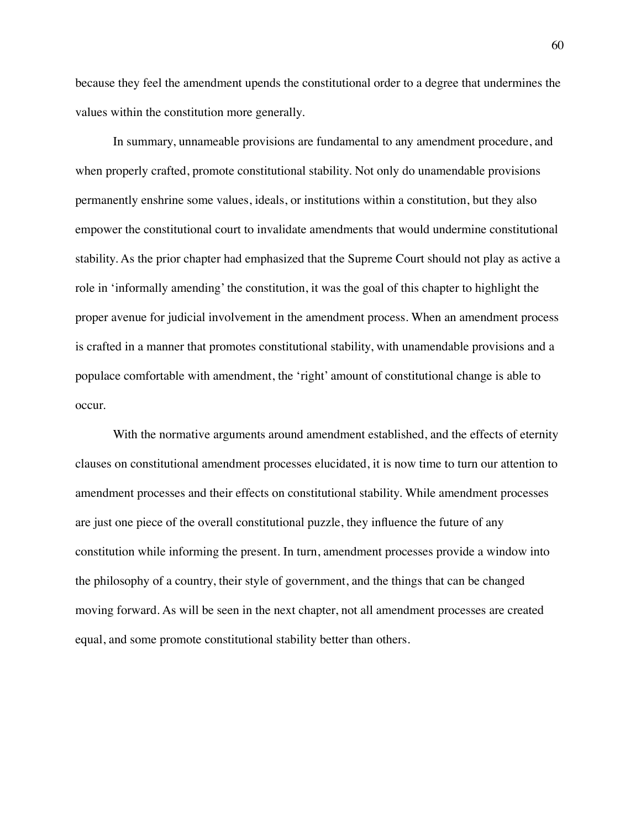because they feel the amendment upends the constitutional order to a degree that undermines the values within the constitution more generally.

In summary, unnameable provisions are fundamental to any amendment procedure, and when properly crafted, promote constitutional stability. Not only do unamendable provisions permanently enshrine some values, ideals, or institutions within a constitution, but they also empower the constitutional court to invalidate amendments that would undermine constitutional stability. As the prior chapter had emphasized that the Supreme Court should not play as active a role in 'informally amending' the constitution, it was the goal of this chapter to highlight the proper avenue for judicial involvement in the amendment process. When an amendment process is crafted in a manner that promotes constitutional stability, with unamendable provisions and a populace comfortable with amendment, the 'right' amount of constitutional change is able to occur.

With the normative arguments around amendment established, and the effects of eternity clauses on constitutional amendment processes elucidated, it is now time to turn our attention to amendment processes and their effects on constitutional stability. While amendment processes are just one piece of the overall constitutional puzzle, they influence the future of any constitution while informing the present. In turn, amendment processes provide a window into the philosophy of a country, their style of government, and the things that can be changed moving forward. As will be seen in the next chapter, not all amendment processes are created equal, and some promote constitutional stability better than others.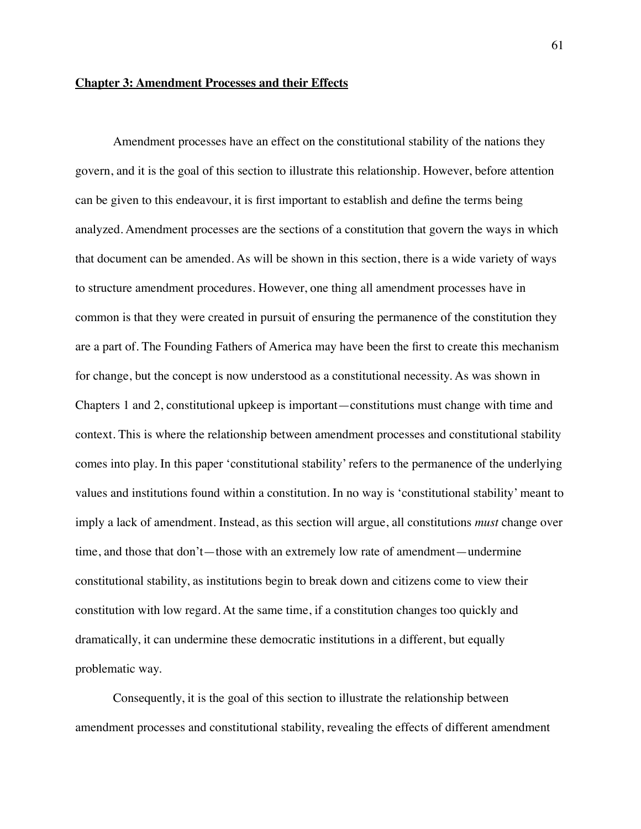# **Chapter 3: Amendment Processes and their Effects**

Amendment processes have an effect on the constitutional stability of the nations they govern, and it is the goal of this section to illustrate this relationship. However, before attention can be given to this endeavour, it is first important to establish and define the terms being analyzed. Amendment processes are the sections of a constitution that govern the ways in which that document can be amended. As will be shown in this section, there is a wide variety of ways to structure amendment procedures. However, one thing all amendment processes have in common is that they were created in pursuit of ensuring the permanence of the constitution they are a part of. The Founding Fathers of America may have been the first to create this mechanism for change, but the concept is now understood as a constitutional necessity. As was shown in Chapters 1 and 2, constitutional upkeep is important—constitutions must change with time and context. This is where the relationship between amendment processes and constitutional stability comes into play. In this paper 'constitutional stability' refers to the permanence of the underlying values and institutions found within a constitution. In no way is 'constitutional stability' meant to imply a lack of amendment. Instead, as this section will argue, all constitutions *must* change over time, and those that don't—those with an extremely low rate of amendment—undermine constitutional stability, as institutions begin to break down and citizens come to view their constitution with low regard. At the same time, if a constitution changes too quickly and dramatically, it can undermine these democratic institutions in a different, but equally problematic way.

Consequently, it is the goal of this section to illustrate the relationship between amendment processes and constitutional stability, revealing the effects of different amendment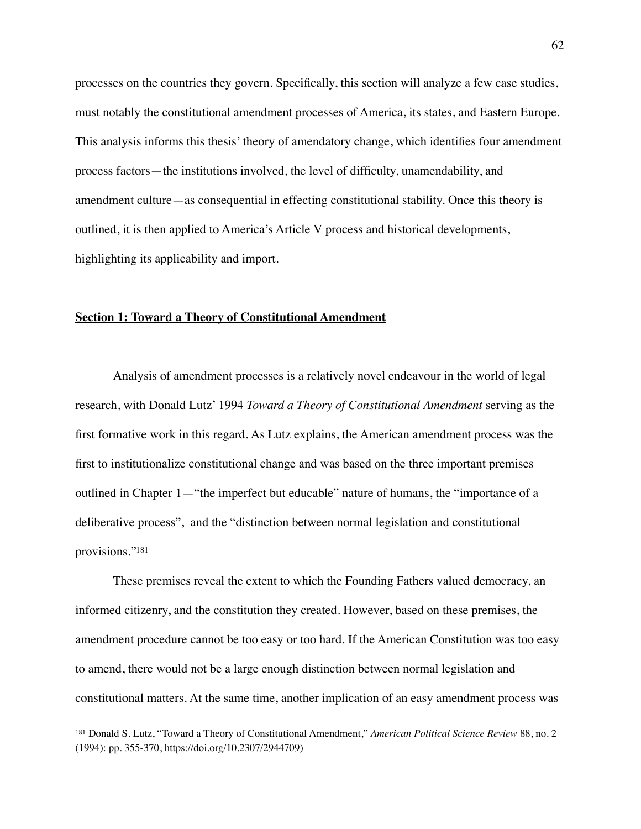processes on the countries they govern. Specifically, this section will analyze a few case studies, must notably the constitutional amendment processes of America, its states, and Eastern Europe. This analysis informs this thesis' theory of amendatory change, which identifies four amendment process factors—the institutions involved, the level of difficulty, unamendability, and amendment culture—as consequential in effecting constitutional stability. Once this theory is outlined, it is then applied to America's Article V process and historical developments, highlighting its applicability and import.

# **Section 1: Toward a Theory of Constitutional Amendment**

Analysis of amendment processes is a relatively novel endeavour in the world of legal research, with Donald Lutz' 1994 *Toward a Theory of Constitutional Amendment* serving as the first formative work in this regard. As Lutz explains, the American amendment process was the first to institutionalize constitutional change and was based on the three important premises outlined in Chapter 1—"the imperfect but educable" nature of humans, the "importance of a deliberative process", and the "distinction between normal legislation and constitutional provisions.["181](#page-62-0)

<span id="page-62-1"></span>These premises reveal the extent to which the Founding Fathers valued democracy, an informed citizenry, and the constitution they created. However, based on these premises, the amendment procedure cannot be too easy or too hard. If the American Constitution was too easy to amend, there would not be a large enough distinction between normal legislation and constitutional matters. At the same time, another implication of an easy amendment process was

<span id="page-62-0"></span><sup>&</sup>lt;sup>[181](#page-62-1)</sup> Donald S. Lutz, "Toward a Theory of Constitutional Amendment," American Political Science Review 88, no. 2 (1994): pp. 355-370, https://doi.org/10.2307/2944709)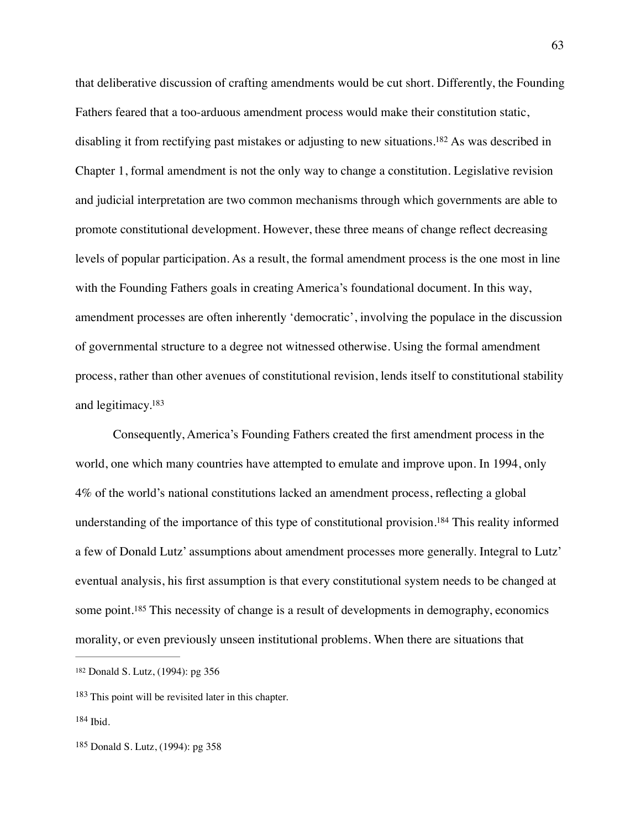<span id="page-63-4"></span>that deliberative discussion of crafting amendments would be cut short. Differently, the Founding Fathers feared that a too-arduous amendment process would make their constitution static, disabling it from rectifying past mistakes or adjusting to new situations[.](#page-63-0)<sup>[182](#page-63-0)</sup> As was described in Chapter 1, formal amendment is not the only way to change a constitution. Legislative revision and judicial interpretation are two common mechanisms through which governments are able to promote constitutional development. However, these three means of change reflect decreasing levels of popular participation. As a result, the formal amendment process is the one most in line with the Founding Fathers goals in creating America's foundational document. In this way, amendment processes are often inherently 'democratic', involving the populace in the discussion of governmental structure to a degree not witnessed otherwise. Using the formal amendment process, rather than other avenues of constitutional revision, lends itself to constitutional stability and legitimacy[.183](#page-63-1)

<span id="page-63-6"></span><span id="page-63-5"></span>Consequently, America's Founding Fathers created the first amendment process in the world, one which many countries have attempted to emulate and improve upon. In 1994, only 4% of the world's national constitutions lacked an amendment process, reflecting a global understanding of the importance of this type of constitutional provision[.](#page-63-2)<sup>[184](#page-63-2)</sup> This reality informed a few of Donald Lutz' assumptions about amendment processes more generally. Integral to Lutz' eventual analysis, his first assumption is that every constitutional system needs to be changed at somepoint.<sup>[185](#page-63-3)</sup> This necessity of change is a result of developments in demography, economics morality, or even previously unseen institutional problems. When there are situations that

<span id="page-63-7"></span><span id="page-63-0"></span>[<sup>182</sup>](#page-63-4) Donald S. Lutz, (1994): pg 356

<span id="page-63-1"></span> $183$  This point will be revisited later in this chapter.

<span id="page-63-2"></span>[<sup>184</sup>](#page-63-6) Ibid.

<span id="page-63-3"></span> $185$  Donald S. Lutz, (1994): pg 358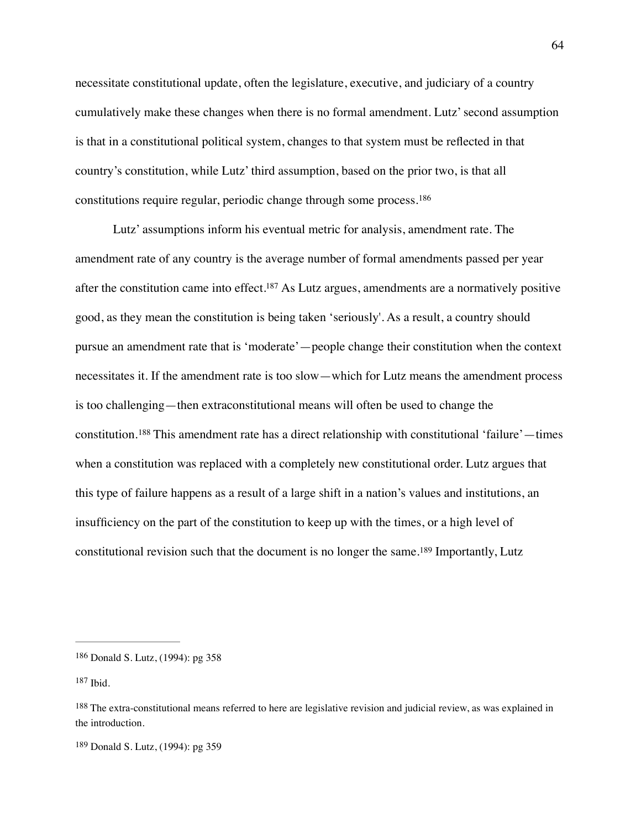necessitate constitutional update, often the legislature, executive, and judiciary of a country cumulatively make these changes when there is no formal amendment. Lutz' second assumption is that in a constitutional political system, changes to that system must be reflected in that country's constitution, while Lutz' third assumption, based on the prior two, is that all constitutions require regular, periodic change through some process.[186](#page-64-0)

<span id="page-64-6"></span><span id="page-64-5"></span><span id="page-64-4"></span>Lutz' assumptions inform his eventual metric for analysis, amendment rate. The amendment rate of any country is the average number of formal amendments passed per year after the constitution came into effect[.](#page-64-1)<sup>[187](#page-64-1)</sup> As Lutz argues, amendments are a normatively positive good, as they mean the constitution is being taken 'seriously'. As a result, a country should pursue an amendment rate that is 'moderate'—people change their constitution when the context necessitates it. If the amendment rate is too slow—which for Lutz means the amendment process is too challenging—then extraconstitutional means will often be used to change the constitution.<sup>[188](#page-64-2)</sup> This amendment rate has a direct relationship with constitutional 'failure'—times when a constitution was replaced with a completely new constitutional order. Lutz argues that this type of failure happens as a result of a large shift in a nation's values and institutions, an insufficiency on the part of the constitution to keep up with the times, or a high level of constitutionalrevision such that the document is no longer the same.<sup>[189](#page-64-3)</sup> Importantly, Lutz

<span id="page-64-7"></span><span id="page-64-0"></span><sup>&</sup>lt;sup>[186](#page-64-4)</sup> Donald S. Lutz, (1994): pg 358

<span id="page-64-1"></span> $187$  Ibid.

<span id="page-64-2"></span><sup>&</sup>lt;sup>[188](#page-64-6)</sup> The extra-constitutional means referred to here are legislative revision and judicial review, as was explained in the introduction.

<span id="page-64-3"></span><sup>&</sup>lt;sup>[189](#page-64-7)</sup> Donald S. Lutz, (1994): pg 359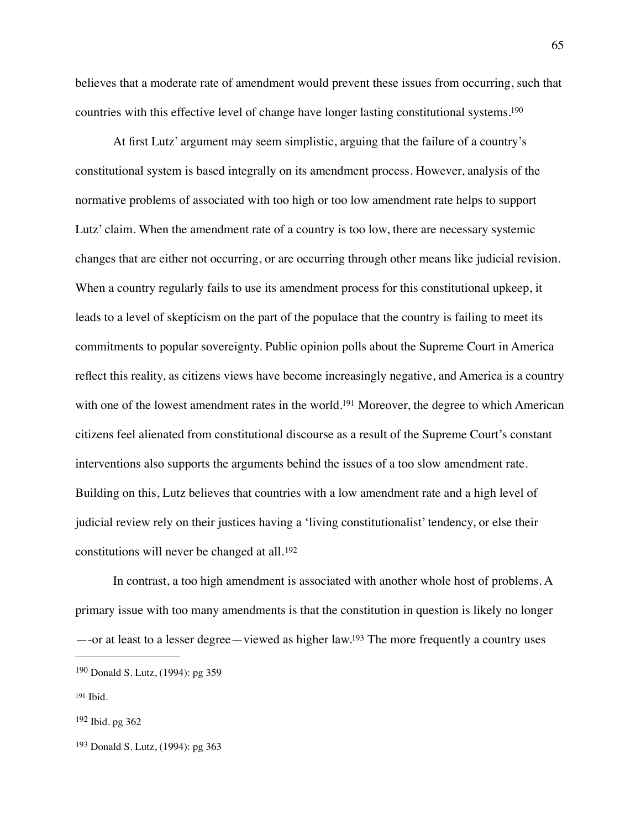<span id="page-65-4"></span>believes that a moderate rate of amendment would prevent these issues from occurring, such that countries with this effective level of change have longer lasting constitutional systems[.190](#page-65-0)

At first Lutz' argument may seem simplistic, arguing that the failure of a country's constitutional system is based integrally on its amendment process. However, analysis of the normative problems of associated with too high or too low amendment rate helps to support Lutz' claim. When the amendment rate of a country is too low, there are necessary systemic changes that are either not occurring, or are occurring through other means like judicial revision. When a country regularly fails to use its amendment process for this constitutional upkeep, it leads to a level of skepticism on the part of the populace that the country is failing to meet its commitments to popular sovereignty. Public opinion polls about the Supreme Court in America reflect this reality, as citizens views have become increasingly negative, and America is a country with one of the lowest amendment rates in the world[.](#page-65-1)<sup>[191](#page-65-1)</sup> Moreover, the degree to which American citizens feel alienated from constitutional discourse as a result of the Supreme Court's constant interventions also supports the arguments behind the issues of a too slow amendment rate. Building on this, Lutz believes that countries with a low amendment rate and a high level of judicial review rely on their justices having a 'living constitutionalist' tendency, or else their constitutions will never be changed at all.[192](#page-65-2)

<span id="page-65-6"></span><span id="page-65-5"></span>In contrast, a too high amendment is associated with another whole host of problems. A primary issue with too many amendments is that the constitution in question is likely no longer —-or at least to a lesser degree—viewed as higher law[.](#page-65-3)<sup>[193](#page-65-3)</sup> The more frequently a country uses

<span id="page-65-7"></span><span id="page-65-0"></span><sup>&</sup>lt;sup>[190](#page-65-4)</sup> Donald S. Lutz, (1994): pg 359

<span id="page-65-1"></span>[<sup>191</sup>](#page-65-5) Ibid.

<span id="page-65-2"></span> $192$  Ibid. pg 362

<span id="page-65-3"></span><sup>&</sup>lt;sup>[193](#page-65-7)</sup> Donald S. Lutz, (1994): pg 363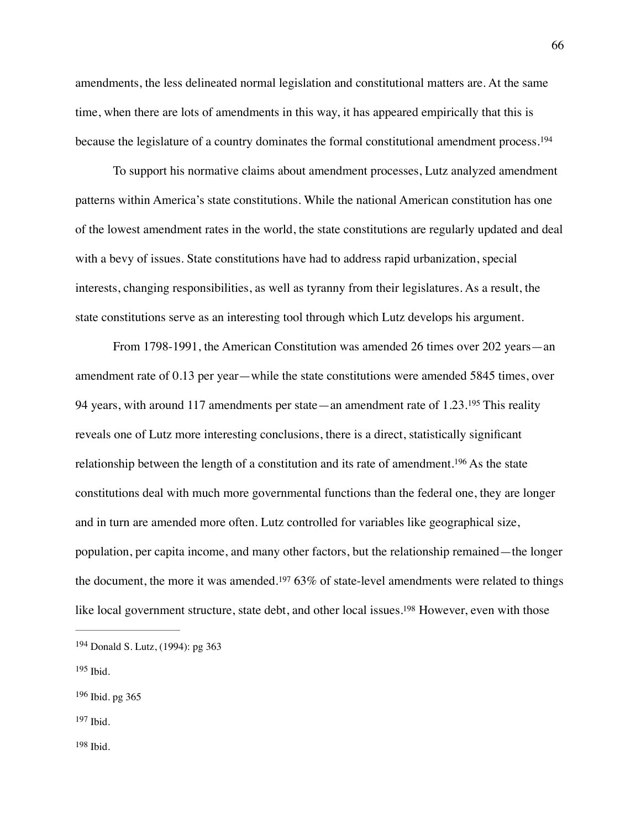amendments, the less delineated normal legislation and constitutional matters are. At the same time, when there are lots of amendments in this way, it has appeared empirically that this is because the legislature of a country dominates the formal constitutional amendment process.<sup>[194](#page-66-0)</sup>

<span id="page-66-5"></span>To support his normative claims about amendment processes, Lutz analyzed amendment patterns within America's state constitutions. While the national American constitution has one of the lowest amendment rates in the world, the state constitutions are regularly updated and deal with a bevy of issues. State constitutions have had to address rapid urbanization, special interests, changing responsibilities, as well as tyranny from their legislatures. As a result, the state constitutions serve as an interesting tool through which Lutz develops his argument.

<span id="page-66-7"></span><span id="page-66-6"></span>From 1798-1991, the American Constitution was amended 26 times over 202 years—an amendment rate of 0.13 per year—while the state constitutions were amended 5845 times, over 94years, with around 117 amendments per state—an amendment rate of  $1.23^{195}$  $1.23^{195}$  $1.23^{195}$  This reality reveals one of Lutz more interesting conclusions, there is a direct, statistically significant relationshipbetween the length of a constitution and its rate of amendment.<sup>[196](#page-66-2)</sup> As the state constitutions deal with much more governmental functions than the federal one, they are longer and in turn are amended more often. Lutz controlled for variables like geographical size, population, per capita income, and many other factors, but the relationship remained—the longer thedocument, the more it was amended.<sup>[197](#page-66-3)</sup> 63% of state-level amendments were related to things like local government structure, state debt, and other local issues[.](#page-66-4)<sup>[198](#page-66-4)</sup> However, even with those

<span id="page-66-9"></span><span id="page-66-8"></span><span id="page-66-0"></span><sup>&</sup>lt;sup>[194](#page-66-5)</sup> Donald S. Lutz, (1994): pg 363

<span id="page-66-1"></span>Ibid. [195](#page-66-6)

<span id="page-66-2"></span><sup>&</sup>lt;sup>[196](#page-66-7)</sup> Ibid. pg 365

<span id="page-66-4"></span><span id="page-66-3"></span>[<sup>197</sup>](#page-66-8) Ibid.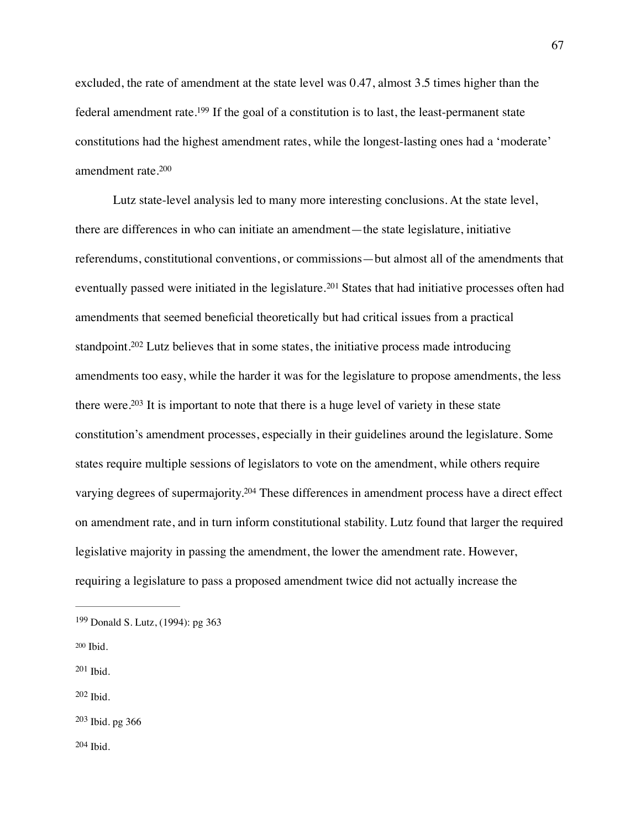<span id="page-67-6"></span>excluded, the rate of amendment at the state level was 0.47, almost 3.5 times higher than the federal amendment rate[.](#page-67-0)<sup>[199](#page-67-0)</sup> If the goal of a constitution is to last, the least-permanent state constitutions had the highest amendment rates, while the longest-lasting ones had a 'moderate' amendment rate.[200](#page-67-1)

<span id="page-67-10"></span><span id="page-67-9"></span><span id="page-67-8"></span><span id="page-67-7"></span>Lutz state-level analysis led to many more interesting conclusions. At the state level, there are differences in who can initiate an amendment—the state legislature, initiative referendums, constitutional conventions, or commissions—but almost all of the amendments that eventuallypassed were initiated in the legislature.<sup>[201](#page-67-2)</sup> States that had initiative processes often had amendments that seemed beneficial theoretically but had critical issues from a practical standpoint.<sup>202</sup>Lutz believes that in some states, the initiative process made introducing amendments too easy, while the harder it was for the legislature to propose amendments, the less there were[.](#page-67-4)<sup>[203](#page-67-4)</sup> It is important to note that there is a huge level of variety in these state constitution's amendment processes, especially in their guidelines around the legislature. Some states require multiple sessions of legislators to vote on the amendment, while others require varying degrees of supermajority[.](#page-67-5)<sup>[204](#page-67-5)</sup> These differences in amendment process have a direct effect on amendment rate, and in turn inform constitutional stability. Lutz found that larger the required legislative majority in passing the amendment, the lower the amendment rate. However, requiring a legislature to pass a proposed amendment twice did not actually increase the

<span id="page-67-1"></span>[200](#page-67-7) Ibid.

<span id="page-67-2"></span> $201$  Ibid.

<span id="page-67-3"></span> $202$  Ibid.

<span id="page-67-5"></span><span id="page-67-4"></span> $203$  Ibid. pg 366

<span id="page-67-11"></span><span id="page-67-0"></span><sup>&</sup>lt;sup>[199](#page-67-6)</sup> Donald S. Lutz, (1994): pg 363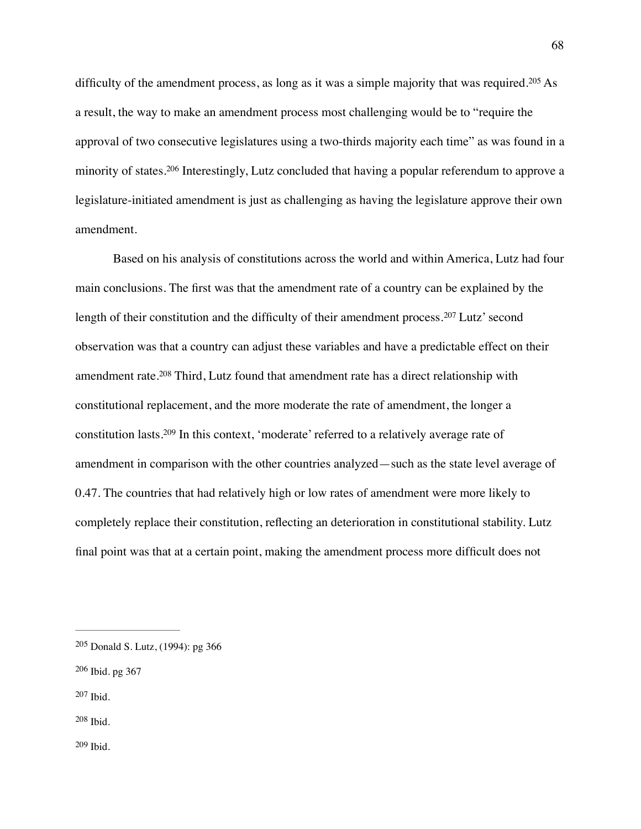<span id="page-68-6"></span><span id="page-68-5"></span>difficultyof the amendment process, as long as it was a simple majority that was required. <sup>[205](#page-68-0)</sup> As a result, the way to make an amendment process most challenging would be to "require the approval of two consecutive legislatures using a two-thirds majority each time" as was found in a minorityof states.<sup>[206](#page-68-1)</sup> Interestingly, Lutz concluded that having a popular referendum to approve a legislature-initiated amendment is just as challenging as having the legislature approve their own amendment.

<span id="page-68-9"></span><span id="page-68-8"></span><span id="page-68-7"></span>Based on his analysis of constitutions across the world and within America, Lutz had four main conclusions. The first was that the amendment rate of a country can be explained by the lengthof their constitution and the difficulty of their amendment process.  $207$  Lutz' second observation was that a country can adjust these variables and have a predictable effect on their amendmentrate.<sup>[208](#page-68-3)</sup> Third, Lutz found that amendment rate has a direct relationship with constitutional replacement, and the more moderate the rate of amendment, the longer a constitution lasts.<sup>[209](#page-68-4)</sup> In this context, 'moderate' referred to a relatively average rate of amendment in comparison with the other countries analyzed—such as the state level average of 0.47. The countries that had relatively high or low rates of amendment were more likely to completely replace their constitution, reflecting an deterioration in constitutional stability. Lutz final point was that at a certain point, making the amendment process more difficult does not

- <span id="page-68-1"></span> $206$  Ibid. pg 367
- <span id="page-68-2"></span>[207](#page-68-7) Ibid.
- <span id="page-68-4"></span><span id="page-68-3"></span>[208](#page-68-8) Ibid.

<span id="page-68-0"></span><sup>&</sup>lt;sup>[205](#page-68-5)</sup> Donald S. Lutz, (1994): pg 366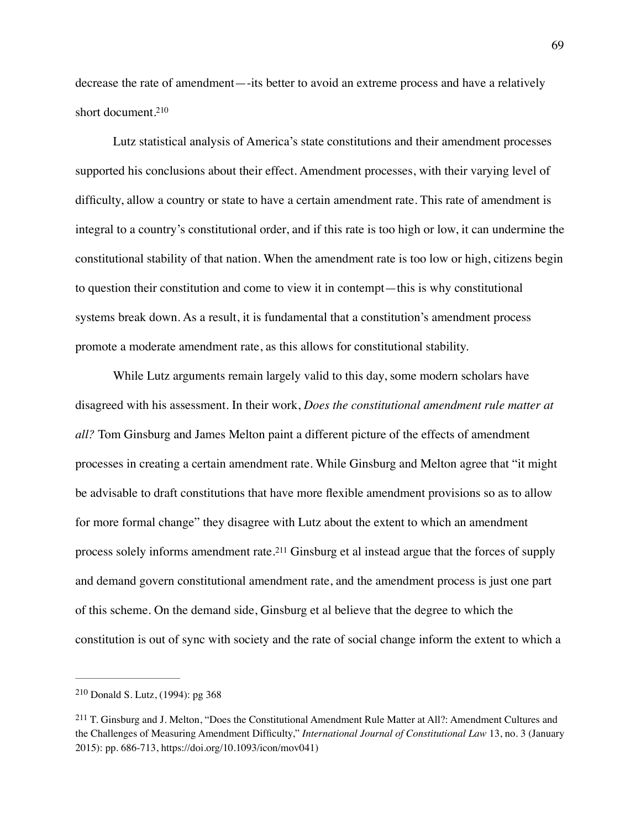<span id="page-69-2"></span>decrease the rate of amendment—-its better to avoid an extreme process and have a relatively short document[.210](#page-69-0)

Lutz statistical analysis of America's state constitutions and their amendment processes supported his conclusions about their effect. Amendment processes, with their varying level of difficulty, allow a country or state to have a certain amendment rate. This rate of amendment is integral to a country's constitutional order, and if this rate is too high or low, it can undermine the constitutional stability of that nation. When the amendment rate is too low or high, citizens begin to question their constitution and come to view it in contempt—this is why constitutional systems break down. As a result, it is fundamental that a constitution's amendment process promote a moderate amendment rate, as this allows for constitutional stability.

While Lutz arguments remain largely valid to this day, some modern scholars have disagreed with his assessment. In their work, *Does the constitutional amendment rule matter at all?* Tom Ginsburg and James Melton paint a different picture of the effects of amendment processes in creating a certain amendment rate. While Ginsburg and Melton agree that "it might be advisable to draft constitutions that have more flexible amendment provisions so as to allow for more formal change" they disagree with Lutz about the extent to which an amendment processsolely informs amendment rate.<sup>[211](#page-69-1)</sup> Ginsburg et al instead argue that the forces of supply and demand govern constitutional amendment rate, and the amendment process is just one part of this scheme. On the demand side, Ginsburg et al believe that the degree to which the constitution is out of sync with society and the rate of social change inform the extent to which a

<span id="page-69-3"></span><span id="page-69-0"></span> $210$  Donald S. Lutz, (1994): pg 368

<span id="page-69-1"></span><sup>&</sup>lt;sup>211</sup>T. Ginsburg and J. Melton, "Does the Constitutional Amendment Rule Matter at All?: Amendment Cultures and the Challenges of Measuring Amendment Difficulty," *International Journal of Constitutional Law* 13, no. 3 (January 2015): pp. 686-713, https://doi.org/10.1093/icon/mov041)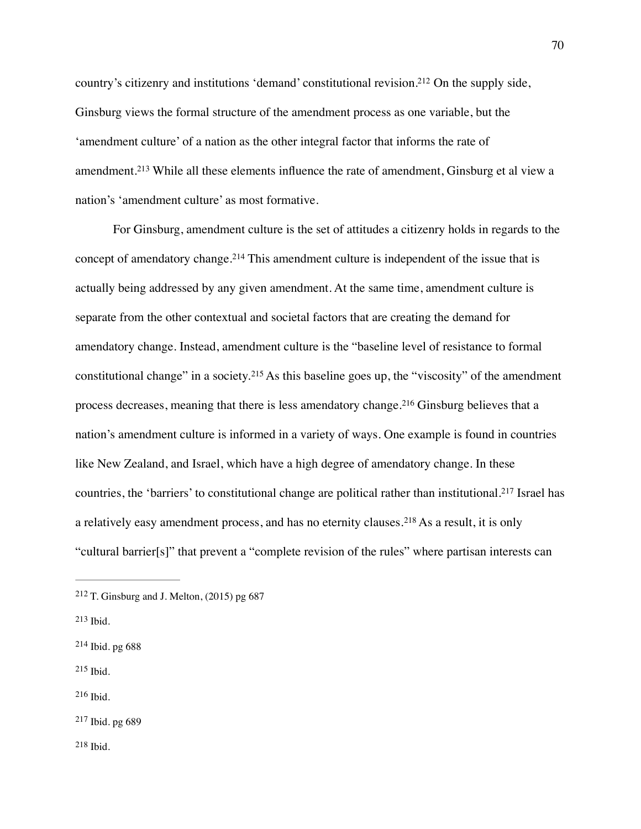<span id="page-70-7"></span>country's citizenry and institutions 'demand' constitutional revision[.](#page-70-0)<sup>[212](#page-70-0)</sup> On the supply side, Ginsburg views the formal structure of the amendment process as one variable, but the 'amendment culture' of a nation as the other integral factor that informs the rate of amendment.<sup>213</sup>While all these elements influence the rate of amendment, Ginsburg et al view a nation's 'amendment culture' as most formative.

<span id="page-70-11"></span><span id="page-70-10"></span><span id="page-70-9"></span><span id="page-70-8"></span>For Ginsburg, amendment culture is the set of attitudes a citizenry holds in regards to the conceptof amendatory change.<sup>[214](#page-70-2)</sup> This amendment culture is independent of the issue that is actually being addressed by any given amendment. At the same time, amendment culture is separate from the other contextual and societal factors that are creating the demand for amendatory change. Instead, amendment culture is the "baseline level of resistance to formal constitutionalchange" in a society.<sup>[215](#page-70-3)</sup> As this baseline goes up, the "viscosity" of the amendment processdecreases, meaning that there is less amendatory change.<sup>[216](#page-70-4)</sup> Ginsburg believes that a nation's amendment culture is informed in a variety of ways. One example is found in countries like New Zealand, and Israel, which have a high degree of amendatory change. In these countries,the 'barriers' to constitutional change are political rather than institutional.<sup>[217](#page-70-5)</sup> Israel has arelatively easy amendment process, and has no eternity clauses.<sup>[218](#page-70-6)</sup> As a result, it is only "cultural barrier[s]" that prevent a "complete revision of the rules" where partisan interests can

<span id="page-70-3"></span> $215$  Ibid.

<span id="page-70-4"></span> $216$  Ibid.

<span id="page-70-6"></span><span id="page-70-5"></span> $217$  Ibid. pg 689

<span id="page-70-13"></span><span id="page-70-12"></span><span id="page-70-0"></span><sup>&</sup>lt;sup>[212](#page-70-7)</sup> T. Ginsburg and J. Melton,  $(2015)$  pg 687

<span id="page-70-1"></span> $213$  Ibid.

<span id="page-70-2"></span> $214$  Ibid. pg 688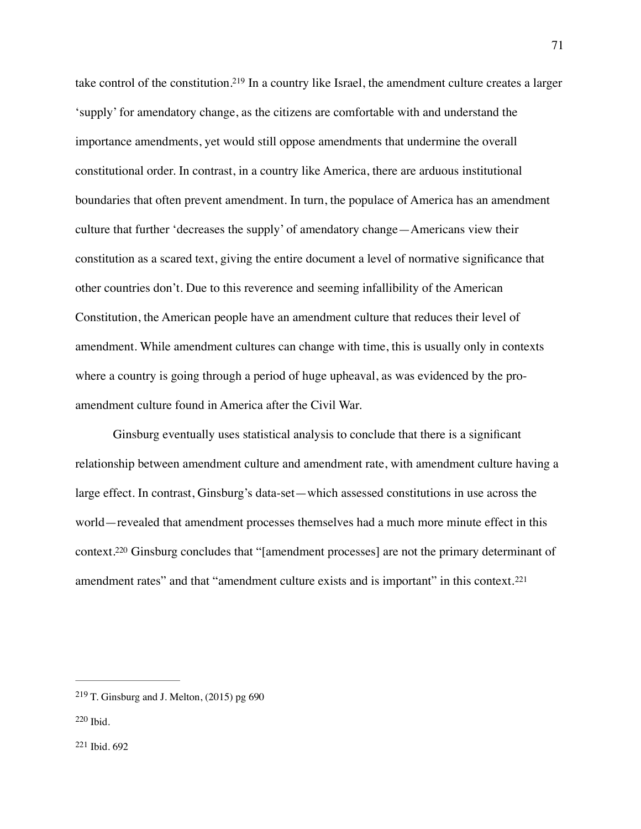<span id="page-71-3"></span>take control of the constitution[.](#page-71-0)<sup>[219](#page-71-0)</sup> In a country like Israel, the amendment culture creates a larger 'supply' for amendatory change, as the citizens are comfortable with and understand the importance amendments, yet would still oppose amendments that undermine the overall constitutional order. In contrast, in a country like America, there are arduous institutional boundaries that often prevent amendment. In turn, the populace of America has an amendment culture that further 'decreases the supply' of amendatory change—Americans view their constitution as a scared text, giving the entire document a level of normative significance that other countries don't. Due to this reverence and seeming infallibility of the American Constitution, the American people have an amendment culture that reduces their level of amendment. While amendment cultures can change with time, this is usually only in contexts where a country is going through a period of huge upheaval, as was evidenced by the proamendment culture found in America after the Civil War.

<span id="page-71-4"></span>Ginsburg eventually uses statistical analysis to conclude that there is a significant relationship between amendment culture and amendment rate, with amendment culture having a large effect. In contrast, Ginsburg's data-set—which assessed constitutions in use across the world—revealed that amendment processes themselves had a much more minute effect in this context[.](#page-71-1)<sup>[220](#page-71-1)</sup> Ginsburg concludes that "[amendment processes] are not the primary determinant of amendment rates" and that "amendment culture exists and is important" in this context.<sup>[221](#page-71-2)</sup>

<span id="page-71-5"></span><span id="page-71-0"></span> $219$  T. Ginsburg and J. Melton, (2015) pg 690

<span id="page-71-2"></span><span id="page-71-1"></span>[<sup>220</sup>](#page-71-4) Ibid.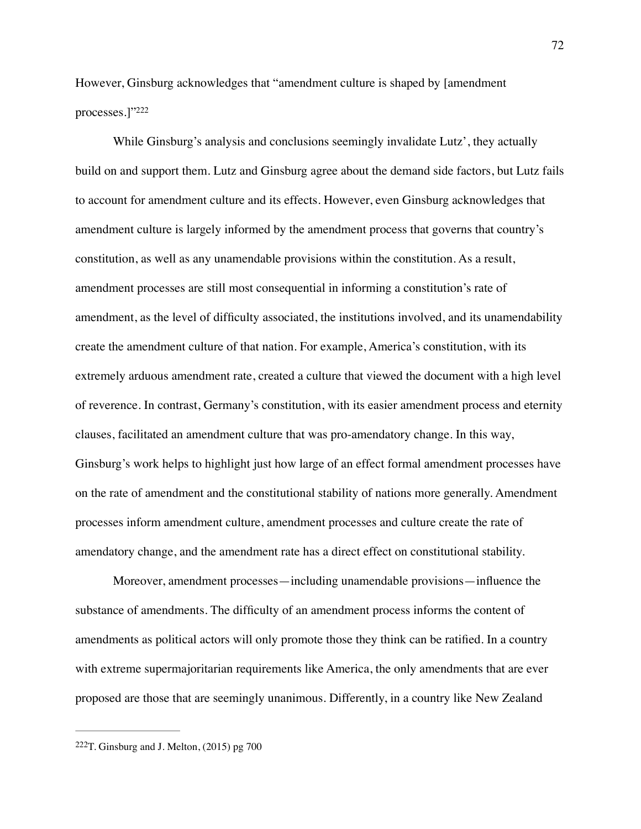<span id="page-72-1"></span>However, Ginsburg acknowledges that "amendment culture is shaped by [amendment processes.]["222](#page-72-0)

While Ginsburg's analysis and conclusions seemingly invalidate Lutz', they actually build on and support them. Lutz and Ginsburg agree about the demand side factors, but Lutz fails to account for amendment culture and its effects. However, even Ginsburg acknowledges that amendment culture is largely informed by the amendment process that governs that country's constitution, as well as any unamendable provisions within the constitution. As a result, amendment processes are still most consequential in informing a constitution's rate of amendment, as the level of difficulty associated, the institutions involved, and its unamendability create the amendment culture of that nation. For example, America's constitution, with its extremely arduous amendment rate, created a culture that viewed the document with a high level of reverence. In contrast, Germany's constitution, with its easier amendment process and eternity clauses, facilitated an amendment culture that was pro-amendatory change. In this way, Ginsburg's work helps to highlight just how large of an effect formal amendment processes have on the rate of amendment and the constitutional stability of nations more generally. Amendment processes inform amendment culture, amendment processes and culture create the rate of amendatory change, and the amendment rate has a direct effect on constitutional stability.

Moreover, amendment processes—including unamendable provisions—influence the substance of amendments. The difficulty of an amendment process informs the content of amendments as political actors will only promote those they think can be ratified. In a country with extreme supermajoritarian requirements like America, the only amendments that are ever proposed are those that are seemingly unanimous. Differently, in a country like New Zealand

<span id="page-72-0"></span> $222$ T. Ginsburg and J. Melton, (2015) pg 700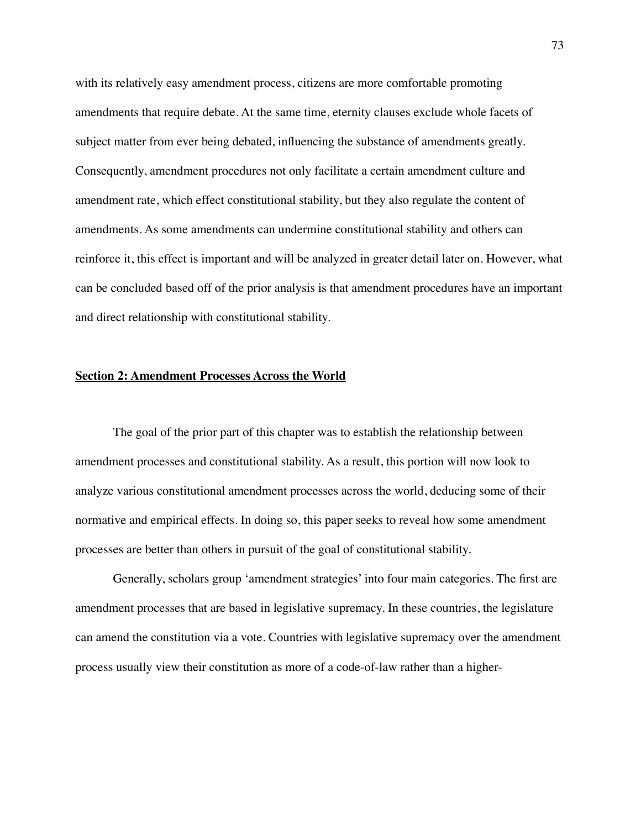with its relatively easy amendment process, citizens are more comfortable promoting amendments that require debate. At the same time, eternity clauses exclude whole facets of subject matter from ever being debated, influencing the substance of amendments greatly. Consequently, amendment procedures not only facilitate a certain amendment culture and amendment rate, which effect constitutional stability, but they also regulate the content of amendments. As some amendments can undermine constitutional stability and others can reinforce it, this effect is important and will be analyzed in greater detail later on. However, what can be concluded based off of the prior analysis is that amendment procedures have an important and direct relationship with constitutional stability.

## **Section 2: Amendment Processes Across the World**

The goal of the prior part of this chapter was to establish the relationship between amendment processes and constitutional stability. As a result, this portion will now look to analyze various constitutional amendment processes across the world, deducing some of their normative and empirical effects. In doing so, this paper seeks to reveal how some amendment processes are better than others in pursuit of the goal of constitutional stability.

Generally, scholars group 'amendment strategies' into four main categories. The first are amendment processes that are based in legislative supremacy. In these countries, the legislature can amend the constitution via a vote. Countries with legislative supremacy over the amendment process usually view their constitution as more of a code-of-law rather than a higher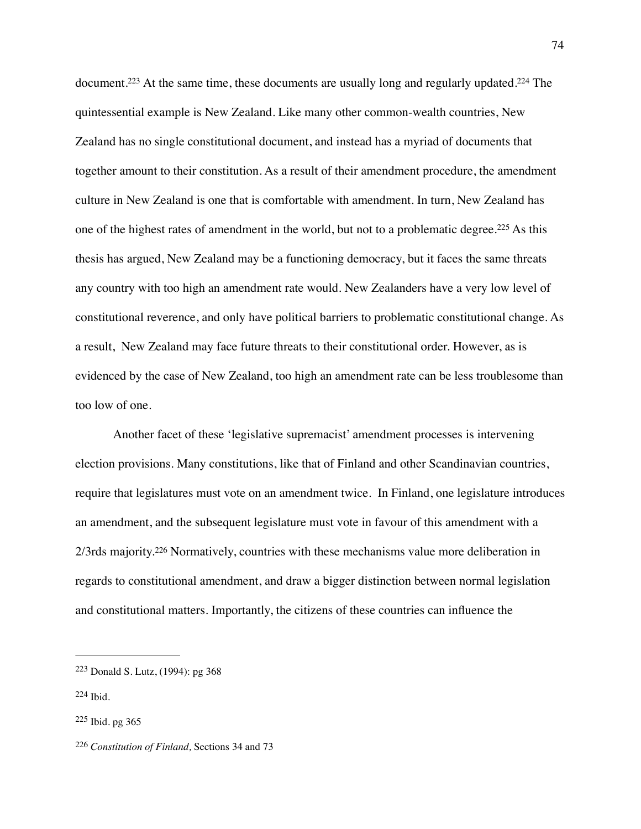<span id="page-74-6"></span><span id="page-74-5"></span><span id="page-74-4"></span>document[.](#page-74-1)<sup>[223](#page-74-0)</sup> At the same time, these documents are usually long and regularly updated.<sup>224</sup> The quintessential example is New Zealand. Like many other common-wealth countries, New Zealand has no single constitutional document, and instead has a myriad of documents that together amount to their constitution. As a result of their amendment procedure, the amendment culture in New Zealand is one that is comfortable with amendment. In turn, New Zealand has oneof the highest rates of amendment in the world, but not to a problematic degree.<sup>[225](#page-74-2)</sup> As this thesis has argued, New Zealand may be a functioning democracy, but it faces the same threats any country with too high an amendment rate would. New Zealanders have a very low level of constitutional reverence, and only have political barriers to problematic constitutional change. As a result, New Zealand may face future threats to their constitutional order. However, as is evidenced by the case of New Zealand, too high an amendment rate can be less troublesome than too low of one.

<span id="page-74-7"></span>Another facet of these 'legislative supremacist' amendment processes is intervening election provisions. Many constitutions, like that of Finland and other Scandinavian countries, require that legislatures must vote on an amendment twice. In Finland, one legislature introduces an amendment, and the subsequent legislature must vote in favour of this amendment with a 2/3rdsmajority.<sup>[226](#page-74-3)</sup> Normatively, countries with these mechanisms value more deliberation in regards to constitutional amendment, and draw a bigger distinction between normal legislation and constitutional matters. Importantly, the citizens of these countries can influence the

<span id="page-74-0"></span><sup>&</sup>lt;sup>[223](#page-74-4)</sup> Donald S. Lutz, (1994): pg 368

<span id="page-74-1"></span> $224$  Ibid.

<span id="page-74-2"></span> $225$  Ibid. pg 365

<span id="page-74-3"></span>*Constitution of Finland,* Sections 34 and 73 [226](#page-74-7)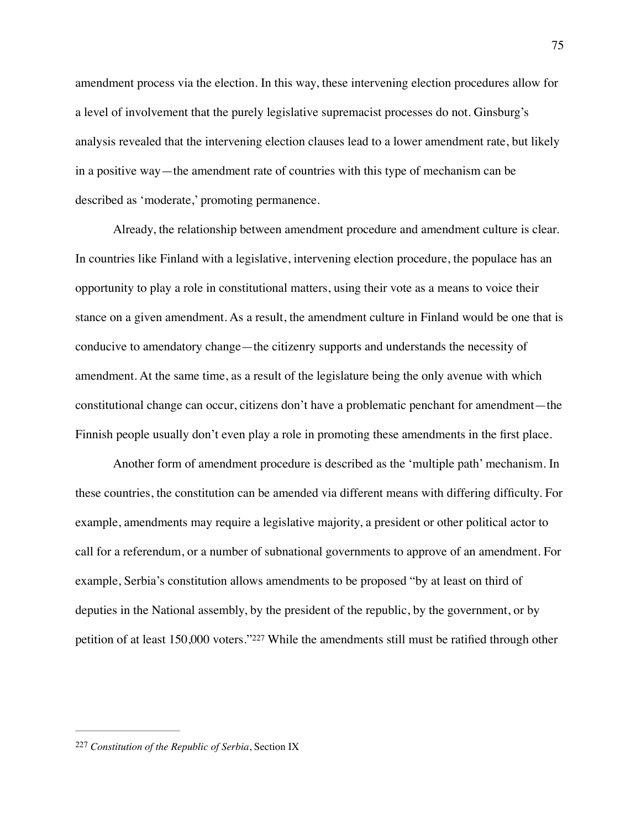amendment process via the election. In this way, these intervening election procedures allow for a level of involvement that the purely legislative supremacist processes do not. Ginsburg's analysis revealed that the intervening election clauses lead to a lower amendment rate, but likely in a positive way—the amendment rate of countries with this type of mechanism can be described as 'moderate,' promoting permanence.

Already, the relationship between amendment procedure and amendment culture is clear. In countries like Finland with a legislative, intervening election procedure, the populace has an opportunity to play a role in constitutional matters, using their vote as a means to voice their stance on a given amendment. As a result, the amendment culture in Finland would be one that is conducive to amendatory change—the citizenry supports and understands the necessity of amendment. At the same time, as a result of the legislature being the only avenue with which constitutional change can occur, citizens don't have a problematic penchant for amendment—the Finnish people usually don't even play a role in promoting these amendments in the first place.

Another form of amendment procedure is described as the 'multiple path' mechanism. In these countries, the constitution can be amended via different means with differing difficulty. For example, amendments may require a legislative majority, a president or other political actor to call for a referendum, or a number of subnational governments to approve of an amendment. For example, Serbia's constitution allows amendments to be proposed "by at least on third of deputies in the National assembly, by the president of the republic, by the government, or by petitionof at least 150,000 voters."<sup>[227](#page-75-0)</sup> While the amendments still must be ratified through other

<span id="page-75-1"></span><span id="page-75-0"></span>[<sup>227</sup>](#page-75-1) *Constitution of the Republic of Serbia*, Section IX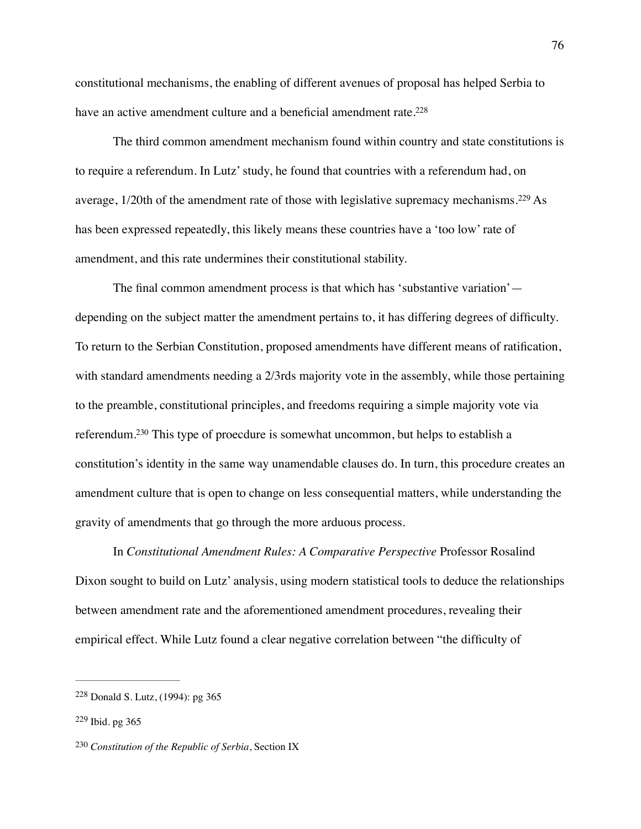<span id="page-76-3"></span>constitutional mechanisms, the enabling of different avenues of proposal has helped Serbia to have an active amendment culture and a beneficial amendment rate.<sup>228</sup>

<span id="page-76-4"></span>The third common amendment mechanism found within country and state constitutions is to require a referendum. In Lutz' study, he found that countries with a referendum had, on average, $1/20$ th of the amendment rate of those with legislative supremacy mechanisms.<sup>[229](#page-76-1)</sup> As has been expressed repeatedly, this likely means these countries have a 'too low' rate of amendment, and this rate undermines their constitutional stability.

The final common amendment process is that which has 'substantive variation' depending on the subject matter the amendment pertains to, it has differing degrees of difficulty. To return to the Serbian Constitution, proposed amendments have different means of ratification, with standard amendments needing a 2/3rds majority vote in the assembly, while those pertaining to the preamble, constitutional principles, and freedoms requiring a simple majority vote via referendum[.](#page-76-2)<sup>[230](#page-76-2)</sup> This type of proecdure is somewhat uncommon, but helps to establish a constitution's identity in the same way unamendable clauses do. In turn, this procedure creates an amendment culture that is open to change on less consequential matters, while understanding the gravity of amendments that go through the more arduous process.

<span id="page-76-5"></span>In *Constitutional Amendment Rules: A Comparative Perspective* Professor Rosalind Dixon sought to build on Lutz' analysis, using modern statistical tools to deduce the relationships between amendment rate and the aforementioned amendment procedures, revealing their empirical effect. While Lutz found a clear negative correlation between "the difficulty of

<span id="page-76-0"></span><sup>&</sup>lt;sup>[228](#page-76-3)</sup> Donald S. Lutz, (1994): pg 365

<span id="page-76-1"></span> $229$  Ibid. pg 365

<span id="page-76-2"></span>[<sup>230</sup>](#page-76-5) *Constitution of the Republic of Serbia*, Section IX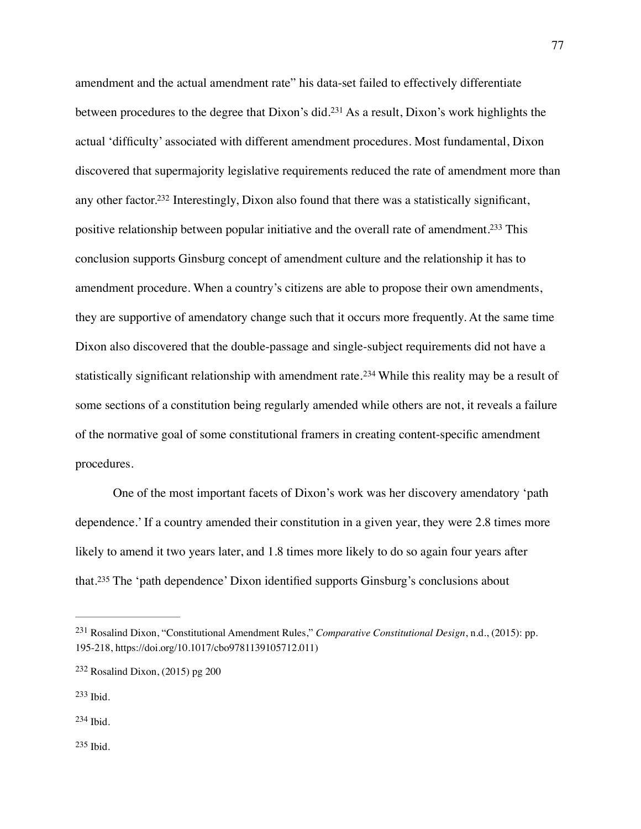<span id="page-77-7"></span><span id="page-77-6"></span><span id="page-77-5"></span>amendment and the actual amendment rate" his data-set failed to effectively differentiate betweenprocedures to the degree that  $Dixon's did.<sup>231</sup> As a result, Dixon's work highlights the$  $Dixon's did.<sup>231</sup> As a result, Dixon's work highlights the$  $Dixon's did.<sup>231</sup> As a result, Dixon's work highlights the$ actual 'difficulty' associated with different amendment procedures. Most fundamental, Dixon discovered that supermajority legislative requirements reduced the rate of amendment more than any other factor[.](#page-77-1)<sup>[232](#page-77-1)</sup> Interestingly, Dixon also found that there was a statistically significant, positive relationship between popular initiative and the overall rate of amendment[.](#page-77-2)<sup>[233](#page-77-2)</sup> This conclusion supports Ginsburg concept of amendment culture and the relationship it has to amendment procedure. When a country's citizens are able to propose their own amendments, they are supportive of amendatory change such that it occurs more frequently. At the same time Dixon also discovered that the double-passage and single-subject requirements did not have a statisticallysignificant relationship with amendment rate.<sup>[234](#page-77-3)</sup> While this reality may be a result of some sections of a constitution being regularly amended while others are not, it reveals a failure of the normative goal of some constitutional framers in creating content-specific amendment procedures.

<span id="page-77-8"></span>One of the most important facets of Dixon's work was her discovery amendatory 'path dependence.' If a country amended their constitution in a given year, they were 2.8 times more likely to amend it two years later, and 1.8 times more likely to do so again four years after that.<sup>235</sup>The 'path dependence' Dixon identified supports Ginsburg's conclusions about

<span id="page-77-4"></span><span id="page-77-3"></span>[234](#page-77-8) Ibid.

<span id="page-77-9"></span><span id="page-77-0"></span>Rosalind Dixon, "Constitutional Amendment Rules," *Comparative Constitutional Design*, n.d., (2015): pp. [231](#page-77-5) 195-218, https://doi.org/10.1017/cbo9781139105712.011)

<span id="page-77-1"></span> $232$  Rosalind Dixon, (2015) pg 200

<span id="page-77-2"></span>[<sup>233</sup>](#page-77-7) Ibid.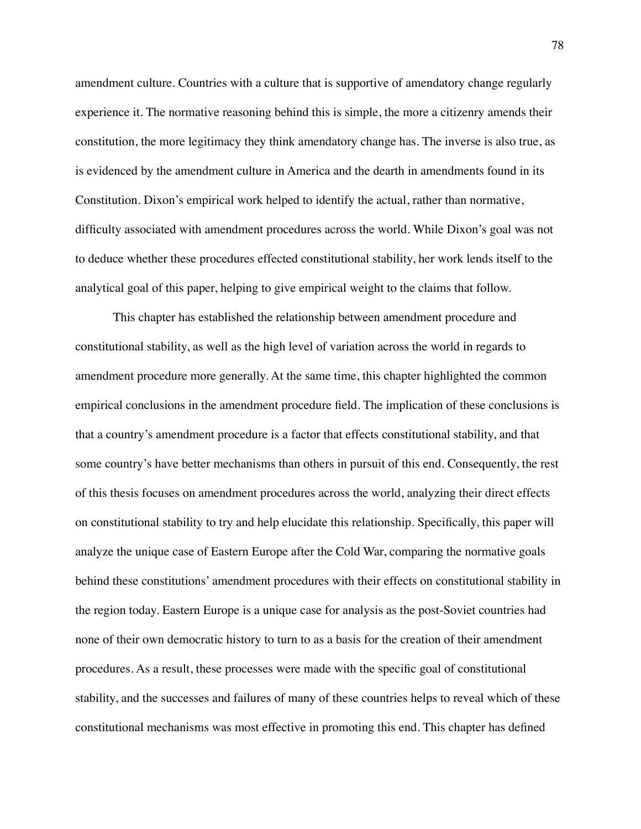amendment culture. Countries with a culture that is supportive of amendatory change regularly experience it. The normative reasoning behind this is simple, the more a citizenry amends their constitution, the more legitimacy they think amendatory change has. The inverse is also true, as is evidenced by the amendment culture in America and the dearth in amendments found in its Constitution. Dixon's empirical work helped to identify the actual, rather than normative, difficulty associated with amendment procedures across the world. While Dixon's goal was not to deduce whether these procedures effected constitutional stability, her work lends itself to the analytical goal of this paper, helping to give empirical weight to the claims that follow.

This chapter has established the relationship between amendment procedure and constitutional stability, as well as the high level of variation across the world in regards to amendment procedure more generally. At the same time, this chapter highlighted the common empirical conclusions in the amendment procedure field. The implication of these conclusions is that a country's amendment procedure is a factor that effects constitutional stability, and that some country's have better mechanisms than others in pursuit of this end. Consequently, the rest of this thesis focuses on amendment procedures across the world, analyzing their direct effects on constitutional stability to try and help elucidate this relationship. Specifically, this paper will analyze the unique case of Eastern Europe after the Cold War, comparing the normative goals behind these constitutions' amendment procedures with their effects on constitutional stability in the region today. Eastern Europe is a unique case for analysis as the post-Soviet countries had none of their own democratic history to turn to as a basis for the creation of their amendment procedures. As a result, these processes were made with the specific goal of constitutional stability, and the successes and failures of many of these countries helps to reveal which of these constitutional mechanisms was most effective in promoting this end. This chapter has defined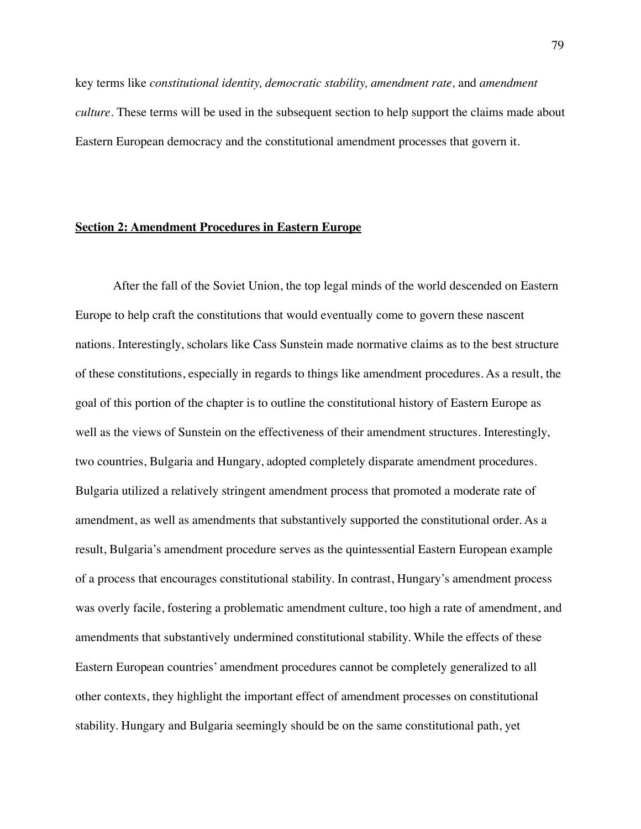key terms like *constitutional identity, democratic stability, amendment rate,* and *amendment culture.* These terms will be used in the subsequent section to help support the claims made about Eastern European democracy and the constitutional amendment processes that govern it.

## **Section 2: Amendment Procedures in Eastern Europe**

After the fall of the Soviet Union, the top legal minds of the world descended on Eastern Europe to help craft the constitutions that would eventually come to govern these nascent nations. Interestingly, scholars like Cass Sunstein made normative claims as to the best structure of these constitutions, especially in regards to things like amendment procedures. As a result, the goal of this portion of the chapter is to outline the constitutional history of Eastern Europe as well as the views of Sunstein on the effectiveness of their amendment structures. Interestingly, two countries, Bulgaria and Hungary, adopted completely disparate amendment procedures. Bulgaria utilized a relatively stringent amendment process that promoted a moderate rate of amendment, as well as amendments that substantively supported the constitutional order. As a result, Bulgaria's amendment procedure serves as the quintessential Eastern European example of a process that encourages constitutional stability. In contrast, Hungary's amendment process was overly facile, fostering a problematic amendment culture, too high a rate of amendment, and amendments that substantively undermined constitutional stability. While the effects of these Eastern European countries' amendment procedures cannot be completely generalized to all other contexts, they highlight the important effect of amendment processes on constitutional stability. Hungary and Bulgaria seemingly should be on the same constitutional path, yet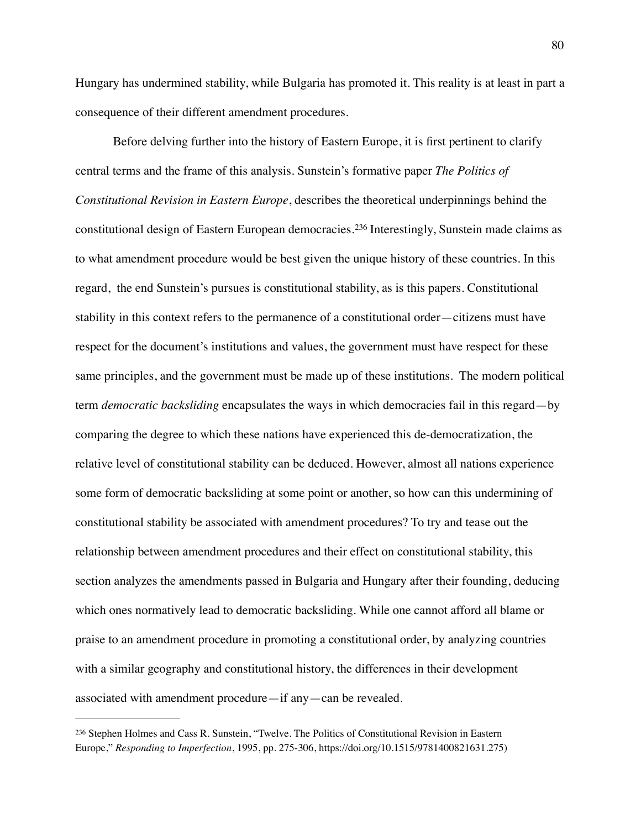Hungary has undermined stability, while Bulgaria has promoted it. This reality is at least in part a consequence of their different amendment procedures.

<span id="page-80-1"></span>Before delving further into the history of Eastern Europe, it is first pertinent to clarify central terms and the frame of this analysis. Sunstein's formative paper *The Politics of Constitutional Revision in Eastern Europe*, describes the theoretical underpinnings behind the constitutionaldesign of Eastern European democracies.<sup>[236](#page-80-0)</sup> Interestingly, Sunstein made claims as to what amendment procedure would be best given the unique history of these countries. In this regard, the end Sunstein's pursues is constitutional stability, as is this papers. Constitutional stability in this context refers to the permanence of a constitutional order—citizens must have respect for the document's institutions and values, the government must have respect for these same principles, and the government must be made up of these institutions. The modern political term *democratic backsliding* encapsulates the ways in which democracies fail in this regard—by comparing the degree to which these nations have experienced this de-democratization, the relative level of constitutional stability can be deduced. However, almost all nations experience some form of democratic backsliding at some point or another, so how can this undermining of constitutional stability be associated with amendment procedures? To try and tease out the relationship between amendment procedures and their effect on constitutional stability, this section analyzes the amendments passed in Bulgaria and Hungary after their founding, deducing which ones normatively lead to democratic backsliding. While one cannot afford all blame or praise to an amendment procedure in promoting a constitutional order, by analyzing countries with a similar geography and constitutional history, the differences in their development associated with amendment procedure—if any—can be revealed.

<span id="page-80-0"></span>[<sup>236</sup>](#page-80-1) Stephen Holmes and Cass R. Sunstein, "Twelve. The Politics of Constitutional Revision in Eastern Europe," *Responding to Imperfection*, 1995, pp. 275-306, https://doi.org/10.1515/9781400821631.275)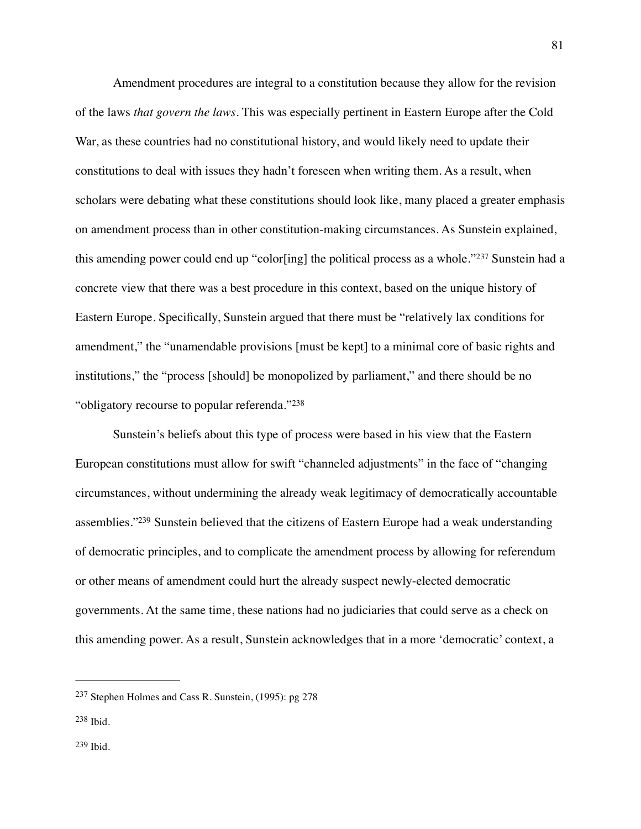<span id="page-81-3"></span>Amendment procedures are integral to a constitution because they allow for the revision of the laws *that govern the laws.* This was especially pertinent in Eastern Europe after the Cold War, as these countries had no constitutional history, and would likely need to update their constitutions to deal with issues they hadn't foreseen when writing them. As a result, when scholars were debating what these constitutions should look like, many placed a greater emphasis on amendment process than in other constitution-making circumstances. As Sunstein explained, thisamending power could end up "color[ing] the political process as a whole."[237](#page-81-0) Sunstein had a concrete view that there was a best procedure in this context, based on the unique history of Eastern Europe. Specifically, Sunstein argued that there must be "relatively lax conditions for amendment," the "unamendable provisions [must be kept] to a minimal core of basic rights and institutions," the "process [should] be monopolized by parliament," and there should be no "obligatory recourse to popular referenda."[238](#page-81-1)

<span id="page-81-5"></span><span id="page-81-4"></span>Sunstein's beliefs about this type of process were based in his view that the Eastern European constitutions must allow for swift "channeled adjustments" in the face of "changing circumstances, without undermining the already weak legitimacy of democratically accountable assemblies.["](#page-81-2)<sup>[239](#page-81-2)</sup> Sunstein believed that the citizens of Eastern Europe had a weak understanding of democratic principles, and to complicate the amendment process by allowing for referendum or other means of amendment could hurt the already suspect newly-elected democratic governments. At the same time, these nations had no judiciaries that could serve as a check on this amending power. As a result, Sunstein acknowledges that in a more 'democratic' context, a

<span id="page-81-2"></span><span id="page-81-1"></span><span id="page-81-0"></span> $237$  Stephen Holmes and Cass R. Sunstein, (1995): pg 278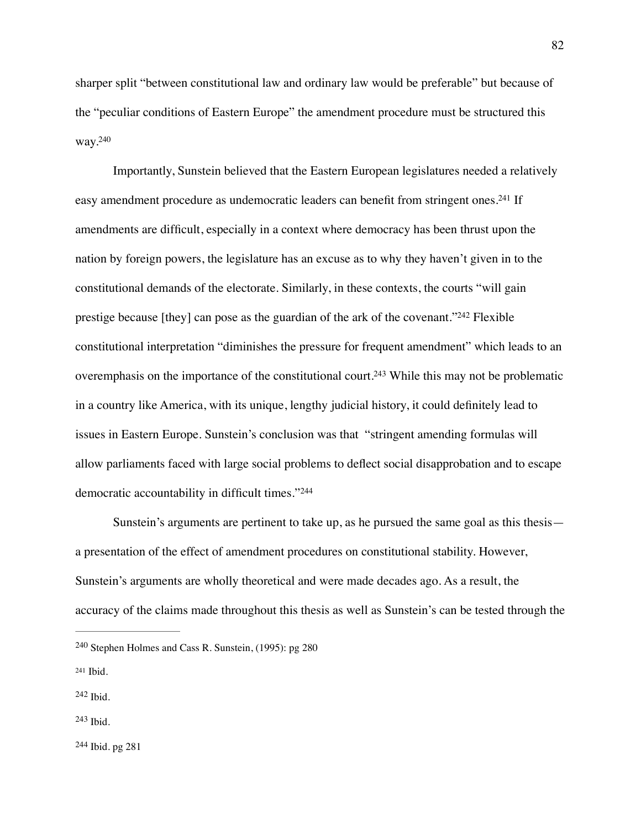sharper split "between constitutional law and ordinary law would be preferable" but because of the "peculiar conditions of Eastern Europe" the amendment procedure must be structured this way[.240](#page-82-0)

<span id="page-82-7"></span><span id="page-82-6"></span><span id="page-82-5"></span>Importantly, Sunstein believed that the Eastern European legislatures needed a relatively easy amendment procedure as undemocratic leaders can benefit from stringent ones[.](#page-82-1)<sup>[241](#page-82-1)</sup> If amendments are difficult, especially in a context where democracy has been thrust upon the nation by foreign powers, the legislature has an excuse as to why they haven't given in to the constitutional demands of the electorate. Similarly, in these contexts, the courts "will gain prestige because  $[$ they $]$  can pose as the guardian of the ark of the covenant.["](#page-82-2) $^{242}$  $^{242}$  $^{242}$  Flexible constitutional interpretation "diminishes the pressure for frequent amendment" which leads to an overemphasis on the importance of the constitutional court[.](#page-82-3)<sup>[243](#page-82-3)</sup> While this may not be problematic in a country like America, with its unique, lengthy judicial history, it could definitely lead to issues in Eastern Europe. Sunstein's conclusion was that "stringent amending formulas will allow parliaments faced with large social problems to deflect social disapprobation and to escape democratic accountability in difficult times."[244](#page-82-4)

<span id="page-82-9"></span><span id="page-82-8"></span>Sunstein's arguments are pertinent to take up, as he pursued the same goal as this thesis a presentation of the effect of amendment procedures on constitutional stability. However, Sunstein's arguments are wholly theoretical and were made decades ago. As a result, the accuracy of the claims made throughout this thesis as well as Sunstein's can be tested through the

<span id="page-82-4"></span><sup>[244](#page-82-9)</sup> Ibid. pg 281

<span id="page-82-0"></span><sup>&</sup>lt;sup>[240](#page-82-5)</sup> Stephen Holmes and Cass R. Sunstein,  $(1995)$ : pg 280

<span id="page-82-1"></span>[<sup>241</sup>](#page-82-6) Ibid.

<span id="page-82-2"></span> $242$  Ibid.

<span id="page-82-3"></span>[<sup>243</sup>](#page-82-8) Ibid.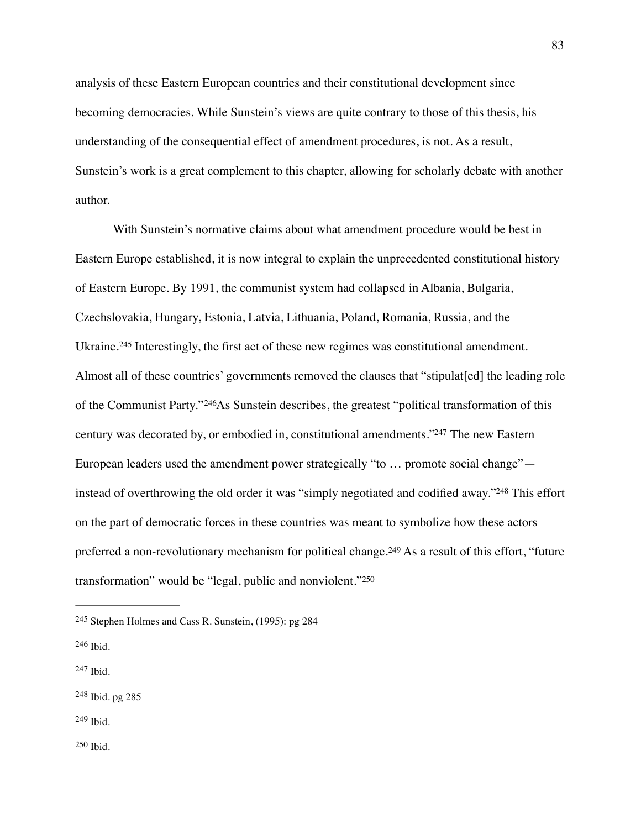analysis of these Eastern European countries and their constitutional development since becoming democracies. While Sunstein's views are quite contrary to those of this thesis, his understanding of the consequential effect of amendment procedures, is not. As a result, Sunstein's work is a great complement to this chapter, allowing for scholarly debate with another author.

<span id="page-83-7"></span><span id="page-83-6"></span>With Sunstein's normative claims about what amendment procedure would be best in Eastern Europe established, it is now integral to explain the unprecedented constitutional history of Eastern Europe. By 1991, the communist system had collapsed in Albania, Bulgaria, Czechslovakia, Hungary, Estonia, Latvia, Lithuania, Poland, Romania, Russia, and the Ukraine.<sup>245</sup>Interestingly, the first act of these new regimes was constitutional amendment. Almost all of these countries' governments removed the clauses that "stipulat[ed] the leading role of the Communist Party."<sup>246</sup>[A](#page-83-1)s Sunstein describes, the greatest "political transformation of this century was decorated by, or embodied in, constitutional amendments.["](#page-83-2)<sup>[247](#page-83-2)</sup> The new Eastern European leaders used the amendment power strategically "to … promote social change"— instead of overthrowing the old order it was ["](#page-83-3)simply negotiated and codified away."<sup>[248](#page-83-3)</sup> This effort on the part of democratic forces in these countries was meant to symbolize how these actors preferreda non-revolutionary mechanism for political change.<sup>[249](#page-83-4)</sup> As a result of this effort, "future transformation" would be "legal, public and nonviolent."[250](#page-83-5)

<span id="page-83-11"></span><span id="page-83-10"></span><span id="page-83-9"></span><span id="page-83-8"></span><span id="page-83-0"></span><sup>&</sup>lt;sup>[245](#page-83-6)</sup> Stephen Holmes and Cass R. Sunstein,  $(1995)$ : pg 284

<span id="page-83-1"></span>[<sup>246</sup>](#page-83-7) Ibid.

<span id="page-83-2"></span>[<sup>247</sup>](#page-83-8) Ibid.

<span id="page-83-4"></span><span id="page-83-3"></span><sup>&</sup>lt;sup>[248](#page-83-9)</sup> Ibid. pg 285

<span id="page-83-5"></span> $250$  Ibid.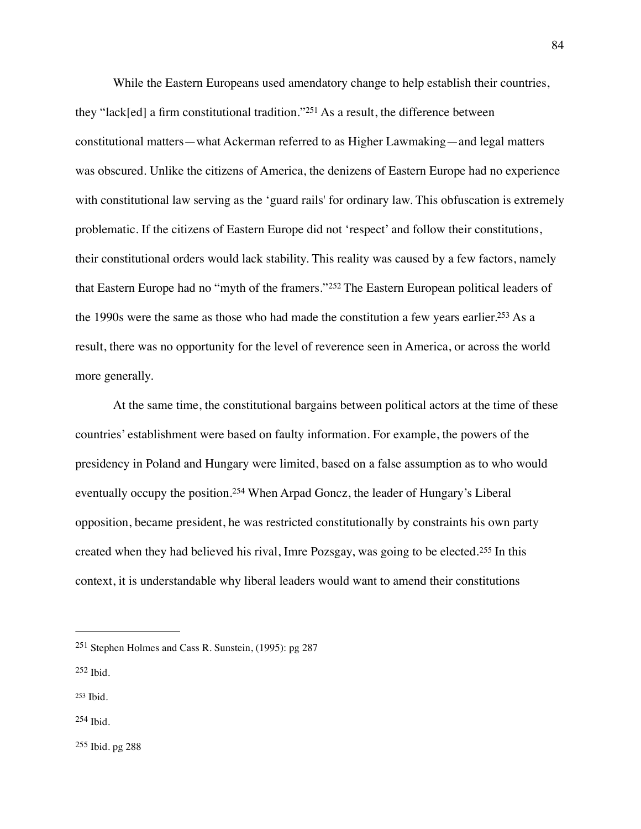<span id="page-84-5"></span>While the Eastern Europeans used amendatory change to help establish their countries, they"lack[ed] a firm constitutional tradition."<sup>[251](#page-84-0)</sup> As a result, the difference between constitutional matters—what Ackerman referred to as Higher Lawmaking—and legal matters was obscured. Unlike the citizens of America, the denizens of Eastern Europe had no experience with constitutional law serving as the 'guard rails' for ordinary law. This obfuscation is extremely problematic. If the citizens of Eastern Europe did not 'respect' and follow their constitutions, their constitutional orders would lack stability. This reality was caused by a few factors, namely thatEastern Europe had no "myth of the framers."<sup>[252](#page-84-1)</sup> The Eastern European political leaders of the 1990s were the same as those who had made the constitution a few years earlier[.](#page-84-2)<sup>[253](#page-84-2)</sup> As a result, there was no opportunity for the level of reverence seen in America, or across the world more generally.

<span id="page-84-8"></span><span id="page-84-7"></span><span id="page-84-6"></span>At the same time, the constitutional bargains between political actors at the time of these countries' establishment were based on faulty information. For example, the powers of the presidency in Poland and Hungary were limited, based on a false assumption as to who would eventuallyoccupy the position.<sup>[254](#page-84-3)</sup> When Arpad Goncz, the leader of Hungary's Liberal opposition, became president, he was restricted constitutionally by constraints his own party createdwhen they had believed his rival, Imre Pozsgay, was going to be elected.<sup>[255](#page-84-4)</sup> In this context, it is understandable why liberal leaders would want to amend their constitutions

- <span id="page-84-1"></span> $252$  Ibid.
- <span id="page-84-2"></span>[253](#page-84-7) Ibid.
- <span id="page-84-3"></span> $254$  Ibid.

<span id="page-84-4"></span> $255$  Ibid. pg 288

<span id="page-84-9"></span><span id="page-84-0"></span><sup>&</sup>lt;sup>[251](#page-84-5)</sup> Stephen Holmes and Cass R. Sunstein,  $(1995)$ : pg 287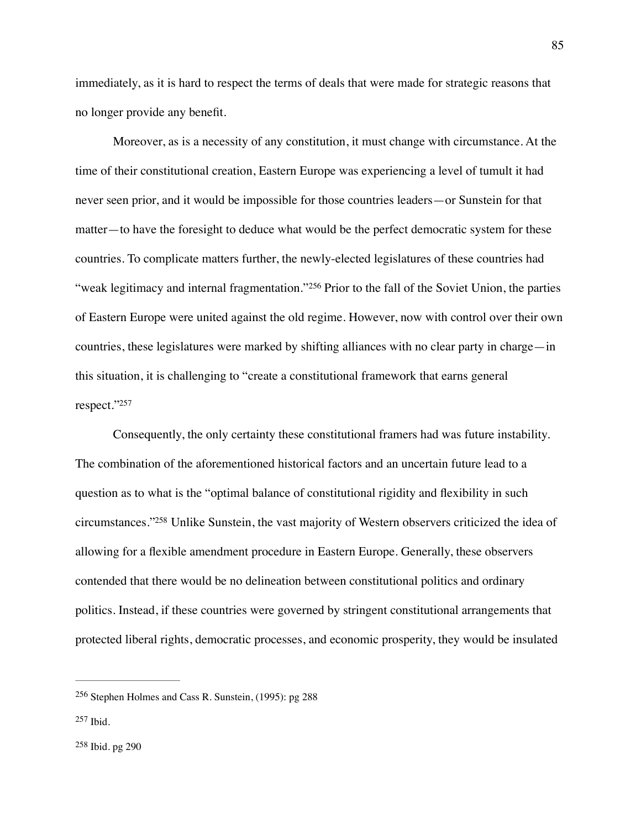immediately, as it is hard to respect the terms of deals that were made for strategic reasons that no longer provide any benefit.

<span id="page-85-3"></span>Moreover, as is a necessity of any constitution, it must change with circumstance. At the time of their constitutional creation, Eastern Europe was experiencing a level of tumult it had never seen prior, and it would be impossible for those countries leaders—or Sunstein for that matter—to have the foresight to deduce what would be the perfect democratic system for these countries. To complicate matters further, the newly-elected legislatures of these countries had "weaklegitimacy and internal fragmentation."<sup>[256](#page-85-0)</sup> Prior to the fall of the Soviet Union, the parties of Eastern Europe were united against the old regime. However, now with control over their own countries, these legislatures were marked by shifting alliances with no clear party in charge—in this situation, it is challenging to "create a constitutional framework that earns general respect.["257](#page-85-1)

<span id="page-85-5"></span><span id="page-85-4"></span>Consequently, the only certainty these constitutional framers had was future instability. The combination of the aforementioned historical factors and an uncertain future lead to a question as to what is the "optimal balance of constitutional rigidity and flexibility in such circumstances.["](#page-85-2)<sup>[258](#page-85-2)</sup> Unlike Sunstein, the vast majority of Western observers criticized the idea of allowing for a flexible amendment procedure in Eastern Europe. Generally, these observers contended that there would be no delineation between constitutional politics and ordinary politics. Instead, if these countries were governed by stringent constitutional arrangements that protected liberal rights, democratic processes, and economic prosperity, they would be insulated

<span id="page-85-2"></span><span id="page-85-1"></span><span id="page-85-0"></span> $256$  Stephen Holmes and Cass R. Sunstein, (1995): pg 288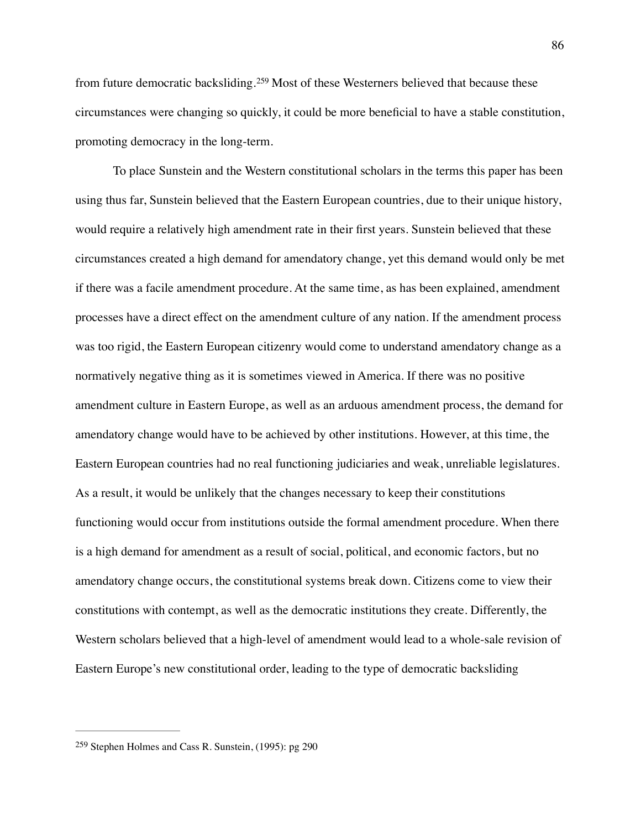<span id="page-86-1"></span>fromfuture democratic backsliding.<sup>[259](#page-86-0)</sup> Most of these Westerners believed that because these circumstances were changing so quickly, it could be more beneficial to have a stable constitution, promoting democracy in the long-term.

To place Sunstein and the Western constitutional scholars in the terms this paper has been using thus far, Sunstein believed that the Eastern European countries, due to their unique history, would require a relatively high amendment rate in their first years. Sunstein believed that these circumstances created a high demand for amendatory change, yet this demand would only be met if there was a facile amendment procedure. At the same time, as has been explained, amendment processes have a direct effect on the amendment culture of any nation. If the amendment process was too rigid, the Eastern European citizenry would come to understand amendatory change as a normatively negative thing as it is sometimes viewed in America. If there was no positive amendment culture in Eastern Europe, as well as an arduous amendment process, the demand for amendatory change would have to be achieved by other institutions. However, at this time, the Eastern European countries had no real functioning judiciaries and weak, unreliable legislatures. As a result, it would be unlikely that the changes necessary to keep their constitutions functioning would occur from institutions outside the formal amendment procedure. When there is a high demand for amendment as a result of social, political, and economic factors, but no amendatory change occurs, the constitutional systems break down. Citizens come to view their constitutions with contempt, as well as the democratic institutions they create. Differently, the Western scholars believed that a high-level of amendment would lead to a whole-sale revision of Eastern Europe's new constitutional order, leading to the type of democratic backsliding

<span id="page-86-0"></span><sup>&</sup>lt;sup>[259](#page-86-1)</sup> Stephen Holmes and Cass R. Sunstein,  $(1995)$ : pg 290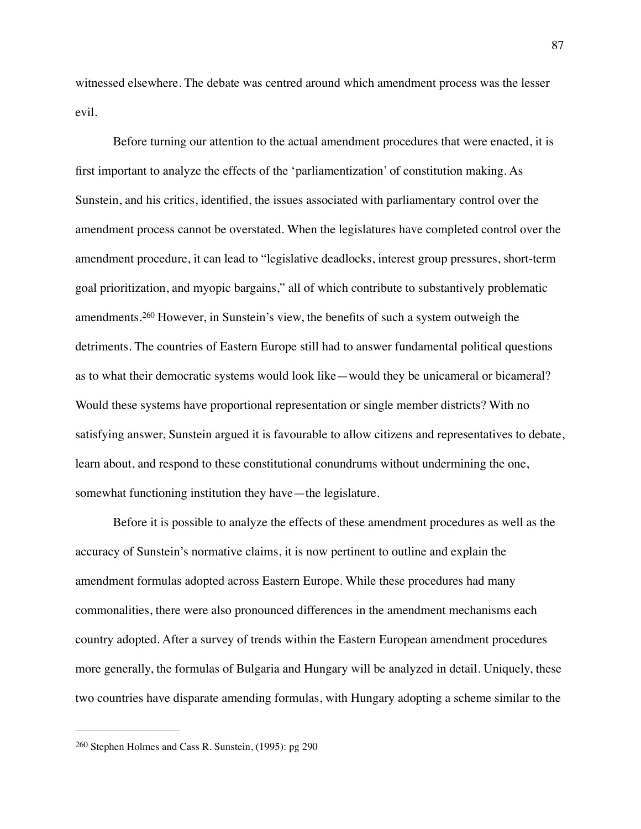witnessed elsewhere. The debate was centred around which amendment process was the lesser evil.

<span id="page-87-1"></span>Before turning our attention to the actual amendment procedures that were enacted, it is first important to analyze the effects of the 'parliamentization' of constitution making. As Sunstein, and his critics, identified, the issues associated with parliamentary control over the amendment process cannot be overstated. When the legislatures have completed control over the amendment procedure, it can lead to "legislative deadlocks, interest group pressures, short-term goal prioritization, and myopic bargains," all of which contribute to substantively problematic amendments.<sup>260</sup>However, in Sunstein's view, the benefits of such a system outweigh the detriments. The countries of Eastern Europe still had to answer fundamental political questions as to what their democratic systems would look like—would they be unicameral or bicameral? Would these systems have proportional representation or single member districts? With no satisfying answer, Sunstein argued it is favourable to allow citizens and representatives to debate, learn about, and respond to these constitutional conundrums without undermining the one, somewhat functioning institution they have—the legislature.

Before it is possible to analyze the effects of these amendment procedures as well as the accuracy of Sunstein's normative claims, it is now pertinent to outline and explain the amendment formulas adopted across Eastern Europe. While these procedures had many commonalities, there were also pronounced differences in the amendment mechanisms each country adopted. After a survey of trends within the Eastern European amendment procedures more generally, the formulas of Bulgaria and Hungary will be analyzed in detail. Uniquely, these two countries have disparate amending formulas, with Hungary adopting a scheme similar to the

<span id="page-87-0"></span> $260$  Stephen Holmes and Cass R. Sunstein, (1995): pg 290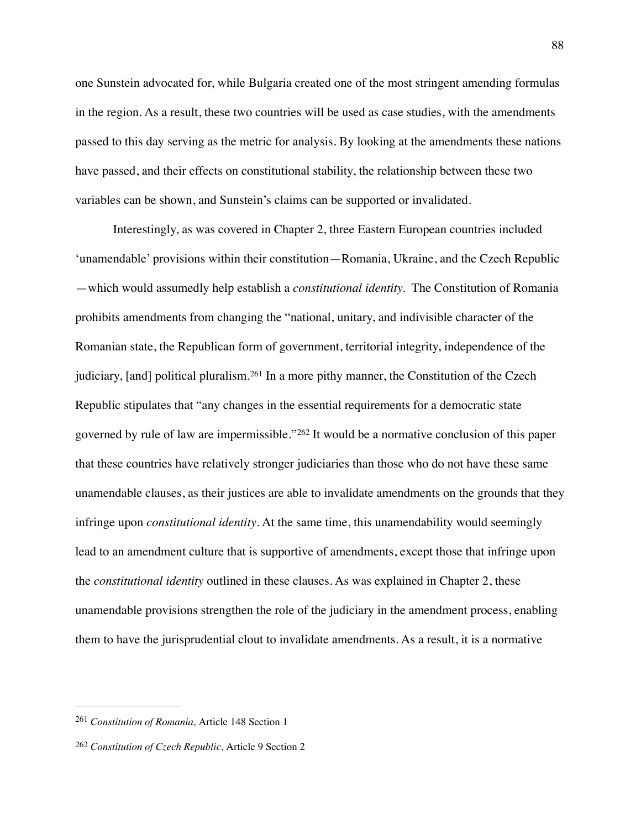one Sunstein advocated for, while Bulgaria created one of the most stringent amending formulas in the region. As a result, these two countries will be used as case studies, with the amendments passed to this day serving as the metric for analysis. By looking at the amendments these nations have passed, and their effects on constitutional stability, the relationship between these two variables can be shown, and Sunstein's claims can be supported or invalidated.

<span id="page-88-3"></span><span id="page-88-2"></span>Interestingly, as was covered in Chapter 2, three Eastern European countries included 'unamendable' provisions within their constitution—Romania, Ukraine, and the Czech Republic —which would assumedly help establish a *constitutional identity.* The Constitution of Romania prohibits amendments from changing the "national, unitary, and indivisible character of the Romanian state, the Republican form of government, territorial integrity, independence of the judiciary,[and] political pluralism.<sup>[261](#page-88-0)</sup> In a more pithy manner, the Constitution of the Czech Republic stipulates that "any changes in the essential requirements for a democratic state governedby rule of law are impermissible."<sup>[262](#page-88-1)</sup> It would be a normative conclusion of this paper that these countries have relatively stronger judiciaries than those who do not have these same unamendable clauses, as their justices are able to invalidate amendments on the grounds that they infringe upon *constitutional identity*. At the same time, this unamendability would seemingly lead to an amendment culture that is supportive of amendments, except those that infringe upon the *constitutional identity* outlined in these clauses. As was explained in Chapter 2, these unamendable provisions strengthen the role of the judiciary in the amendment process, enabling them to have the jurisprudential clout to invalidate amendments. As a result, it is a normative

<span id="page-88-0"></span><sup>&</sup>lt;sup>[261](#page-88-2)</sup> Constitution of Romania, Article 148 Section 1

<span id="page-88-1"></span><sup>&</sup>lt;sup>[262](#page-88-3)</sup> Constitution of Czech Republic, Article 9 Section 2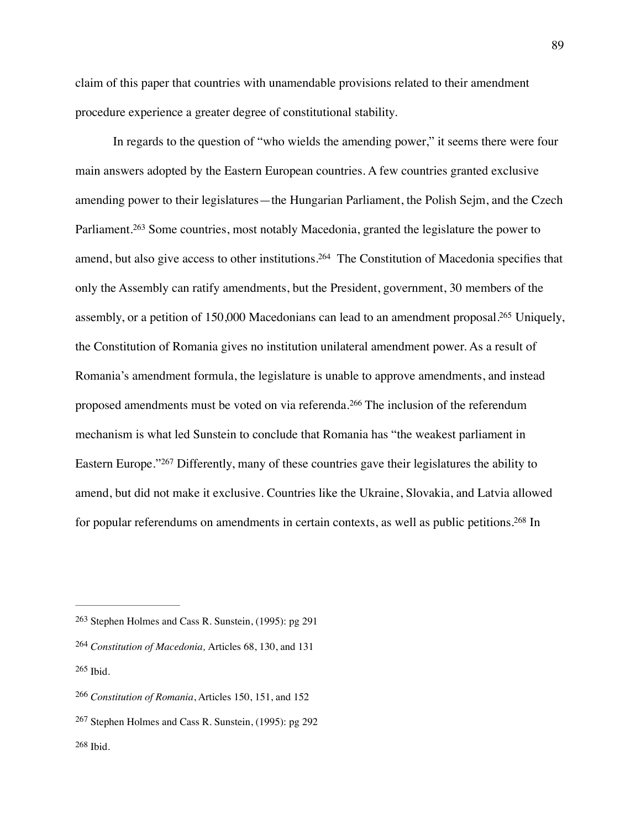claim of this paper that countries with unamendable provisions related to their amendment procedure experience a greater degree of constitutional stability.

<span id="page-89-8"></span><span id="page-89-7"></span><span id="page-89-6"></span>In regards to the question of "who wields the amending power," it seems there were four main answers adopted by the Eastern European countries. A few countries granted exclusive amending power to their legislatures—the Hungarian Parliament, the Polish Sejm, and the Czech Parliament.<sup>263</sup>Some countries, most notably Macedonia, granted the legislature the power to amend, but also give access to other institutions[.](#page-89-1)<sup>[264](#page-89-1)</sup> The Constitution of Macedonia specifies that only the Assembly can ratify amendments, but the President, government, 30 members of the assembly, or a petition of 150,000 Macedonians can lead to an amendment proposal[.](#page-89-2)<sup>[265](#page-89-2)</sup> Uniquely, the Constitution of Romania gives no institution unilateral amendment power. As a result of Romania's amendment formula, the legislature is unable to approve amendments, and instead proposedamendments must be voted on via referenda.<sup>[266](#page-89-3)</sup> The inclusion of the referendum mechanism is what led Sunstein to conclude that Romania has "the weakest parliament in EasternEurope." <sup>[267](#page-89-4)</sup> Differently, many of these countries gave their legislatures the ability to amend, but did not make it exclusive. Countries like the Ukraine, Slovakia, and Latvia allowed for popular referendums on amendments in certain contexts, as well as public petitions[.](#page-89-5)<sup>[268](#page-89-5)</sup> In

<span id="page-89-11"></span><span id="page-89-10"></span><span id="page-89-9"></span><span id="page-89-0"></span> $263$  Stephen Holmes and Cass R. Sunstein, (1995): pg 291

<span id="page-89-2"></span><span id="page-89-1"></span><sup>&</sup>lt;sup>[264](#page-89-7)</sup> Constitution of Macedonia, Articles 68, 130, and 131  $265$  Ibid.

<span id="page-89-3"></span><sup>&</sup>lt;sup>[266](#page-89-9)</sup> Constitution of Romania, Articles 150, 151, and 152

<span id="page-89-5"></span><span id="page-89-4"></span> $267$  Stephen Holmes and Cass R. Sunstein, (1995): pg 292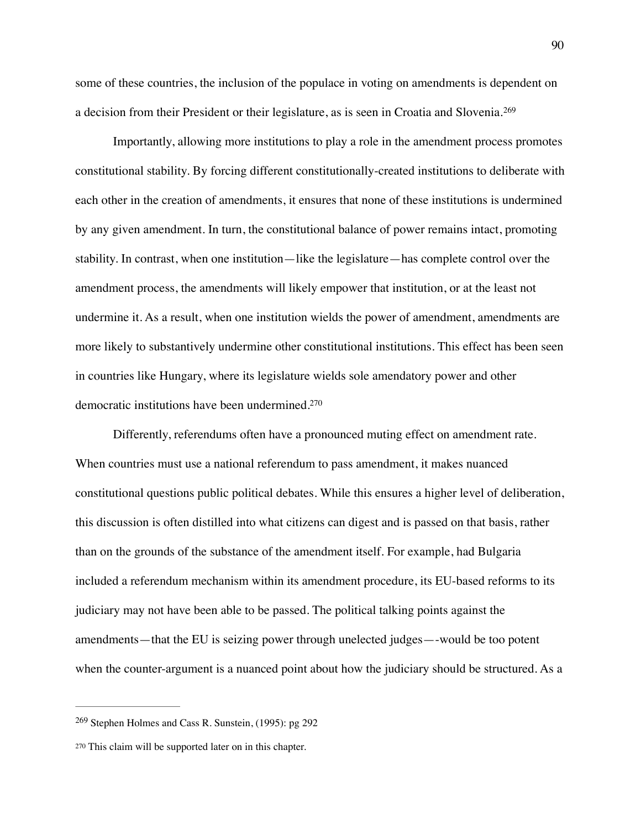<span id="page-90-2"></span>some of these countries, the inclusion of the populace in voting on amendments is dependent on a decision from their President or their legislature, as is seen in Croatia and Slovenia.[269](#page-90-0)

Importantly, allowing more institutions to play a role in the amendment process promotes constitutional stability. By forcing different constitutionally-created institutions to deliberate with each other in the creation of amendments, it ensures that none of these institutions is undermined by any given amendment. In turn, the constitutional balance of power remains intact, promoting stability. In contrast, when one institution—like the legislature—has complete control over the amendment process, the amendments will likely empower that institution, or at the least not undermine it. As a result, when one institution wields the power of amendment, amendments are more likely to substantively undermine other constitutional institutions. This effect has been seen in countries like Hungary, where its legislature wields sole amendatory power and other democratic institutions have been undermined[.270](#page-90-1)

<span id="page-90-3"></span>Differently, referendums often have a pronounced muting effect on amendment rate. When countries must use a national referendum to pass amendment, it makes nuanced constitutional questions public political debates. While this ensures a higher level of deliberation, this discussion is often distilled into what citizens can digest and is passed on that basis, rather than on the grounds of the substance of the amendment itself. For example, had Bulgaria included a referendum mechanism within its amendment procedure, its EU-based reforms to its judiciary may not have been able to be passed. The political talking points against the amendments—that the EU is seizing power through unelected judges—-would be too potent when the counter-argument is a nuanced point about how the judiciary should be structured. As a

<span id="page-90-0"></span> $269$  Stephen Holmes and Cass R. Sunstein, (1995): pg 292

<span id="page-90-1"></span>[<sup>270</sup>](#page-90-3) This claim will be supported later on in this chapter.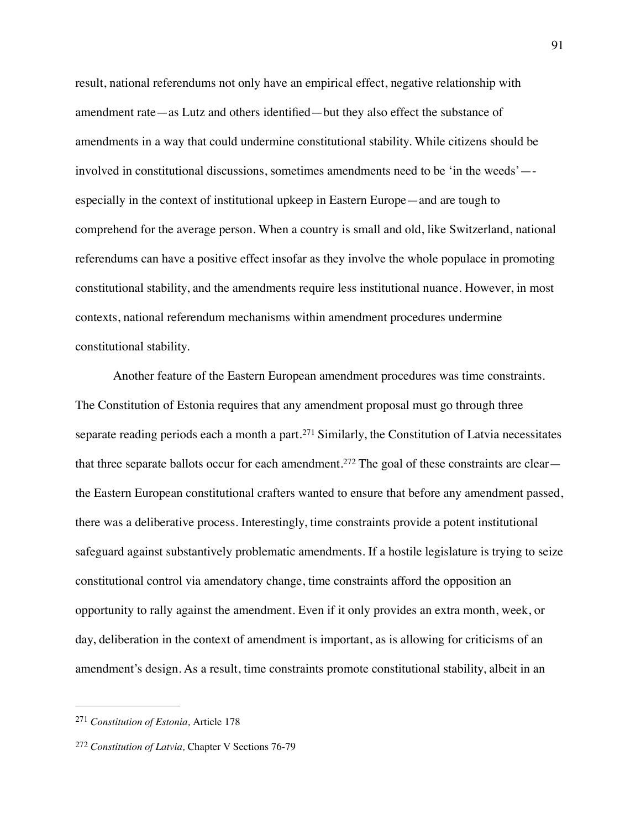result, national referendums not only have an empirical effect, negative relationship with amendment rate—as Lutz and others identified—but they also effect the substance of amendments in a way that could undermine constitutional stability. While citizens should be involved in constitutional discussions, sometimes amendments need to be 'in the weeds'— especially in the context of institutional upkeep in Eastern Europe—and are tough to comprehend for the average person. When a country is small and old, like Switzerland, national referendums can have a positive effect insofar as they involve the whole populace in promoting constitutional stability, and the amendments require less institutional nuance. However, in most contexts, national referendum mechanisms within amendment procedures undermine constitutional stability.

<span id="page-91-3"></span><span id="page-91-2"></span>Another feature of the Eastern European amendment procedures was time constraints. The Constitution of Estonia requires that any amendment proposal must go through three separatereading periods each a month a part.<sup>[271](#page-91-0)</sup> Similarly, the Constitution of Latvia necessitates that three separate ballots occur for each amendment.<sup>272</sup> The goal of these constraints are clear the Eastern European constitutional crafters wanted to ensure that before any amendment passed, there was a deliberative process. Interestingly, time constraints provide a potent institutional safeguard against substantively problematic amendments. If a hostile legislature is trying to seize constitutional control via amendatory change, time constraints afford the opposition an opportunity to rally against the amendment. Even if it only provides an extra month, week, or day, deliberation in the context of amendment is important, as is allowing for criticisms of an amendment's design. As a result, time constraints promote constitutional stability, albeit in an

<span id="page-91-0"></span><sup>&</sup>lt;sup>[271](#page-91-2)</sup> Constitution of Estonia, Article 178

<span id="page-91-1"></span><sup>&</sup>lt;sup>[272](#page-91-3)</sup> Constitution of Latvia, Chapter V Sections 76-79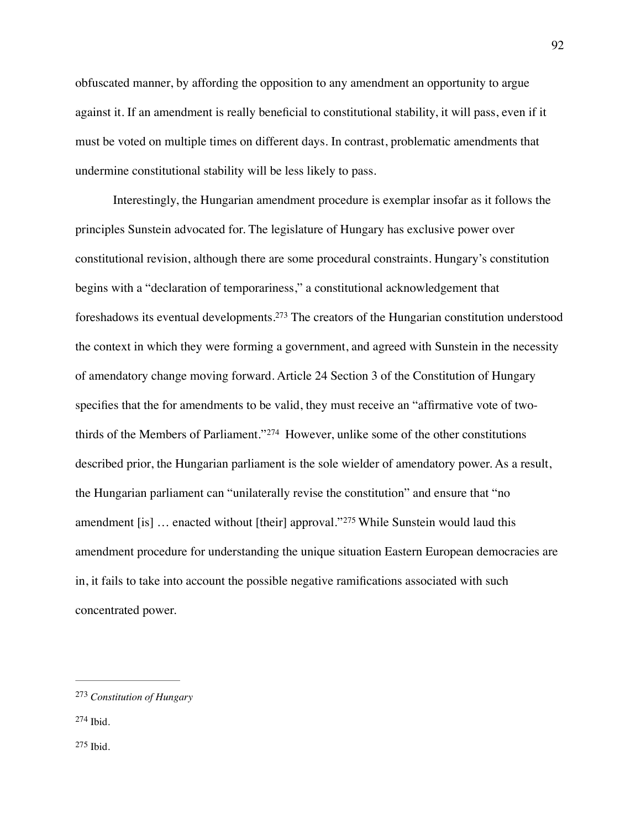obfuscated manner, by affording the opposition to any amendment an opportunity to argue against it. If an amendment is really beneficial to constitutional stability, it will pass, even if it must be voted on multiple times on different days. In contrast, problematic amendments that undermine constitutional stability will be less likely to pass.

<span id="page-92-4"></span><span id="page-92-3"></span>Interestingly, the Hungarian amendment procedure is exemplar insofar as it follows the principles Sunstein advocated for. The legislature of Hungary has exclusive power over constitutional revision, although there are some procedural constraints. Hungary's constitution begins with a "declaration of temporariness," a constitutional acknowledgement that foreshadows its eventual developments[.](#page-92-0)<sup>[273](#page-92-0)</sup> The creators of the Hungarian constitution understood the context in which they were forming a government, and agreed with Sunstein in the necessity of amendatory change moving forward. Article 24 Section 3 of the Constitution of Hungary specifies that the for amendments to be valid, they must receive an "affirmative vote of two-thirdsof the Members of Parliament."<sup>[274](#page-92-1)</sup> However, unlike some of the other constitutions described prior, the Hungarian parliament is the sole wielder of amendatory power. As a result, the Hungarian parliament can "unilaterally revise the constitution" and ensure that "no amendment[is] ... enacted without [their] approval."<sup>[275](#page-92-2)</sup> While Sunstein would laud this amendment procedure for understanding the unique situation Eastern European democracies are in, it fails to take into account the possible negative ramifications associated with such concentrated power.

<span id="page-92-2"></span><span id="page-92-1"></span>[274](#page-92-4) Ibid.

<span id="page-92-5"></span><span id="page-92-0"></span>*Constitution of Hungary* [273](#page-92-3)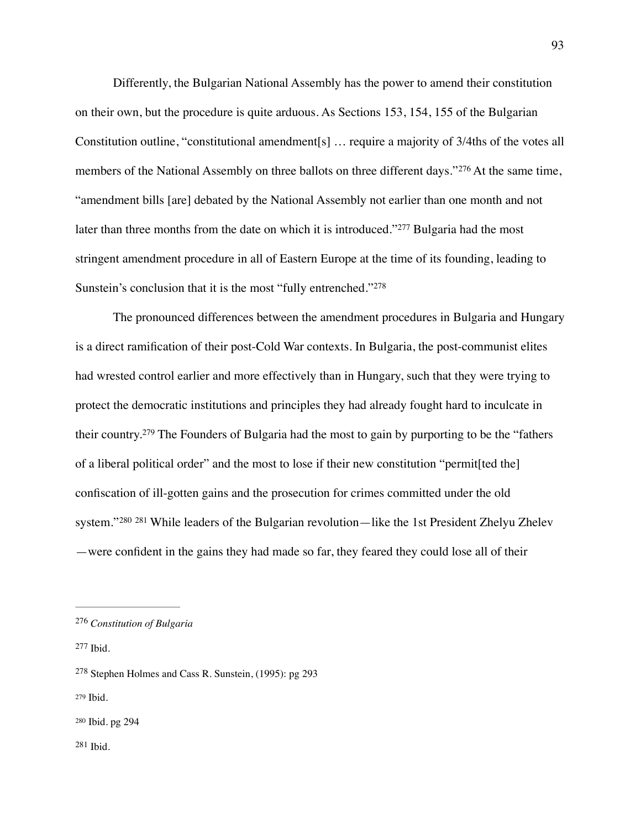<span id="page-93-6"></span>Differently, the Bulgarian National Assembly has the power to amend their constitution on their own, but the procedure is quite arduous. As Sections 153, 154, 155 of the Bulgarian Constitution outline, "constitutional amendment[s] … require a majority of 3/4ths of the votes all membersof the National Assembly on three ballots on three different days."<sup>[276](#page-93-0)</sup> At the same time, "amendment bills [are] debated by the National Assembly not earlier than one month and not laterthan three months from the date on which it is introduced." <sup>[277](#page-93-1)</sup> Bulgaria had the most stringent amendment procedure in all of Eastern Europe at the time of its founding, leading to Sunstein's conclusion that it is the most "fully entrenched."[278](#page-93-2)

<span id="page-93-9"></span><span id="page-93-8"></span><span id="page-93-7"></span>The pronounced differences between the amendment procedures in Bulgaria and Hungary is a direct ramification of their post-Cold War contexts. In Bulgaria, the post-communist elites had wrested control earlier and more effectively than in Hungary, such that they were trying to protect the democratic institutions and principles they had already fought hard to inculcate in theircountry.<sup>[279](#page-93-3)</sup> The Founders of Bulgaria had the most to gain by purporting to be the "fathers" of a liberal political order" and the most to lose if their new constitution "permit[ted the] confiscation of ill-gotten gains and the prosecution for crimes committed under the old system."<sup>[280](#page-93-4)</sup> <sup>281</sup> While leaders of the Bulgarian revolution—like the 1st President Zhelyu Zhelev —were confident in the gains they had made so far, they feared they could lose all of their

<span id="page-93-11"></span><span id="page-93-10"></span><span id="page-93-0"></span>*Constitution of Bulgaria* [276](#page-93-6)

<span id="page-93-1"></span>[<sup>277</sup>](#page-93-7) Ibid.

<span id="page-93-2"></span> $278$  Stephen Holmes and Cass R. Sunstein, (1995): pg 293

<span id="page-93-3"></span>[<sup>279</sup>](#page-93-9) Ibid.

<span id="page-93-5"></span><span id="page-93-4"></span>[<sup>280</sup>](#page-93-10) Ibid. pg 294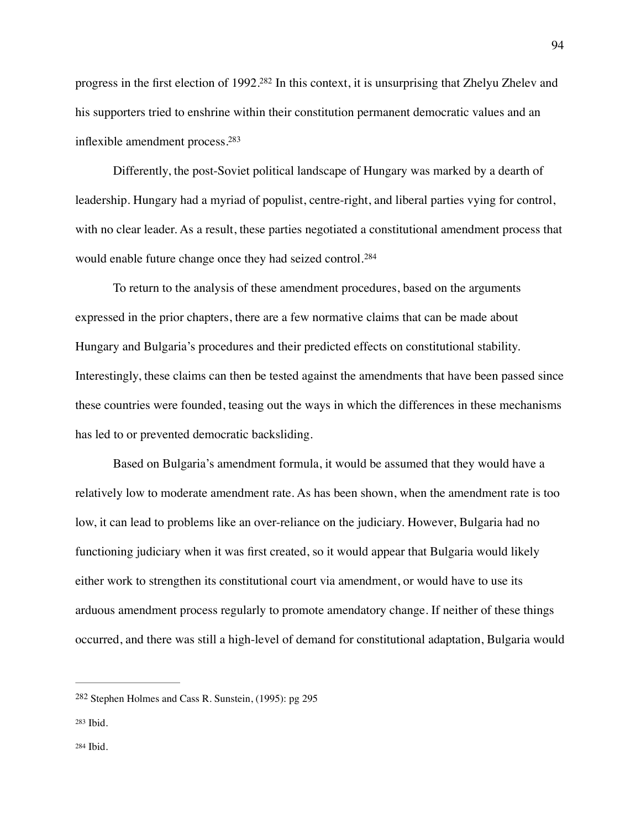<span id="page-94-3"></span>progress in the first election of  $1992.^{282}$  $1992.^{282}$  $1992.^{282}$  $1992.^{282}$  $1992.^{282}$  In this context, it is unsurprising that Zhelyu Zhelev and his supporters tried to enshrine within their constitution permanent democratic values and an inflexible amendment process[.283](#page-94-1)

<span id="page-94-4"></span>Differently, the post-Soviet political landscape of Hungary was marked by a dearth of leadership. Hungary had a myriad of populist, centre-right, and liberal parties vying for control, with no clear leader. As a result, these parties negotiated a constitutional amendment process that would enable future change once they had seized control.[284](#page-94-2)

<span id="page-94-5"></span>To return to the analysis of these amendment procedures, based on the arguments expressed in the prior chapters, there are a few normative claims that can be made about Hungary and Bulgaria's procedures and their predicted effects on constitutional stability. Interestingly, these claims can then be tested against the amendments that have been passed since these countries were founded, teasing out the ways in which the differences in these mechanisms has led to or prevented democratic backsliding.

Based on Bulgaria's amendment formula, it would be assumed that they would have a relatively low to moderate amendment rate. As has been shown, when the amendment rate is too low, it can lead to problems like an over-reliance on the judiciary. However, Bulgaria had no functioning judiciary when it was first created, so it would appear that Bulgaria would likely either work to strengthen its constitutional court via amendment, or would have to use its arduous amendment process regularly to promote amendatory change. If neither of these things occurred, and there was still a high-level of demand for constitutional adaptation, Bulgaria would

<span id="page-94-1"></span><span id="page-94-0"></span><sup>&</sup>lt;sup>[282](#page-94-3)</sup> Stephen Holmes and Cass R. Sunstein, (1995): pg 295

<span id="page-94-2"></span>[<sup>284</sup>](#page-94-5) Ibid.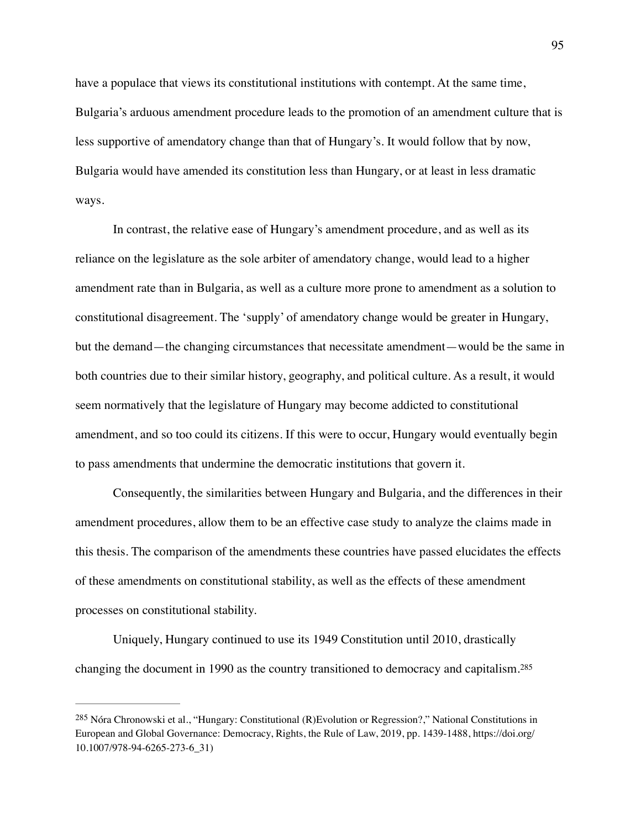have a populace that views its constitutional institutions with contempt. At the same time, Bulgaria's arduous amendment procedure leads to the promotion of an amendment culture that is less supportive of amendatory change than that of Hungary's. It would follow that by now, Bulgaria would have amended its constitution less than Hungary, or at least in less dramatic ways.

In contrast, the relative ease of Hungary's amendment procedure, and as well as its reliance on the legislature as the sole arbiter of amendatory change, would lead to a higher amendment rate than in Bulgaria, as well as a culture more prone to amendment as a solution to constitutional disagreement. The 'supply' of amendatory change would be greater in Hungary, but the demand—the changing circumstances that necessitate amendment—would be the same in both countries due to their similar history, geography, and political culture. As a result, it would seem normatively that the legislature of Hungary may become addicted to constitutional amendment, and so too could its citizens. If this were to occur, Hungary would eventually begin to pass amendments that undermine the democratic institutions that govern it.

Consequently, the similarities between Hungary and Bulgaria, and the differences in their amendment procedures, allow them to be an effective case study to analyze the claims made in this thesis. The comparison of the amendments these countries have passed elucidates the effects of these amendments on constitutional stability, as well as the effects of these amendment processes on constitutional stability.

<span id="page-95-1"></span>Uniquely, Hungary continued to use its 1949 Constitution until 2010, drastically changing the document in 1990 as the country transitioned to democracy and capitalism.[285](#page-95-0)

<span id="page-95-0"></span><sup>&</sup>lt;sup>[285](#page-95-1)</sup> Nóra Chronowski et al., "Hungary: Constitutional (R)Evolution or Regression?," National Constitutions in European and Global Governance: Democracy, Rights, the Rule of Law, 2019, pp. 1439-1488, https://doi.org/ 10.1007/978-94-6265-273-6\_31)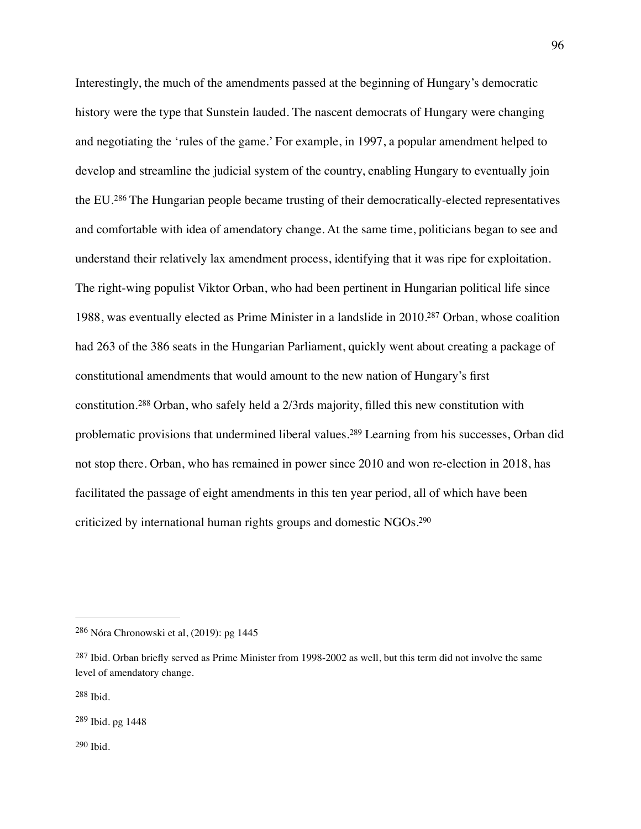<span id="page-96-6"></span><span id="page-96-5"></span>Interestingly, the much of the amendments passed at the beginning of Hungary's democratic history were the type that Sunstein lauded. The nascent democrats of Hungary were changing and negotiating the 'rules of the game.' For example, in 1997, a popular amendment helped to develop and streamline the judicial system of the country, enabling Hungary to eventually join theEU.<sup>[286](#page-96-0)</sup> The Hungarian people became trusting of their democratically-elected representatives and comfortable with idea of amendatory change. At the same time, politicians began to see and understand their relatively lax amendment process, identifying that it was ripe for exploitation. The right-wing populist Viktor Orban, who had been pertinent in Hungarian political life since 1988, was eventually elected as Prime Minister in a landslide in 2010[.](#page-96-1)<sup>[287](#page-96-1)</sup> Orban, whose coalition had 263 of the 386 seats in the Hungarian Parliament, quickly went about creating a package of constitutional amendments that would amount to the new nation of Hungary's first constitution.<sup>288</sup>Orban, who safely held a  $2/3$ rds majority, filled this new constitution with problematicprovisions that undermined liberal values.<sup>[289](#page-96-3)</sup> Learning from his successes, Orban did not stop there. Orban, who has remained in power since 2010 and won re-election in 2018, has facilitated the passage of eight amendments in this ten year period, all of which have been criticized by international human rights groups and domestic NGOs[.290](#page-96-4)

<span id="page-96-9"></span><span id="page-96-8"></span><span id="page-96-7"></span><span id="page-96-0"></span><sup>&</sup>lt;sup>[286](#page-96-5)</sup> Nóra Chronowski et al, (2019): pg 1445

<span id="page-96-1"></span> $287$  Ibid. Orban briefly served as Prime Minister from 1998-2002 as well, but this term did not involve the same level of amendatory change.

<span id="page-96-2"></span>[<sup>288</sup>](#page-96-7) Ibid.

<span id="page-96-4"></span><span id="page-96-3"></span> $289$  Ibid. pg 1448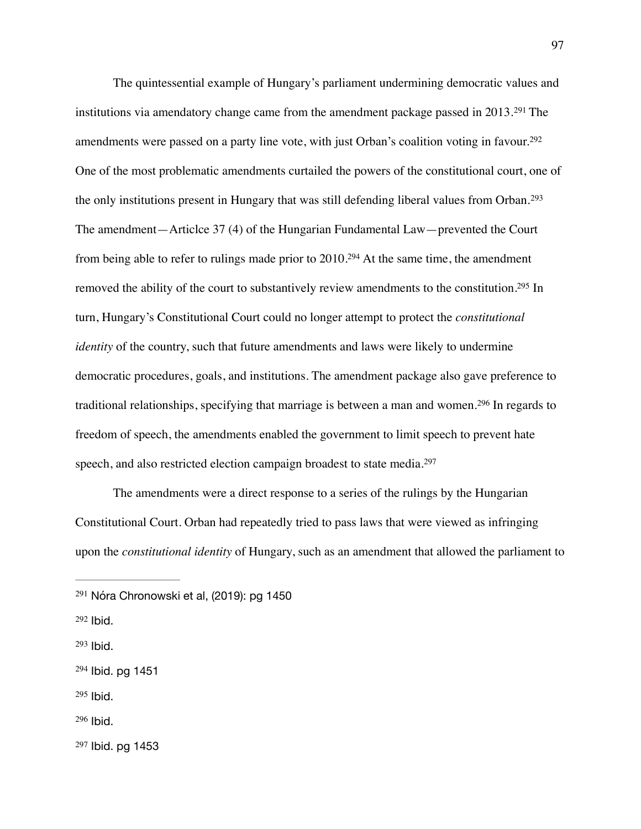<span id="page-97-11"></span><span id="page-97-10"></span><span id="page-97-9"></span><span id="page-97-8"></span><span id="page-97-7"></span>The quintessential example of Hungary's parliament undermining democratic values and institutionsvia amendatory change came from the amendment package passed in  $2013.^{291}$  $2013.^{291}$  $2013.^{291}$  The amendments were passed on a party line vote, with just Orban's coalition voting in favour.<sup>[292](#page-97-1)</sup> One of the most problematic amendments curtailed the powers of the constitutional court, one of the only institutions present in Hungary that was still defending liberal values from Orban.[293](#page-97-2) The amendment—Articlce 37 (4) of the Hungarian Fundamental Law—prevented the Court from being able to refer to rulings made prior to  $2010.^{294}$  $2010.^{294}$  $2010.^{294}$  $2010.^{294}$  $2010.^{294}$  At the same time, the amendment removed the ability of the court to substantively review amendments to the constitution[.](#page-97-4)<sup>[295](#page-97-4)</sup> In turn, Hungary's Constitutional Court could no longer attempt to protect the *constitutional identity* of the country, such that future amendments and laws were likely to undermine democratic procedures, goals, and institutions. The amendment package also gave preference to traditionalrelationships, specifying that marriage is between a man and women.<sup>[296](#page-97-5)</sup> In regards to freedom of speech, the amendments enabled the government to limit speech to prevent hate speech, and also restricted election campaign broadest to state media.[297](#page-97-6)

<span id="page-97-13"></span><span id="page-97-12"></span>The amendments were a direct response to a series of the rulings by the Hungarian Constitutional Court. Orban had repeatedly tried to pass laws that were viewed as infringing upon the *constitutional identity* of Hungary, such as an amendment that allowed the parliament to

<span id="page-97-2"></span> $293$  Ibid.

<span id="page-97-4"></span> $295$  Ibid.

<span id="page-97-6"></span>[297](#page-97-13) Ibid. pg 1453

<span id="page-97-0"></span>[<sup>291</sup>](#page-97-7) Nóra Chronowski et al, (2019): pg 1450

<span id="page-97-1"></span> $292$  Ibid.

<span id="page-97-3"></span>[<sup>294</sup>](#page-97-10) Ibid. pg 1451

<span id="page-97-5"></span> $296$  Ibid.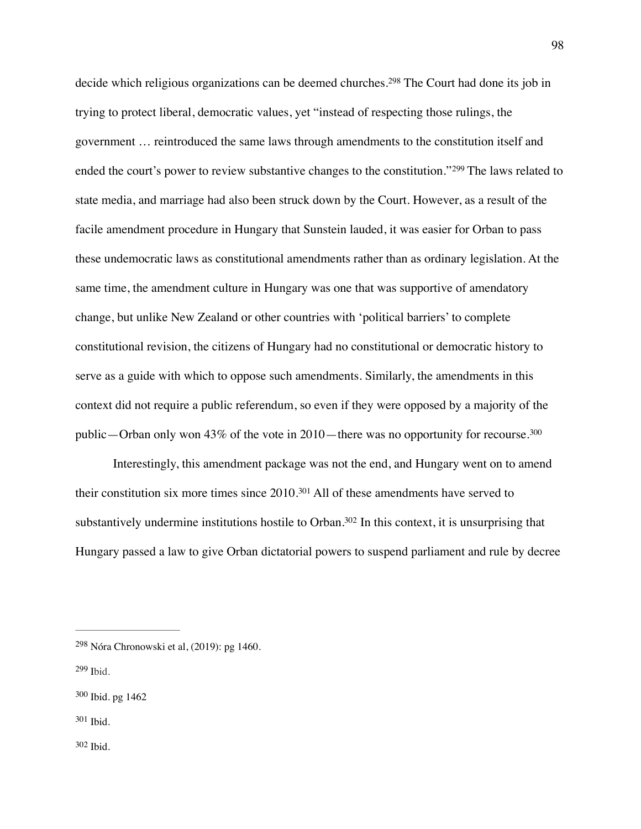<span id="page-98-6"></span><span id="page-98-5"></span>decide which religious organizations can be deemed churches.<sup>[298](#page-98-0)</sup> The Court had done its job in trying to protect liberal, democratic values, yet "instead of respecting those rulings, the government … reintroduced the same laws through amendments to the constitution itself and endedthe court's power to review substantive changes to the constitution."<sup>[299](#page-98-1)</sup> The laws related to state media, and marriage had also been struck down by the Court. However, as a result of the facile amendment procedure in Hungary that Sunstein lauded, it was easier for Orban to pass these undemocratic laws as constitutional amendments rather than as ordinary legislation. At the same time, the amendment culture in Hungary was one that was supportive of amendatory change, but unlike New Zealand or other countries with 'political barriers' to complete constitutional revision, the citizens of Hungary had no constitutional or democratic history to serve as a guide with which to oppose such amendments. Similarly, the amendments in this context did not require a public referendum, so even if they were opposed by a majority of the public—Orban only won 43% of the vote in 2010—there was no opportunity for recourse.[300](#page-98-2)

<span id="page-98-9"></span><span id="page-98-8"></span><span id="page-98-7"></span>Interestingly, this amendment package was not the end, and Hungary went on to amend theirconstitution six more times since  $2010.^{301}$  $2010.^{301}$  $2010.^{301}$  All of these amendments have served to substantively undermine institutions hostile to Orban[.](#page-98-4)<sup>[302](#page-98-4)</sup> In this context, it is unsurprising that Hungary passed a law to give Orban dictatorial powers to suspend parliament and rule by decree

<span id="page-98-1"></span> $299$  Ibid.

<span id="page-98-4"></span><span id="page-98-3"></span>[301](#page-98-8) Ibid.

<span id="page-98-0"></span> $298$  Nóra Chronowski et al, (2019): pg 1460.

<span id="page-98-2"></span>[<sup>300</sup>](#page-98-7) Ibid. pg 1462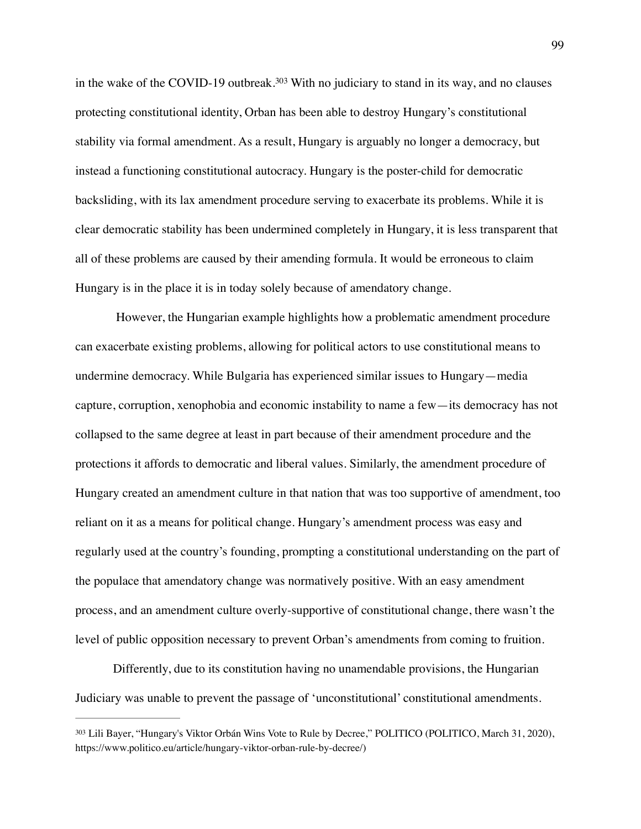<span id="page-99-1"></span>inthe wake of the COVID-19 outbreak.<sup>[303](#page-99-0)</sup> With no judiciary to stand in its way, and no clauses protecting constitutional identity, Orban has been able to destroy Hungary's constitutional stability via formal amendment. As a result, Hungary is arguably no longer a democracy, but instead a functioning constitutional autocracy. Hungary is the poster-child for democratic backsliding, with its lax amendment procedure serving to exacerbate its problems. While it is clear democratic stability has been undermined completely in Hungary, it is less transparent that all of these problems are caused by their amending formula. It would be erroneous to claim Hungary is in the place it is in today solely because of amendatory change.

 However, the Hungarian example highlights how a problematic amendment procedure can exacerbate existing problems, allowing for political actors to use constitutional means to undermine democracy. While Bulgaria has experienced similar issues to Hungary—media capture, corruption, xenophobia and economic instability to name a few—its democracy has not collapsed to the same degree at least in part because of their amendment procedure and the protections it affords to democratic and liberal values. Similarly, the amendment procedure of Hungary created an amendment culture in that nation that was too supportive of amendment, too reliant on it as a means for political change. Hungary's amendment process was easy and regularly used at the country's founding, prompting a constitutional understanding on the part of the populace that amendatory change was normatively positive. With an easy amendment process, and an amendment culture overly-supportive of constitutional change, there wasn't the level of public opposition necessary to prevent Orban's amendments from coming to fruition.

Differently, due to its constitution having no unamendable provisions, the Hungarian Judiciary was unable to prevent the passage of 'unconstitutional' constitutional amendments.

<span id="page-99-0"></span>[<sup>303</sup>](#page-99-1) Lili Bayer, "Hungary's Viktor Orbán Wins Vote to Rule by Decree," POLITICO (POLITICO, March 31, 2020), https://www.politico.eu/article/hungary-viktor-orban-rule-by-decree/)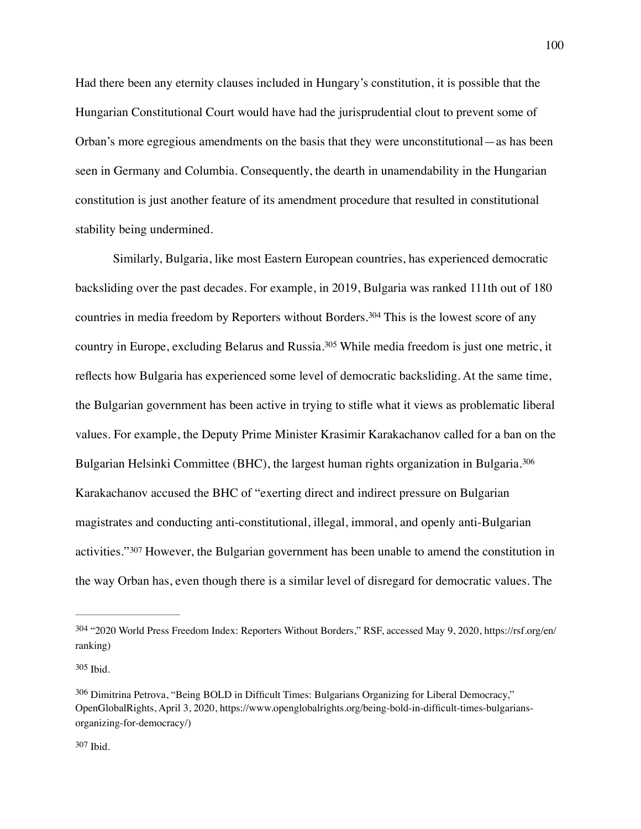Had there been any eternity clauses included in Hungary's constitution, it is possible that the Hungarian Constitutional Court would have had the jurisprudential clout to prevent some of Orban's more egregious amendments on the basis that they were unconstitutional—as has been seen in Germany and Columbia. Consequently, the dearth in unamendability in the Hungarian constitution is just another feature of its amendment procedure that resulted in constitutional stability being undermined.

<span id="page-100-5"></span><span id="page-100-4"></span>Similarly, Bulgaria, like most Eastern European countries, has experienced democratic backsliding over the past decades. For example, in 2019, Bulgaria was ranked 111th out of 180 countriesin media freedom by Reporters without Borders.<sup>[304](#page-100-0)</sup> This is the lowest score of any countryin Europe, excluding Belarus and Russia.<sup>[305](#page-100-1)</sup> While media freedom is just one metric, it reflects how Bulgaria has experienced some level of democratic backsliding. At the same time, the Bulgarian government has been active in trying to stifle what it views as problematic liberal values. For example, the Deputy Prime Minister Krasimir Karakachanov called for a ban on the Bulgarian Helsinki Committee (BHC), the largest human rights organization in Bulgaria.[306](#page-100-2) Karakachanov accused the BHC of "exerting direct and indirect pressure on Bulgarian magistrates and conducting anti-constitutional, illegal, immoral, and openly anti-Bulgarian activities."[307](#page-100-3) However, the Bulgarian government has been unable to amend the constitution in the way Orban has, even though there is a similar level of disregard for democratic values. The

<span id="page-100-7"></span><span id="page-100-6"></span><span id="page-100-0"></span>[<sup>304</sup>](#page-100-4) "2020 World Press Freedom Index: Reporters Without Borders," RSF, accessed May 9, 2020, https://rsf.org/en/ ranking)

<span id="page-100-1"></span>[<sup>305</sup>](#page-100-5) Ibid.

<span id="page-100-3"></span><span id="page-100-2"></span> $306$  Dimitrina Petrova, "Being BOLD in Difficult Times: Bulgarians Organizing for Liberal Democracy," OpenGlobalRights, April 3, 2020, https://www.openglobalrights.org/being-bold-in-difficult-times-bulgariansorganizing-for-democracy/)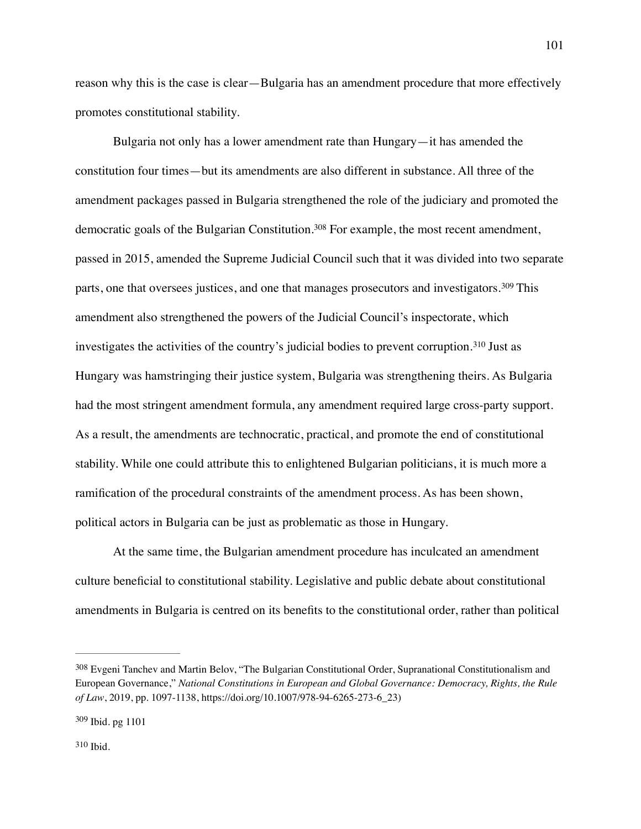reason why this is the case is clear—Bulgaria has an amendment procedure that more effectively promotes constitutional stability.

<span id="page-101-5"></span><span id="page-101-4"></span><span id="page-101-3"></span>Bulgaria not only has a lower amendment rate than Hungary—it has amended the constitution four times—but its amendments are also different in substance. All three of the amendment packages passed in Bulgaria strengthened the role of the judiciary and promoted the democraticgoals of the Bulgarian Constitution.<sup>[308](#page-101-0)</sup> For example, the most recent amendment, passed in 2015, amended the Supreme Judicial Council such that it was divided into two separate parts,one that oversees justices, and one that manages prosecutors and investigators.<sup>[309](#page-101-1)</sup> This amendment also strengthened the powers of the Judicial Council's inspectorate, which investigatesthe activities of the country's judicial bodies to prevent corruption.<sup>[310](#page-101-2)</sup> Just as Hungary was hamstringing their justice system, Bulgaria was strengthening theirs. As Bulgaria had the most stringent amendment formula, any amendment required large cross-party support. As a result, the amendments are technocratic, practical, and promote the end of constitutional stability. While one could attribute this to enlightened Bulgarian politicians, it is much more a ramification of the procedural constraints of the amendment process. As has been shown, political actors in Bulgaria can be just as problematic as those in Hungary.

At the same time, the Bulgarian amendment procedure has inculcated an amendment culture beneficial to constitutional stability. Legislative and public debate about constitutional amendments in Bulgaria is centred on its benefits to the constitutional order, rather than political

<span id="page-101-0"></span>Evgeni Tanchev and Martin Belov, "The Bulgarian Constitutional Order, Supranational Constitutionalism and [308](#page-101-3) European Governance," *National Constitutions in European and Global Governance: Democracy, Rights, the Rule of Law*, 2019, pp. 1097-1138, https://doi.org/10.1007/978-94-6265-273-6\_23)

<span id="page-101-2"></span><span id="page-101-1"></span>[<sup>309</sup>](#page-101-4) Ibid. pg 1101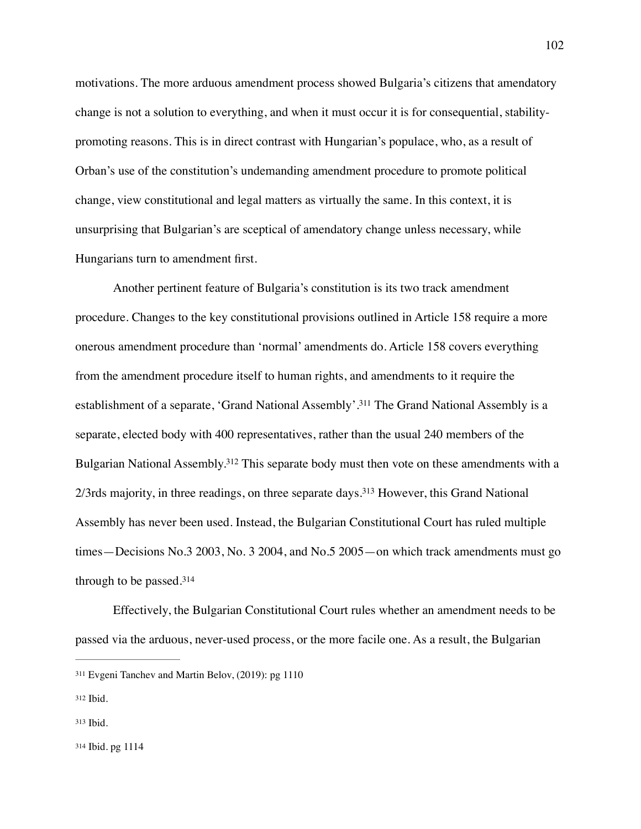motivations. The more arduous amendment process showed Bulgaria's citizens that amendatory change is not a solution to everything, and when it must occur it is for consequential, stabilitypromoting reasons. This is in direct contrast with Hungarian's populace, who, as a result of Orban's use of the constitution's undemanding amendment procedure to promote political change, view constitutional and legal matters as virtually the same. In this context, it is unsurprising that Bulgarian's are sceptical of amendatory change unless necessary, while Hungarians turn to amendment first.

<span id="page-102-4"></span>Another pertinent feature of Bulgaria's constitution is its two track amendment procedure. Changes to the key constitutional provisions outlined in Article 158 require a more onerous amendment procedure than 'normal' amendments do. Article 158 covers everything from the amendment procedure itself to human rights, and amendments to it require the establishment of a separate, 'Grand National Assembly'.<sup>[311](#page-102-0)</sup> The Grand National Assembly is a separate, elected body with 400 representatives, rather than the usual 240 members of the Bulgarian National Assembly[.](#page-102-1)<sup>[312](#page-102-1)</sup> This separate body must then vote on these amendments with a  $2/3$ rds majority, in three readings, on three separate days[.](#page-102-2)<sup>[313](#page-102-2)</sup> However, this Grand National Assembly has never been used. Instead, the Bulgarian Constitutional Court has ruled multiple times—Decisions No.3 2003, No. 3 2004, and No.5 2005—on which track amendments must go through to be passed.[314](#page-102-3)

<span id="page-102-7"></span><span id="page-102-6"></span><span id="page-102-5"></span>Effectively, the Bulgarian Constitutional Court rules whether an amendment needs to be passed via the arduous, never-used process, or the more facile one. As a result, the Bulgarian

<span id="page-102-0"></span>[<sup>311</sup>](#page-102-4) Evgeni Tanchev and Martin Belov, (2019): pg 1110

<span id="page-102-1"></span> $312$  Ibid.

<span id="page-102-2"></span> $313$  Ibid.

<span id="page-102-3"></span>[<sup>314</sup>](#page-102-7) Ibid. pg 1114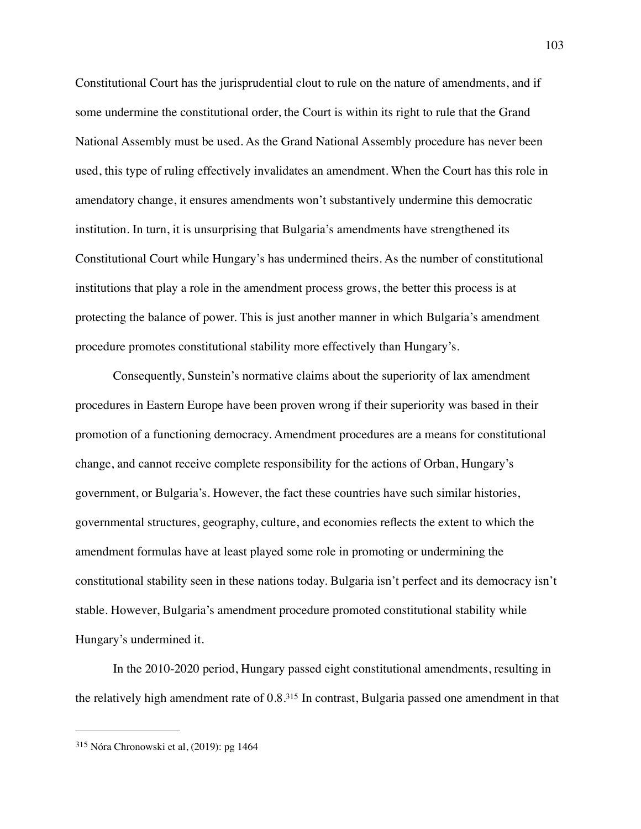Constitutional Court has the jurisprudential clout to rule on the nature of amendments, and if some undermine the constitutional order, the Court is within its right to rule that the Grand National Assembly must be used. As the Grand National Assembly procedure has never been used, this type of ruling effectively invalidates an amendment. When the Court has this role in amendatory change, it ensures amendments won't substantively undermine this democratic institution. In turn, it is unsurprising that Bulgaria's amendments have strengthened its Constitutional Court while Hungary's has undermined theirs. As the number of constitutional institutions that play a role in the amendment process grows, the better this process is at protecting the balance of power. This is just another manner in which Bulgaria's amendment procedure promotes constitutional stability more effectively than Hungary's.

Consequently, Sunstein's normative claims about the superiority of lax amendment procedures in Eastern Europe have been proven wrong if their superiority was based in their promotion of a functioning democracy. Amendment procedures are a means for constitutional change, and cannot receive complete responsibility for the actions of Orban, Hungary's government, or Bulgaria's. However, the fact these countries have such similar histories, governmental structures, geography, culture, and economies reflects the extent to which the amendment formulas have at least played some role in promoting or undermining the constitutional stability seen in these nations today. Bulgaria isn't perfect and its democracy isn't stable. However, Bulgaria's amendment procedure promoted constitutional stability while Hungary's undermined it.

<span id="page-103-1"></span>In the 2010-2020 period, Hungary passed eight constitutional amendments, resulting in the relatively high amendment rate of  $0.8<sup>315</sup>$  $0.8<sup>315</sup>$  $0.8<sup>315</sup>$  $0.8<sup>315</sup>$  $0.8<sup>315</sup>$  In contrast, Bulgaria passed one amendment in that

<span id="page-103-0"></span> $315$  Nóra Chronowski et al, (2019): pg 1464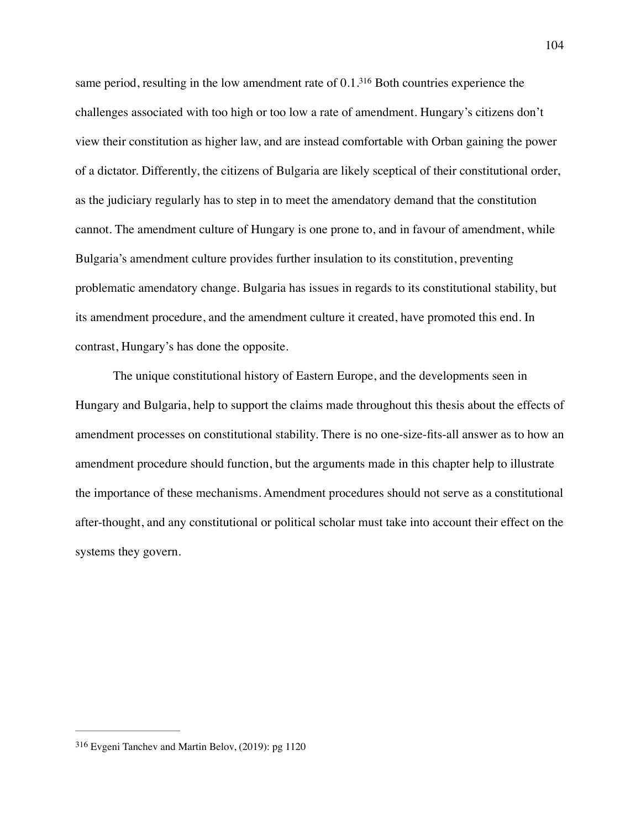<span id="page-104-1"></span>same period, resulting in the low amendment rate of  $0.1<sup>316</sup>$  $0.1<sup>316</sup>$  $0.1<sup>316</sup>$  $0.1<sup>316</sup>$  $0.1<sup>316</sup>$  Both countries experience the challenges associated with too high or too low a rate of amendment. Hungary's citizens don't view their constitution as higher law, and are instead comfortable with Orban gaining the power of a dictator. Differently, the citizens of Bulgaria are likely sceptical of their constitutional order, as the judiciary regularly has to step in to meet the amendatory demand that the constitution cannot. The amendment culture of Hungary is one prone to, and in favour of amendment, while Bulgaria's amendment culture provides further insulation to its constitution, preventing problematic amendatory change. Bulgaria has issues in regards to its constitutional stability, but its amendment procedure, and the amendment culture it created, have promoted this end. In contrast, Hungary's has done the opposite.

The unique constitutional history of Eastern Europe, and the developments seen in Hungary and Bulgaria, help to support the claims made throughout this thesis about the effects of amendment processes on constitutional stability. There is no one-size-fits-all answer as to how an amendment procedure should function, but the arguments made in this chapter help to illustrate the importance of these mechanisms. Amendment procedures should not serve as a constitutional after-thought, and any constitutional or political scholar must take into account their effect on the systems they govern.

<span id="page-104-0"></span> $316$  Evgeni Tanchev and Martin Belov, (2019): pg 1120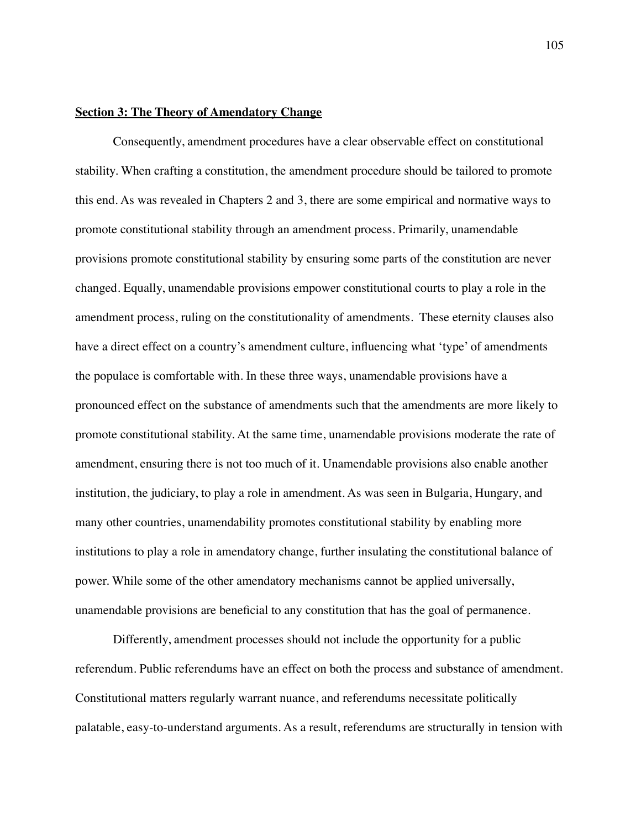## **Section 3: The Theory of Amendatory Change**

Consequently, amendment procedures have a clear observable effect on constitutional stability. When crafting a constitution, the amendment procedure should be tailored to promote this end. As was revealed in Chapters 2 and 3, there are some empirical and normative ways to promote constitutional stability through an amendment process. Primarily, unamendable provisions promote constitutional stability by ensuring some parts of the constitution are never changed. Equally, unamendable provisions empower constitutional courts to play a role in the amendment process, ruling on the constitutionality of amendments. These eternity clauses also have a direct effect on a country's amendment culture, influencing what 'type' of amendments the populace is comfortable with. In these three ways, unamendable provisions have a pronounced effect on the substance of amendments such that the amendments are more likely to promote constitutional stability. At the same time, unamendable provisions moderate the rate of amendment, ensuring there is not too much of it. Unamendable provisions also enable another institution, the judiciary, to play a role in amendment. As was seen in Bulgaria, Hungary, and many other countries, unamendability promotes constitutional stability by enabling more institutions to play a role in amendatory change, further insulating the constitutional balance of power. While some of the other amendatory mechanisms cannot be applied universally, unamendable provisions are beneficial to any constitution that has the goal of permanence.

Differently, amendment processes should not include the opportunity for a public referendum. Public referendums have an effect on both the process and substance of amendment. Constitutional matters regularly warrant nuance, and referendums necessitate politically palatable, easy-to-understand arguments. As a result, referendums are structurally in tension with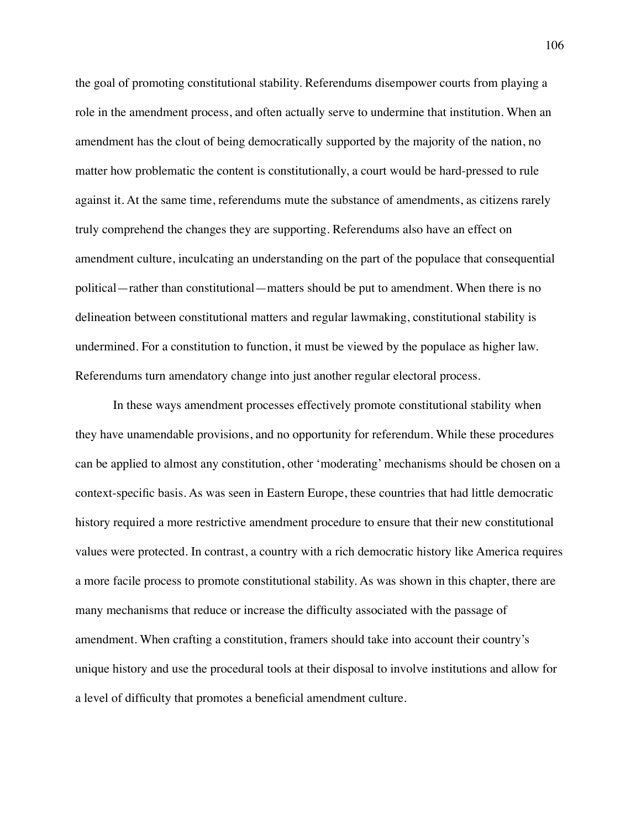the goal of promoting constitutional stability. Referendums disempower courts from playing a role in the amendment process, and often actually serve to undermine that institution. When an amendment has the clout of being democratically supported by the majority of the nation, no matter how problematic the content is constitutionally, a court would be hard-pressed to rule against it. At the same time, referendums mute the substance of amendments, as citizens rarely truly comprehend the changes they are supporting. Referendums also have an effect on amendment culture, inculcating an understanding on the part of the populace that consequential political—rather than constitutional—matters should be put to amendment. When there is no delineation between constitutional matters and regular lawmaking, constitutional stability is undermined. For a constitution to function, it must be viewed by the populace as higher law. Referendums turn amendatory change into just another regular electoral process.

In these ways amendment processes effectively promote constitutional stability when they have unamendable provisions, and no opportunity for referendum. While these procedures can be applied to almost any constitution, other 'moderating' mechanisms should be chosen on a context-specific basis. As was seen in Eastern Europe, these countries that had little democratic history required a more restrictive amendment procedure to ensure that their new constitutional values were protected. In contrast, a country with a rich democratic history like America requires a more facile process to promote constitutional stability. As was shown in this chapter, there are many mechanisms that reduce or increase the difficulty associated with the passage of amendment. When crafting a constitution, framers should take into account their country's unique history and use the procedural tools at their disposal to involve institutions and allow for a level of difficulty that promotes a beneficial amendment culture.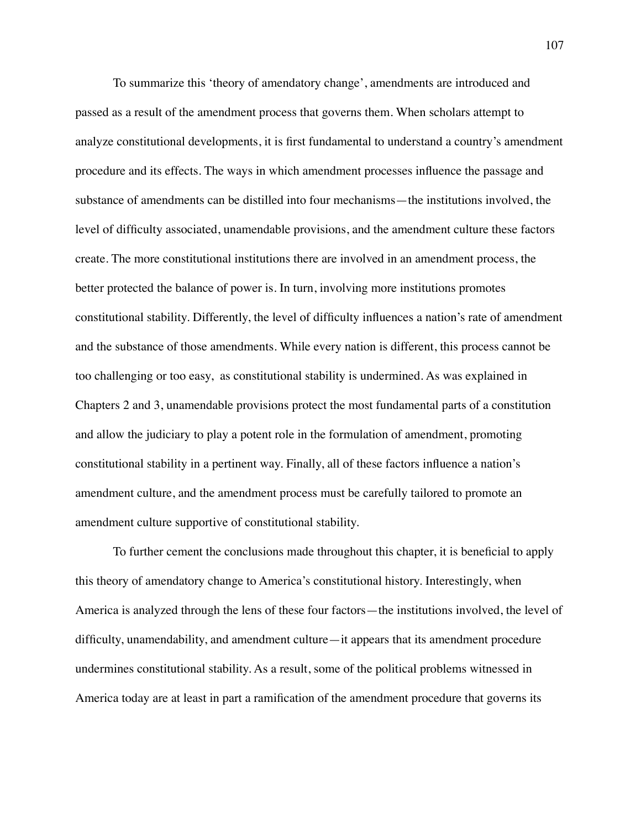To summarize this 'theory of amendatory change', amendments are introduced and passed as a result of the amendment process that governs them. When scholars attempt to analyze constitutional developments, it is first fundamental to understand a country's amendment procedure and its effects. The ways in which amendment processes influence the passage and substance of amendments can be distilled into four mechanisms—the institutions involved, the level of difficulty associated, unamendable provisions, and the amendment culture these factors create. The more constitutional institutions there are involved in an amendment process, the better protected the balance of power is. In turn, involving more institutions promotes constitutional stability. Differently, the level of difficulty influences a nation's rate of amendment and the substance of those amendments. While every nation is different, this process cannot be too challenging or too easy, as constitutional stability is undermined. As was explained in Chapters 2 and 3, unamendable provisions protect the most fundamental parts of a constitution and allow the judiciary to play a potent role in the formulation of amendment, promoting constitutional stability in a pertinent way. Finally, all of these factors influence a nation's amendment culture, and the amendment process must be carefully tailored to promote an amendment culture supportive of constitutional stability.

To further cement the conclusions made throughout this chapter, it is beneficial to apply this theory of amendatory change to America's constitutional history. Interestingly, when America is analyzed through the lens of these four factors—the institutions involved, the level of difficulty, unamendability, and amendment culture—it appears that its amendment procedure undermines constitutional stability. As a result, some of the political problems witnessed in America today are at least in part a ramification of the amendment procedure that governs its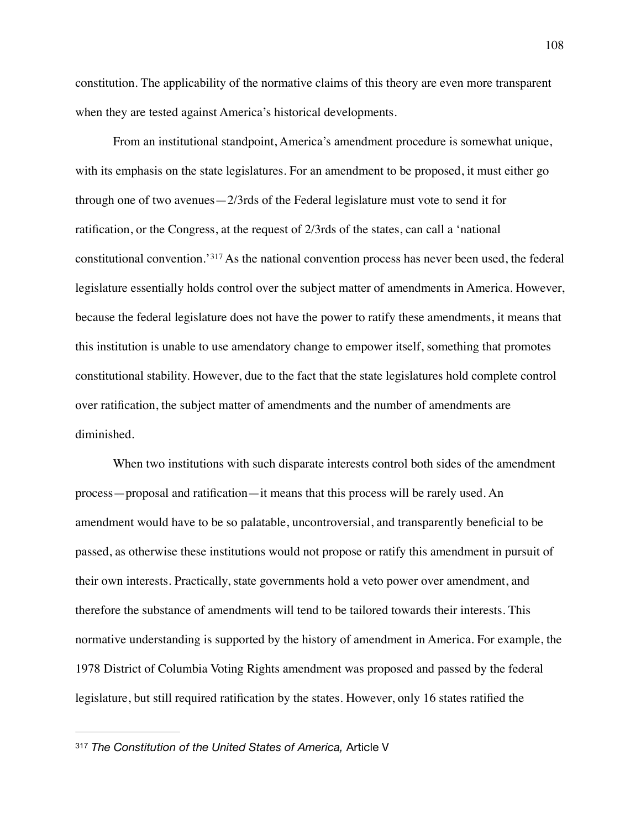constitution. The applicability of the normative claims of this theory are even more transparent when they are tested against America's historical developments.

<span id="page-108-1"></span>From an institutional standpoint, America's amendment procedure is somewhat unique, with its emphasis on the state legislatures. For an amendment to be proposed, it must either go through one of two avenues—2/3rds of the Federal legislature must vote to send it for ratification, or the Congress, at the request of 2/3rds of the states, can call a 'national constitutionalconvention.' [317](#page-108-0) As the national convention process has never been used, the federal legislature essentially holds control over the subject matter of amendments in America. However, because the federal legislature does not have the power to ratify these amendments, it means that this institution is unable to use amendatory change to empower itself, something that promotes constitutional stability. However, due to the fact that the state legislatures hold complete control over ratification, the subject matter of amendments and the number of amendments are diminished.

When two institutions with such disparate interests control both sides of the amendment process—proposal and ratification—it means that this process will be rarely used. An amendment would have to be so palatable, uncontroversial, and transparently beneficial to be passed, as otherwise these institutions would not propose or ratify this amendment in pursuit of their own interests. Practically, state governments hold a veto power over amendment, and therefore the substance of amendments will tend to be tailored towards their interests. This normative understanding is supported by the history of amendment in America. For example, the 1978 District of Columbia Voting Rights amendment was proposed and passed by the federal legislature, but still required ratification by the states. However, only 16 states ratified the

<span id="page-108-0"></span>[<sup>317</sup>](#page-108-1) *The Constitution of the United States of America,* Article V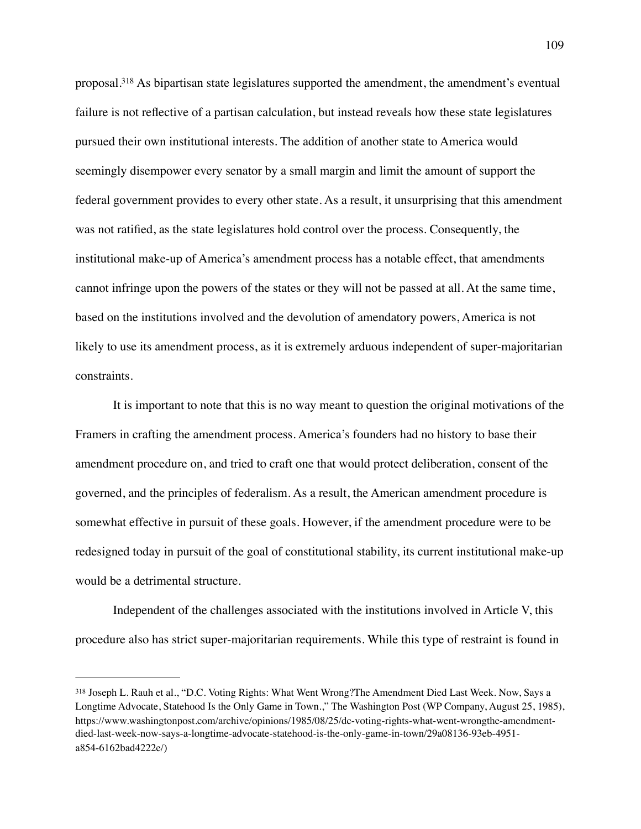<span id="page-109-1"></span>proposal[.](#page-109-0)<sup>[318](#page-109-0)</sup> As bipartisan state legislatures supported the amendment, the amendment's eventual failure is not reflective of a partisan calculation, but instead reveals how these state legislatures pursued their own institutional interests. The addition of another state to America would seemingly disempower every senator by a small margin and limit the amount of support the federal government provides to every other state. As a result, it unsurprising that this amendment was not ratified, as the state legislatures hold control over the process. Consequently, the institutional make-up of America's amendment process has a notable effect, that amendments cannot infringe upon the powers of the states or they will not be passed at all. At the same time, based on the institutions involved and the devolution of amendatory powers, America is not likely to use its amendment process, as it is extremely arduous independent of super-majoritarian constraints.

It is important to note that this is no way meant to question the original motivations of the Framers in crafting the amendment process. America's founders had no history to base their amendment procedure on, and tried to craft one that would protect deliberation, consent of the governed, and the principles of federalism. As a result, the American amendment procedure is somewhat effective in pursuit of these goals. However, if the amendment procedure were to be redesigned today in pursuit of the goal of constitutional stability, its current institutional make-up would be a detrimental structure.

Independent of the challenges associated with the institutions involved in Article V, this procedure also has strict super-majoritarian requirements. While this type of restraint is found in

<span id="page-109-0"></span>Joseph L. Rauh et al., "D.C. Voting Rights: What Went Wrong?The Amendment Died Last Week. Now, Says a [318](#page-109-1) Longtime Advocate, Statehood Is the Only Game in Town.," The Washington Post (WP Company, August 25, 1985), https://www.washingtonpost.com/archive/opinions/1985/08/25/dc-voting-rights-what-went-wrongthe-amendmentdied-last-week-now-says-a-longtime-advocate-statehood-is-the-only-game-in-town/29a08136-93eb-4951 a854-6162bad4222e/)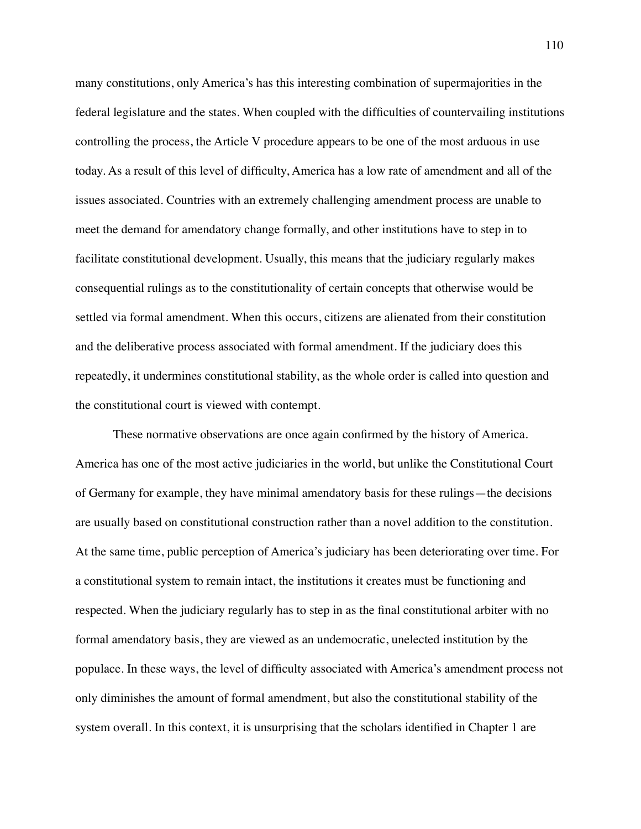many constitutions, only America's has this interesting combination of supermajorities in the federal legislature and the states. When coupled with the difficulties of countervailing institutions controlling the process, the Article V procedure appears to be one of the most arduous in use today. As a result of this level of difficulty, America has a low rate of amendment and all of the issues associated. Countries with an extremely challenging amendment process are unable to meet the demand for amendatory change formally, and other institutions have to step in to facilitate constitutional development. Usually, this means that the judiciary regularly makes consequential rulings as to the constitutionality of certain concepts that otherwise would be settled via formal amendment. When this occurs, citizens are alienated from their constitution and the deliberative process associated with formal amendment. If the judiciary does this repeatedly, it undermines constitutional stability, as the whole order is called into question and the constitutional court is viewed with contempt.

These normative observations are once again confirmed by the history of America. America has one of the most active judiciaries in the world, but unlike the Constitutional Court of Germany for example, they have minimal amendatory basis for these rulings—the decisions are usually based on constitutional construction rather than a novel addition to the constitution. At the same time, public perception of America's judiciary has been deteriorating over time. For a constitutional system to remain intact, the institutions it creates must be functioning and respected. When the judiciary regularly has to step in as the final constitutional arbiter with no formal amendatory basis, they are viewed as an undemocratic, unelected institution by the populace. In these ways, the level of difficulty associated with America's amendment process not only diminishes the amount of formal amendment, but also the constitutional stability of the system overall. In this context, it is unsurprising that the scholars identified in Chapter 1 are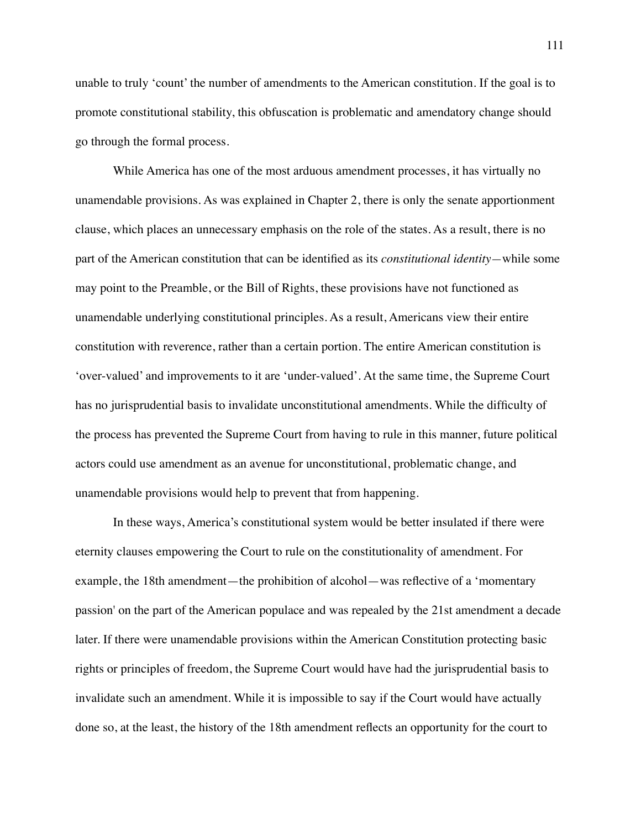unable to truly 'count' the number of amendments to the American constitution. If the goal is to promote constitutional stability, this obfuscation is problematic and amendatory change should go through the formal process.

While America has one of the most arduous amendment processes, it has virtually no unamendable provisions. As was explained in Chapter 2, there is only the senate apportionment clause, which places an unnecessary emphasis on the role of the states. As a result, there is no part of the American constitution that can be identified as its *constitutional identity—*while some may point to the Preamble, or the Bill of Rights, these provisions have not functioned as unamendable underlying constitutional principles. As a result, Americans view their entire constitution with reverence, rather than a certain portion. The entire American constitution is 'over-valued' and improvements to it are 'under-valued'. At the same time, the Supreme Court has no jurisprudential basis to invalidate unconstitutional amendments. While the difficulty of the process has prevented the Supreme Court from having to rule in this manner, future political actors could use amendment as an avenue for unconstitutional, problematic change, and unamendable provisions would help to prevent that from happening.

In these ways, America's constitutional system would be better insulated if there were eternity clauses empowering the Court to rule on the constitutionality of amendment. For example, the 18th amendment—the prohibition of alcohol—was reflective of a 'momentary passion' on the part of the American populace and was repealed by the 21st amendment a decade later. If there were unamendable provisions within the American Constitution protecting basic rights or principles of freedom, the Supreme Court would have had the jurisprudential basis to invalidate such an amendment. While it is impossible to say if the Court would have actually done so, at the least, the history of the 18th amendment reflects an opportunity for the court to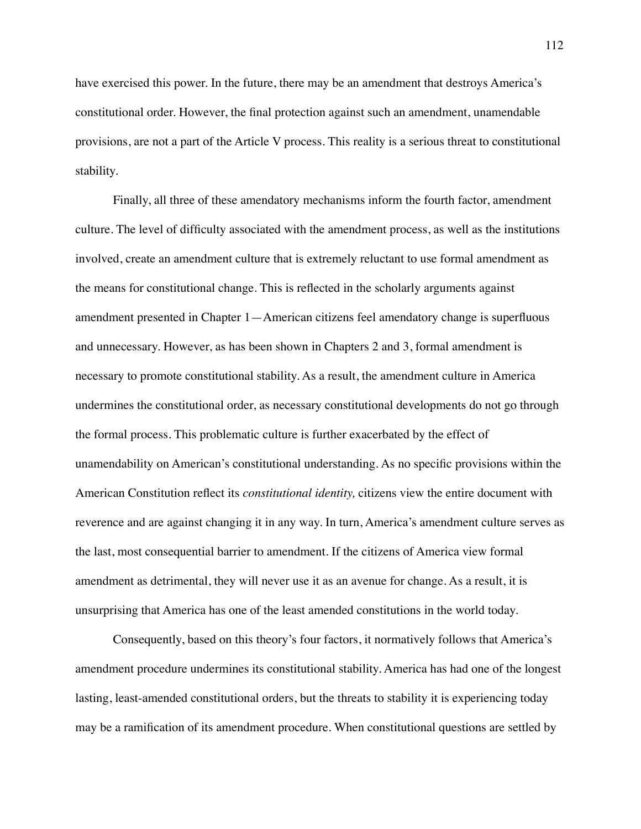have exercised this power. In the future, there may be an amendment that destroys America's constitutional order. However, the final protection against such an amendment, unamendable provisions, are not a part of the Article V process. This reality is a serious threat to constitutional stability.

Finally, all three of these amendatory mechanisms inform the fourth factor, amendment culture. The level of difficulty associated with the amendment process, as well as the institutions involved, create an amendment culture that is extremely reluctant to use formal amendment as the means for constitutional change. This is reflected in the scholarly arguments against amendment presented in Chapter 1—American citizens feel amendatory change is superfluous and unnecessary. However, as has been shown in Chapters 2 and 3, formal amendment is necessary to promote constitutional stability. As a result, the amendment culture in America undermines the constitutional order, as necessary constitutional developments do not go through the formal process. This problematic culture is further exacerbated by the effect of unamendability on American's constitutional understanding. As no specific provisions within the American Constitution reflect its *constitutional identity,* citizens view the entire document with reverence and are against changing it in any way. In turn, America's amendment culture serves as the last, most consequential barrier to amendment. If the citizens of America view formal amendment as detrimental, they will never use it as an avenue for change. As a result, it is unsurprising that America has one of the least amended constitutions in the world today.

Consequently, based on this theory's four factors, it normatively follows that America's amendment procedure undermines its constitutional stability. America has had one of the longest lasting, least-amended constitutional orders, but the threats to stability it is experiencing today may be a ramification of its amendment procedure. When constitutional questions are settled by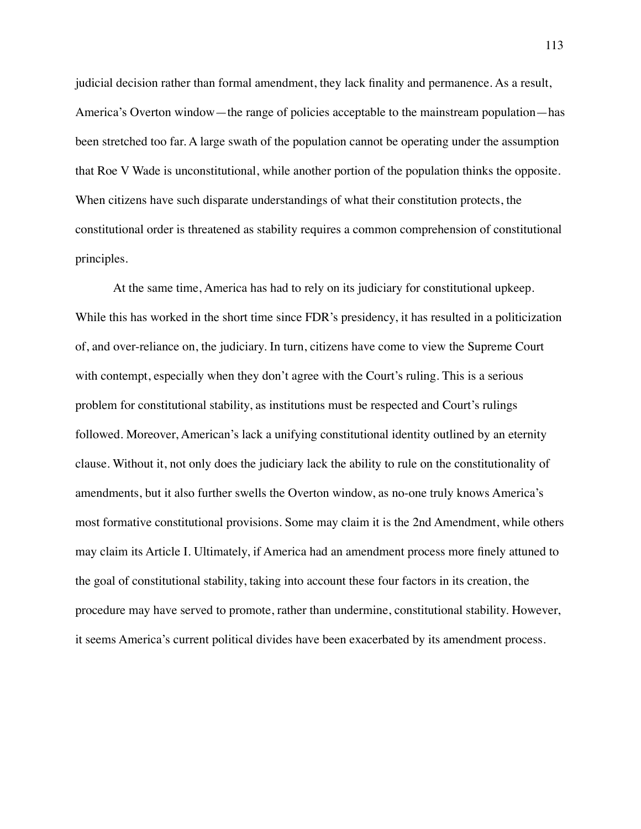judicial decision rather than formal amendment, they lack finality and permanence. As a result, America's Overton window—the range of policies acceptable to the mainstream population—has been stretched too far. A large swath of the population cannot be operating under the assumption that Roe V Wade is unconstitutional, while another portion of the population thinks the opposite. When citizens have such disparate understandings of what their constitution protects, the constitutional order is threatened as stability requires a common comprehension of constitutional principles.

At the same time, America has had to rely on its judiciary for constitutional upkeep. While this has worked in the short time since FDR's presidency, it has resulted in a politicization of, and over-reliance on, the judiciary. In turn, citizens have come to view the Supreme Court with contempt, especially when they don't agree with the Court's ruling. This is a serious problem for constitutional stability, as institutions must be respected and Court's rulings followed. Moreover, American's lack a unifying constitutional identity outlined by an eternity clause. Without it, not only does the judiciary lack the ability to rule on the constitutionality of amendments, but it also further swells the Overton window, as no-one truly knows America's most formative constitutional provisions. Some may claim it is the 2nd Amendment, while others may claim its Article I. Ultimately, if America had an amendment process more finely attuned to the goal of constitutional stability, taking into account these four factors in its creation, the procedure may have served to promote, rather than undermine, constitutional stability. However, it seems America's current political divides have been exacerbated by its amendment process.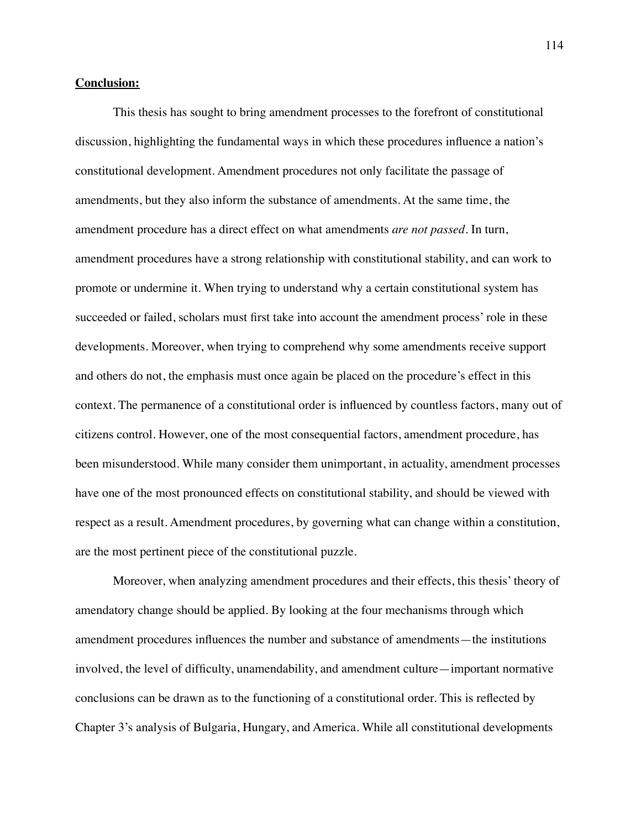## **Conclusion:**

This thesis has sought to bring amendment processes to the forefront of constitutional discussion, highlighting the fundamental ways in which these procedures influence a nation's constitutional development. Amendment procedures not only facilitate the passage of amendments, but they also inform the substance of amendments. At the same time, the amendment procedure has a direct effect on what amendments *are not passed.* In turn, amendment procedures have a strong relationship with constitutional stability, and can work to promote or undermine it. When trying to understand why a certain constitutional system has succeeded or failed, scholars must first take into account the amendment process' role in these developments. Moreover, when trying to comprehend why some amendments receive support and others do not, the emphasis must once again be placed on the procedure's effect in this context. The permanence of a constitutional order is influenced by countless factors, many out of citizens control. However, one of the most consequential factors, amendment procedure, has been misunderstood. While many consider them unimportant, in actuality, amendment processes have one of the most pronounced effects on constitutional stability, and should be viewed with respect as a result. Amendment procedures, by governing what can change within a constitution, are the most pertinent piece of the constitutional puzzle.

Moreover, when analyzing amendment procedures and their effects, this thesis' theory of amendatory change should be applied. By looking at the four mechanisms through which amendment procedures influences the number and substance of amendments—the institutions involved, the level of difficulty, unamendability, and amendment culture—important normative conclusions can be drawn as to the functioning of a constitutional order. This is reflected by Chapter 3's analysis of Bulgaria, Hungary, and America. While all constitutional developments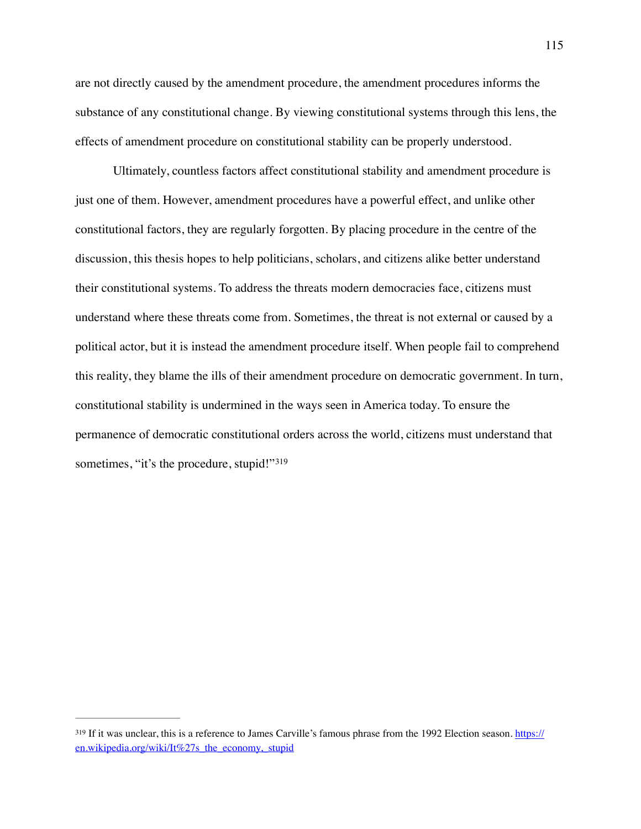are not directly caused by the amendment procedure, the amendment procedures informs the substance of any constitutional change. By viewing constitutional systems through this lens, the effects of amendment procedure on constitutional stability can be properly understood.

Ultimately, countless factors affect constitutional stability and amendment procedure is just one of them. However, amendment procedures have a powerful effect, and unlike other constitutional factors, they are regularly forgotten. By placing procedure in the centre of the discussion, this thesis hopes to help politicians, scholars, and citizens alike better understand their constitutional systems. To address the threats modern democracies face, citizens must understand where these threats come from. Sometimes, the threat is not external or caused by a political actor, but it is instead the amendment procedure itself. When people fail to comprehend this reality, they blame the ills of their amendment procedure on democratic government. In turn, constitutional stability is undermined in the ways seen in America today. To ensure the permanence of democratic constitutional orders across the world, citizens must understand that sometimes, "it's the procedure, stupid!"<sup>[319](#page-115-0)</sup>

<span id="page-115-1"></span><span id="page-115-0"></span><sup>&</sup>lt;sup>319</sup> If it was unclear, this is a reference to James Carville's famous phrase from the 1992 Election season. [https://](https://en.wikipedia.org/wiki/It%27s_the_economy,_stupid) [en.wikipedia.org/wiki/It%27s\\_the\\_economy,\\_stupid](https://en.wikipedia.org/wiki/It%27s_the_economy,_stupid)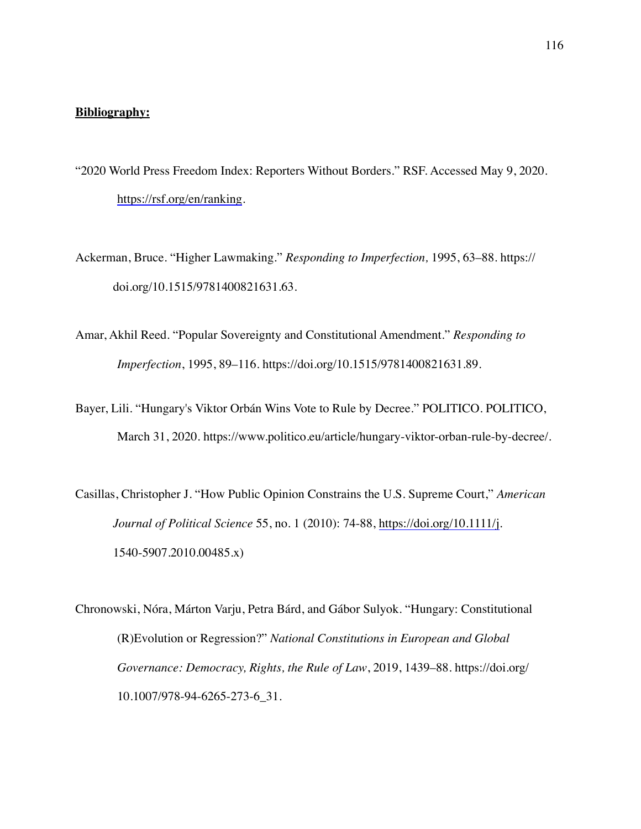## **Bibliography:**

- "2020 World Press Freedom Index: Reporters Without Borders." RSF. Accessed May 9, 2020. <https://rsf.org/en/ranking>.
- Ackerman, Bruce. "Higher Lawmaking." *Responding to Imperfection,* 1995, 63–88. https:// doi.org/10.1515/9781400821631.63.
- Amar, Akhil Reed. "Popular Sovereignty and Constitutional Amendment." *Responding to Imperfection*, 1995, 89–116. https://doi.org/10.1515/9781400821631.89.
- Bayer, Lili. "Hungary's Viktor Orbán Wins Vote to Rule by Decree." POLITICO. POLITICO, March 31, 2020. https://www.politico.eu/article/hungary-viktor-orban-rule-by-decree/.
- Casillas, Christopher J. "How Public Opinion Constrains the U.S. Supreme Court," *American Journal of Political Science* 55, no. 1 (2010): 74-88, <https://doi.org/10.1111/j>. 1540-5907.2010.00485.x)

Chronowski, Nóra, Márton Varju, Petra Bárd, and Gábor Sulyok. "Hungary: Constitutional (R)Evolution or Regression?" *National Constitutions in European and Global Governance: Democracy, Rights, the Rule of Law*, 2019, 1439–88. https://doi.org/ 10.1007/978-94-6265-273-6\_31.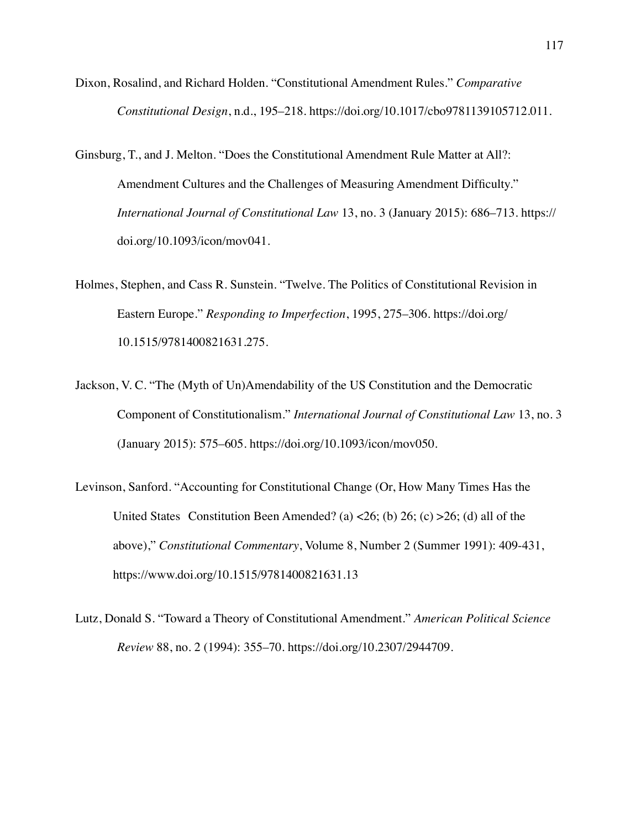- Dixon, Rosalind, and Richard Holden. "Constitutional Amendment Rules." *Comparative Constitutional Design*, n.d., 195–218. https://doi.org/10.1017/cbo9781139105712.011.
- Ginsburg, T., and J. Melton. "Does the Constitutional Amendment Rule Matter at All?: Amendment Cultures and the Challenges of Measuring Amendment Difficulty." *International Journal of Constitutional Law* 13, no. 3 (January 2015): 686–713. https:// doi.org/10.1093/icon/mov041.
- Holmes, Stephen, and Cass R. Sunstein. "Twelve. The Politics of Constitutional Revision in Eastern Europe." *Responding to Imperfection*, 1995, 275–306. https://doi.org/ 10.1515/9781400821631.275.
- Jackson, V. C. "The (Myth of Un)Amendability of the US Constitution and the Democratic Component of Constitutionalism." *International Journal of Constitutional Law* 13, no. 3 (January 2015): 575–605. https://doi.org/10.1093/icon/mov050.
- Levinson, Sanford. "Accounting for Constitutional Change (Or, How Many Times Has the United States Constitution Been Amended? (a)  $\langle 26;$  (b) 26; (c)  $>26$ ; (d) all of the above)," *Constitutional Commentary*, Volume 8, Number 2 (Summer 1991): 409-431, https://www.doi.org/10.1515/9781400821631.13
- Lutz, Donald S. "Toward a Theory of Constitutional Amendment." *American Political Science Review* 88, no. 2 (1994): 355–70. https://doi.org/10.2307/2944709.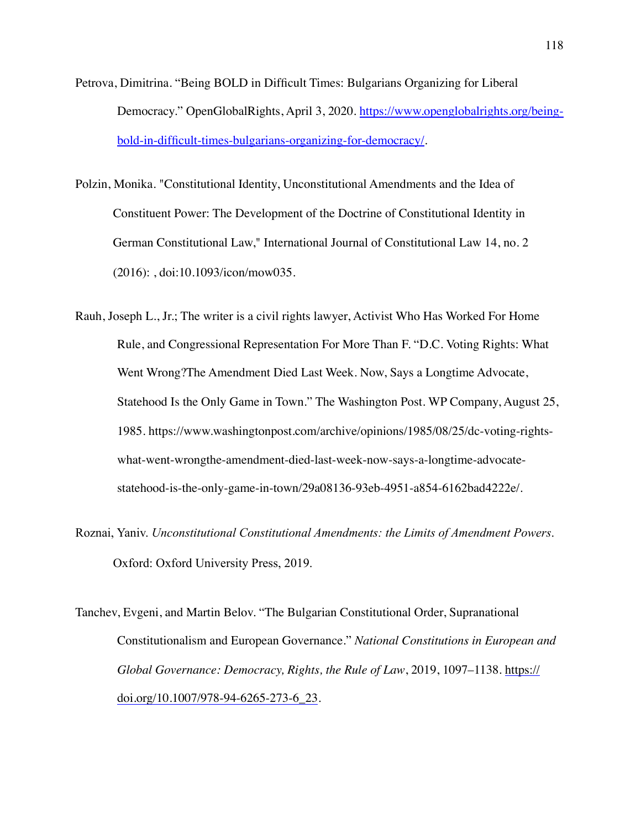- Petrova, Dimitrina. "Being BOLD in Difficult Times: Bulgarians Organizing for Liberal Democracy." OpenGlobalRights, April 3, 2020. [https://www.openglobalrights.org/being](https://www.openglobalrights.org/being-bold-in-difficult-times-bulgarians-organizing-for-democracy/)[bold-in-difficult-times-bulgarians-organizing-for-democracy/.](https://www.openglobalrights.org/being-bold-in-difficult-times-bulgarians-organizing-for-democracy/)
- Polzin, Monika. "Constitutional Identity, Unconstitutional Amendments and the Idea of Constituent Power: The Development of the Doctrine of Constitutional Identity in German Constitutional Law," International Journal of Constitutional Law 14, no. 2 (2016): , doi:10.1093/icon/mow035.
- Rauh, Joseph L., Jr.; The writer is a civil rights lawyer, Activist Who Has Worked For Home Rule, and Congressional Representation For More Than F. "D.C. Voting Rights: What Went Wrong?The Amendment Died Last Week. Now, Says a Longtime Advocate, Statehood Is the Only Game in Town." The Washington Post. WP Company, August 25, 1985. https://www.washingtonpost.com/archive/opinions/1985/08/25/dc-voting-rightswhat-went-wrongthe-amendment-died-last-week-now-says-a-longtime-advocatestatehood-is-the-only-game-in-town/29a08136-93eb-4951-a854-6162bad4222e/.
- Roznai, Yaniv. *Unconstitutional Constitutional Amendments: the Limits of Amendment Powers*. Oxford: Oxford University Press, 2019.
- Tanchev, Evgeni, and Martin Belov. "The Bulgarian Constitutional Order, Supranational Constitutionalism and European Governance." *National Constitutions in European and Global Governance: Democracy, Rights, the Rule of Law*, 2019, 1097–1138. [https://](https://doi.org/10.1007/978-94-6265-273-6_23) [doi.org/10.1007/978-94-6265-273-6\\_23.](https://doi.org/10.1007/978-94-6265-273-6_23)